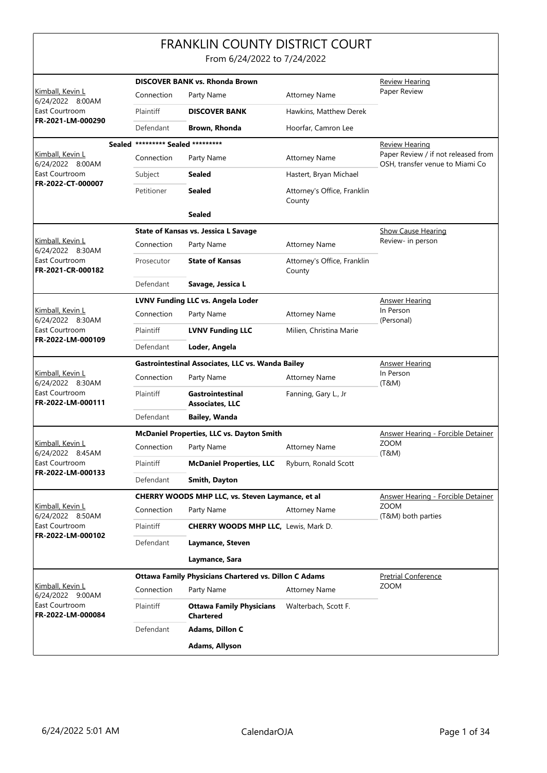|                                                                             |                                   | <b>FRANKLIN COUNTY DISTRICT COURT</b><br>From 6/24/2022 to 7/24/2022 |                                           |                                                                        |  |
|-----------------------------------------------------------------------------|-----------------------------------|----------------------------------------------------------------------|-------------------------------------------|------------------------------------------------------------------------|--|
|                                                                             |                                   | <b>DISCOVER BANK vs. Rhonda Brown</b>                                |                                           | <b>Review Hearing</b>                                                  |  |
| Kimball, Kevin L<br>6/24/2022 8:00AM                                        | Connection                        | Party Name                                                           | <b>Attorney Name</b>                      | Paper Review                                                           |  |
| East Courtroom                                                              | Plaintiff                         | <b>DISCOVER BANK</b>                                                 | Hawkins, Matthew Derek                    |                                                                        |  |
| FR-2021-LM-000290                                                           | Defendant                         | Brown, Rhonda                                                        | Hoorfar, Camron Lee                       |                                                                        |  |
|                                                                             | Sealed ********* Sealed ********* |                                                                      |                                           | Review Hearing                                                         |  |
| <u>Kimball, Kevin L</u><br>6/24/2022 8:00AM                                 | Connection                        | Party Name                                                           | <b>Attorney Name</b>                      | Paper Review / if not released from<br>OSH, transfer venue to Miami Co |  |
| East Courtroom                                                              | Subject                           | Sealed                                                               | Hastert, Bryan Michael                    |                                                                        |  |
| FR-2022-CT-000007                                                           | Petitioner                        | <b>Sealed</b>                                                        | Attorney's Office, Franklin<br>County     |                                                                        |  |
|                                                                             |                                   | <b>Sealed</b>                                                        |                                           |                                                                        |  |
|                                                                             |                                   | <b>State of Kansas vs. Jessica L Savage</b>                          |                                           | <b>Show Cause Hearing</b>                                              |  |
| Kimball, Kevin L<br>6/24/2022 8:30AM                                        | Connection                        | Party Name                                                           | <b>Attorney Name</b>                      | Review- in person                                                      |  |
| East Courtroom<br>FR-2021-CR-000182                                         | Prosecutor                        | <b>State of Kansas</b>                                               | Attorney's Office, Franklin<br>County     |                                                                        |  |
|                                                                             | Defendant                         | Savage, Jessica L                                                    |                                           |                                                                        |  |
|                                                                             |                                   | <b>LVNV Funding LLC vs. Angela Loder</b>                             |                                           | <u>Answer Hearing</u>                                                  |  |
| Kimball, Kevin L<br>6/24/2022 8:30AM<br>East Courtroom<br>FR-2022-LM-000109 | Connection                        | Party Name                                                           | <b>Attorney Name</b>                      | In Person<br>(Personal)                                                |  |
|                                                                             | Plaintiff                         | <b>LVNV Funding LLC</b>                                              | Milien, Christina Marie                   |                                                                        |  |
|                                                                             | Defendant                         | Loder, Angela                                                        |                                           |                                                                        |  |
|                                                                             |                                   | Gastrointestinal Associates, LLC vs. Wanda Bailey                    | <u>Answer Hearing</u>                     |                                                                        |  |
| Kimball, Kevin L<br>6/24/2022 8:30AM                                        | Connection                        | Party Name                                                           | <b>Attorney Name</b>                      | In Person<br>(T&M)                                                     |  |
| East Courtroom<br>FR-2022-LM-000111                                         | Plaintiff                         | <b>Gastrointestinal</b><br><b>Associates, LLC</b>                    | Fanning, Gary L., Jr                      |                                                                        |  |
|                                                                             | Defendant                         | <b>Bailey, Wanda</b>                                                 |                                           |                                                                        |  |
|                                                                             |                                   | McDaniel Properties, LLC vs. Dayton Smith                            | <b>Answer Hearing - Forcible Detainer</b> |                                                                        |  |
| Kimball, Kevin L<br>6/24/2022 8:45AM                                        | Connection                        | Party Name                                                           | Attorney Name                             | ZOOM<br>(T&M)                                                          |  |
| East Courtroom<br>FR-2022-LM-000133                                         | Plaintiff                         | <b>McDaniel Properties, LLC</b>                                      | Ryburn, Ronald Scott                      |                                                                        |  |
|                                                                             | Defendant                         | Smith, Dayton                                                        |                                           |                                                                        |  |
| Kimball, Kevin L                                                            |                                   | <b>CHERRY WOODS MHP LLC, vs. Steven Laymance, et al</b>              |                                           | <b>Answer Hearing - Forcible Detainer</b><br><b>ZOOM</b>               |  |
| 6/24/2022 8:50AM                                                            | Connection                        | Party Name                                                           | <b>Attorney Name</b>                      | (T&M) both parties                                                     |  |
| East Courtroom<br>FR-2022-LM-000102                                         | Plaintiff                         | <b>CHERRY WOODS MHP LLC, Lewis, Mark D.</b>                          |                                           |                                                                        |  |
|                                                                             | Defendant                         | Laymance, Steven                                                     |                                           |                                                                        |  |
|                                                                             |                                   | Laymance, Sara                                                       |                                           |                                                                        |  |
|                                                                             |                                   | <b>Ottawa Family Physicians Chartered vs. Dillon C Adams</b>         |                                           | <b>Pretrial Conference</b>                                             |  |
| Kimball, Kevin L<br>6/24/2022 9:00AM                                        | Connection                        | Party Name                                                           | <b>Attorney Name</b>                      | <b>ZOOM</b>                                                            |  |
| East Courtroom<br>FR-2022-LM-000084                                         | Plaintiff                         | <b>Ottawa Family Physicians</b><br><b>Chartered</b>                  | Walterbach, Scott F.                      |                                                                        |  |
|                                                                             | Defendant                         | Adams, Dillon C                                                      |                                           |                                                                        |  |
|                                                                             |                                   | Adams, Allyson                                                       |                                           |                                                                        |  |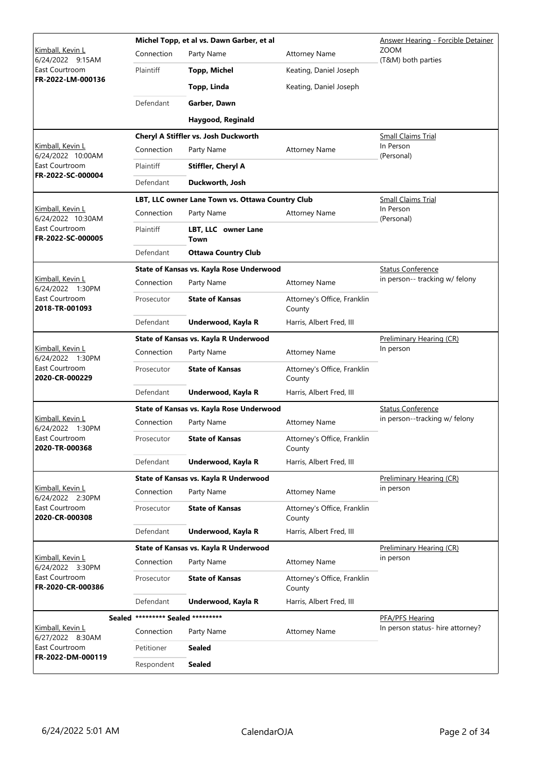|                                                                          |                                   | Michel Topp, et al vs. Dawn Garber, et al        | <b>Answer Hearing - Forcible Detainer</b> |                                   |  |
|--------------------------------------------------------------------------|-----------------------------------|--------------------------------------------------|-------------------------------------------|-----------------------------------|--|
| Kimball, Kevin L<br>6/24/2022 9:15AM                                     | Connection                        | Party Name                                       | <b>Attorney Name</b>                      | <b>ZOOM</b><br>(T&M) both parties |  |
| East Courtroom<br>FR-2022-LM-000136                                      | Plaintiff                         | <b>Topp, Michel</b>                              | Keating, Daniel Joseph                    |                                   |  |
|                                                                          |                                   | Topp, Linda                                      | Keating, Daniel Joseph                    |                                   |  |
|                                                                          | Defendant                         | Garber, Dawn                                     |                                           |                                   |  |
|                                                                          |                                   | Haygood, Reginald                                |                                           |                                   |  |
|                                                                          |                                   | Cheryl A Stiffler vs. Josh Duckworth             |                                           | <b>Small Claims Trial</b>         |  |
| Kimball, Kevin L<br>6/24/2022 10:00AM                                    | Connection                        | Party Name                                       | <b>Attorney Name</b>                      | In Person<br>(Personal)           |  |
| East Courtroom<br>FR-2022-SC-000004                                      | Plaintiff                         | <b>Stiffler, Cheryl A</b>                        |                                           |                                   |  |
|                                                                          | Defendant                         | Duckworth, Josh                                  |                                           |                                   |  |
|                                                                          |                                   | LBT, LLC owner Lane Town vs. Ottawa Country Club |                                           | <b>Small Claims Trial</b>         |  |
| Kimball, Kevin L<br>6/24/2022 10:30AM                                    | Connection                        | Party Name                                       | <b>Attorney Name</b>                      | In Person<br>(Personal)           |  |
| East Courtroom<br>FR-2022-SC-000005                                      | Plaintiff                         | LBT, LLC owner Lane<br>Town                      |                                           |                                   |  |
|                                                                          | Defendant                         | <b>Ottawa Country Club</b>                       |                                           |                                   |  |
|                                                                          |                                   | State of Kansas vs. Kayla Rose Underwood         |                                           | <b>Status Conference</b>          |  |
| Kimball, Kevin L<br>6/24/2022 1:30PM                                     | Connection                        | Party Name                                       | <b>Attorney Name</b>                      | in person-- tracking w/ felony    |  |
| East Courtroom<br>2018-TR-001093                                         | Prosecutor                        | <b>State of Kansas</b>                           | Attorney's Office, Franklin<br>County     |                                   |  |
|                                                                          | Defendant                         | Underwood, Kayla R                               | Harris, Albert Fred, III                  |                                   |  |
|                                                                          |                                   | State of Kansas vs. Kayla R Underwood            |                                           | Preliminary Hearing (CR)          |  |
| Kimball, Kevin L<br>6/24/2022 1:30PM<br>East Courtroom<br>2020-CR-000229 | Connection                        | Party Name                                       | <b>Attorney Name</b>                      | In person                         |  |
|                                                                          | Prosecutor                        | <b>State of Kansas</b>                           | Attorney's Office, Franklin<br>County     |                                   |  |
|                                                                          | Defendant                         | Underwood, Kayla R                               | Harris, Albert Fred, III                  |                                   |  |
|                                                                          |                                   | State of Kansas vs. Kayla Rose Underwood         | <b>Status Conference</b>                  |                                   |  |
| Kimball, Kevin L<br>6/24/2022 1:30PM                                     | Connection                        | Party Name                                       | <b>Attorney Name</b>                      | in person--tracking w/ felony     |  |
| East Courtroom<br>2020-TR-000368                                         | Prosecutor                        | <b>State of Kansas</b>                           | Attorney's Office, Franklin<br>County     |                                   |  |
|                                                                          | Defendant                         | Underwood, Kayla R                               | Harris, Albert Fred, III                  |                                   |  |
|                                                                          |                                   | State of Kansas vs. Kayla R Underwood            |                                           | Preliminary Hearing (CR)          |  |
| Kimball, Kevin L<br>6/24/2022 2:30PM                                     | Connection                        | Party Name                                       | <b>Attorney Name</b>                      | in person                         |  |
| East Courtroom<br>2020-CR-000308                                         | Prosecutor                        | <b>State of Kansas</b>                           | Attorney's Office, Franklin<br>County     |                                   |  |
|                                                                          | Defendant                         | Underwood, Kayla R                               | Harris, Albert Fred, III                  |                                   |  |
|                                                                          |                                   | State of Kansas vs. Kayla R Underwood            |                                           | <b>Preliminary Hearing (CR)</b>   |  |
| Kimball, Kevin L<br>6/24/2022 3:30PM                                     | Connection                        | Party Name                                       | <b>Attorney Name</b>                      | in person                         |  |
| East Courtroom<br>FR-2020-CR-000386                                      | Prosecutor                        | <b>State of Kansas</b>                           | Attorney's Office, Franklin<br>County     |                                   |  |
|                                                                          | Defendant                         | Underwood, Kayla R                               | Harris, Albert Fred, III                  |                                   |  |
|                                                                          | Sealed ********* Sealed ********* |                                                  |                                           | PFA/PFS Hearing                   |  |
| Kimball, Kevin L<br>6/27/2022 8:30AM                                     | Connection                        | Party Name                                       | <b>Attorney Name</b>                      | In person status- hire attorney?  |  |
| East Courtroom                                                           | Petitioner                        | Sealed                                           |                                           |                                   |  |
| FR-2022-DM-000119                                                        | Respondent                        | <b>Sealed</b>                                    |                                           |                                   |  |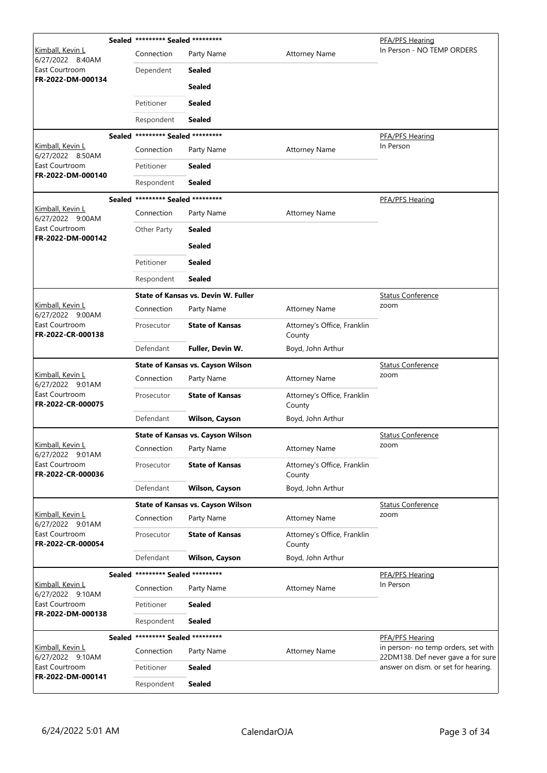|                                             |            | Sealed ********* Sealed ********* |                                          |                                       | PFA/PFS Hearing                                                           |
|---------------------------------------------|------------|-----------------------------------|------------------------------------------|---------------------------------------|---------------------------------------------------------------------------|
| Kimball, Kevin L<br>6/27/2022 8:40AM        |            | Connection                        | Party Name                               | <b>Attorney Name</b>                  | In Person - NO TEMP ORDERS                                                |
| East Courtroom                              |            | Dependent                         | <b>Sealed</b>                            |                                       |                                                                           |
| FR-2022-DM-000134                           |            |                                   | <b>Sealed</b>                            |                                       |                                                                           |
|                                             |            | Petitioner                        | <b>Sealed</b>                            |                                       |                                                                           |
|                                             |            | Respondent                        | <b>Sealed</b>                            |                                       |                                                                           |
|                                             |            | Sealed ********* Sealed ********* |                                          |                                       | PFA/PFS Hearing                                                           |
| Kimball, Kevin L<br>6/27/2022 8:50AM        |            | Connection                        | Party Name                               | <b>Attorney Name</b>                  | In Person                                                                 |
| East Courtroom                              |            | Petitioner                        | <b>Sealed</b>                            |                                       |                                                                           |
| FR-2022-DM-000140                           |            | Respondent                        | <b>Sealed</b>                            |                                       |                                                                           |
|                                             |            | Sealed ********* Sealed ********* |                                          |                                       | PFA/PFS Hearing                                                           |
| Kimball, Kevin L<br>6/27/2022 9:00AM        |            | Connection                        | Party Name                               | <b>Attorney Name</b>                  |                                                                           |
| East Courtroom                              |            | Other Party                       | <b>Sealed</b>                            |                                       |                                                                           |
| FR-2022-DM-000142                           |            |                                   | <b>Sealed</b>                            |                                       |                                                                           |
|                                             |            | Petitioner                        | <b>Sealed</b>                            |                                       |                                                                           |
|                                             |            | Respondent                        | <b>Sealed</b>                            |                                       |                                                                           |
|                                             |            |                                   | State of Kansas vs. Devin W. Fuller      |                                       | <b>Status Conference</b>                                                  |
| Kimball, Kevin L<br>6/27/2022 9:00AM        |            | Connection                        | Party Name                               | <b>Attorney Name</b>                  | zoom                                                                      |
| East Courtroom<br>FR-2022-CR-000138         | Prosecutor | <b>State of Kansas</b>            | Attorney's Office, Franklin<br>County    |                                       |                                                                           |
|                                             |            | Defendant                         | Fuller, Devin W.                         | Boyd, John Arthur                     |                                                                           |
|                                             |            |                                   | <b>State of Kansas vs. Cayson Wilson</b> |                                       | <b>Status Conference</b>                                                  |
| Kimball, Kevin L<br>6/27/2022 9:01AM        |            | Connection                        | Party Name                               | <b>Attorney Name</b>                  | zoom                                                                      |
| East Courtroom<br>FR-2022-CR-000075         |            | Prosecutor                        | <b>State of Kansas</b>                   | Attorney's Office, Franklin<br>County |                                                                           |
|                                             |            | Defendant                         | Wilson, Cayson                           | Boyd, John Arthur                     |                                                                           |
|                                             |            |                                   | <b>State of Kansas vs. Cayson Wilson</b> | <b>Status Conference</b>              |                                                                           |
| Kimball, Kevin L<br>6/27/2022 9:01AM        |            | Connection                        | Party Name                               | <b>Attorney Name</b>                  | zoom                                                                      |
| East Courtroom<br>FR-2022-CR-000036         |            | Prosecutor                        | <b>State of Kansas</b>                   | Attorney's Office, Franklin<br>County |                                                                           |
|                                             |            | Defendant                         | <b>Wilson, Cayson</b>                    | Boyd, John Arthur                     |                                                                           |
|                                             |            |                                   | <b>State of Kansas vs. Cayson Wilson</b> |                                       | <b>Status Conference</b>                                                  |
| Kimball, Kevin L<br>6/27/2022 9:01AM        |            | Connection                        | Party Name                               | <b>Attorney Name</b>                  | zoom                                                                      |
| East Courtroom<br>FR-2022-CR-000054         |            | Prosecutor                        | <b>State of Kansas</b>                   | Attorney's Office, Franklin<br>County |                                                                           |
|                                             |            | Defendant                         | <b>Wilson, Cayson</b>                    | Boyd, John Arthur                     |                                                                           |
|                                             |            | Sealed ********* Sealed ********* |                                          |                                       | PFA/PFS Hearing                                                           |
| Kimball, Kevin L<br>6/27/2022 9:10AM        |            | Connection                        | Party Name                               | <b>Attorney Name</b>                  | In Person                                                                 |
| East Courtroom<br>FR-2022-DM-000138         |            | Petitioner                        | <b>Sealed</b>                            |                                       |                                                                           |
|                                             |            | Respondent                        | <b>Sealed</b>                            |                                       |                                                                           |
|                                             | Sealed     | ********* Sealed *********        |                                          |                                       | PFA/PFS Hearing                                                           |
| <u>Kimball, Kevin L</u><br>6/27/2022 9:10AM |            | Connection                        | Party Name                               | <b>Attorney Name</b>                  | in person- no temp orders, set with<br>22DM138. Def never gave a for sure |
| East Courtroom<br>FR-2022-DM-000141         |            | Petitioner                        | Sealed                                   |                                       | answer on dism. or set for hearing.                                       |
|                                             |            | Respondent                        | <b>Sealed</b>                            |                                       |                                                                           |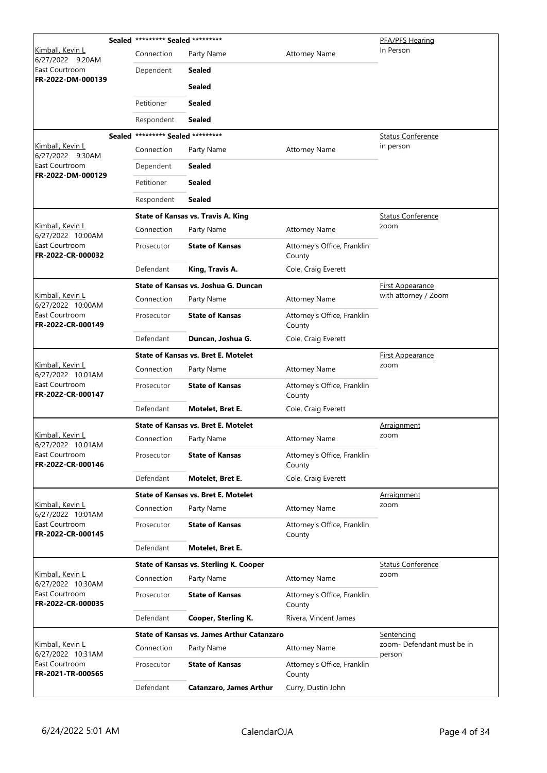|                                              | Sealed ********* Sealed ********* |                                                   |                                       | PFA/PFS Hearing                      |
|----------------------------------------------|-----------------------------------|---------------------------------------------------|---------------------------------------|--------------------------------------|
| Kimball, Kevin L<br>6/27/2022 9:20AM         | Connection                        | Party Name                                        | <b>Attorney Name</b>                  | In Person                            |
| East Courtroom<br>FR-2022-DM-000139          | Dependent                         | Sealed                                            |                                       |                                      |
|                                              |                                   | <b>Sealed</b>                                     |                                       |                                      |
|                                              | Petitioner                        | <b>Sealed</b>                                     |                                       |                                      |
|                                              | Respondent                        | Sealed                                            |                                       |                                      |
|                                              | Sealed ********* Sealed ********* |                                                   |                                       | <b>Status Conference</b>             |
| Kimball, Kevin L<br>6/27/2022 9:30AM         | Connection                        | Party Name                                        | <b>Attorney Name</b>                  | in person                            |
| East Courtroom<br>FR-2022-DM-000129          | Dependent                         | <b>Sealed</b>                                     |                                       |                                      |
|                                              | Petitioner                        | <b>Sealed</b>                                     |                                       |                                      |
|                                              | Respondent                        | <b>Sealed</b>                                     |                                       |                                      |
|                                              |                                   | <b>State of Kansas vs. Travis A. King</b>         |                                       | <b>Status Conference</b>             |
| Kimball, Kevin L<br>6/27/2022 10:00AM        | Connection                        | Party Name                                        | <b>Attorney Name</b>                  | zoom                                 |
| East Courtroom<br>FR-2022-CR-000032          | Prosecutor                        | <b>State of Kansas</b>                            | Attorney's Office, Franklin<br>County |                                      |
|                                              | Defendant                         | King, Travis A.                                   | Cole, Craig Everett                   |                                      |
|                                              |                                   | State of Kansas vs. Joshua G. Duncan              |                                       | First Appearance                     |
| <u>Kimball, Kevin L</u><br>6/27/2022 10:00AM | Connection                        | Party Name                                        | <b>Attorney Name</b>                  | with attorney / Zoom                 |
| East Courtroom<br>FR-2022-CR-000149          | Prosecutor                        | <b>State of Kansas</b>                            | Attorney's Office, Franklin<br>County |                                      |
|                                              | Defendant                         | Duncan, Joshua G.                                 | Cole, Craig Everett                   |                                      |
|                                              |                                   | <b>State of Kansas vs. Bret E. Motelet</b>        |                                       | <b>First Appearance</b>              |
| Kimball, Kevin L<br>6/27/2022 10:01AM        | Connection                        | Party Name                                        | <b>Attorney Name</b>                  | zoom                                 |
| East Courtroom<br>FR-2022-CR-000147          | Prosecutor                        | <b>State of Kansas</b>                            | Attorney's Office, Franklin<br>County |                                      |
|                                              | Defendant                         | Motelet, Bret E.                                  | Cole, Craig Everett                   |                                      |
|                                              |                                   | <b>State of Kansas vs. Bret E. Motelet</b>        |                                       | <u>Arraignment</u>                   |
| Kimball, Kevin L<br>6/27/2022 10:01AM        | Connection                        | Party Name                                        | <b>Attorney Name</b>                  | zoom                                 |
| East Courtroom<br>FR-2022-CR-000146          | Prosecutor                        | <b>State of Kansas</b>                            | Attorney's Office, Franklin<br>County |                                      |
|                                              | Defendant                         | Motelet, Bret E.                                  | Cole, Craig Everett                   |                                      |
|                                              |                                   | <b>State of Kansas vs. Bret E. Motelet</b>        |                                       | Arraignment                          |
| Kimball, Kevin L<br>6/27/2022 10:01AM        | Connection                        | Party Name                                        | <b>Attorney Name</b>                  | zoom                                 |
| East Courtroom<br>FR-2022-CR-000145          | Prosecutor                        | <b>State of Kansas</b>                            | Attorney's Office, Franklin<br>County |                                      |
|                                              | Defendant                         | Motelet, Bret E.                                  |                                       |                                      |
|                                              |                                   | <b>State of Kansas vs. Sterling K. Cooper</b>     |                                       | <b>Status Conference</b>             |
| Kimball, Kevin L<br>6/27/2022 10:30AM        | Connection                        | Party Name                                        | <b>Attorney Name</b>                  | zoom                                 |
| East Courtroom<br>FR-2022-CR-000035          | Prosecutor                        | <b>State of Kansas</b>                            | Attorney's Office, Franklin<br>County |                                      |
|                                              | Defendant                         | Cooper, Sterling K.                               | Rivera, Vincent James                 |                                      |
|                                              |                                   | <b>State of Kansas vs. James Arthur Catanzaro</b> |                                       | <b>Sentencing</b>                    |
| <u>Kimball, Kevin L</u><br>6/27/2022 10:31AM | Connection                        | Party Name                                        | <b>Attorney Name</b>                  | zoom- Defendant must be in<br>person |
| East Courtroom<br>FR-2021-TR-000565          | Prosecutor                        | <b>State of Kansas</b>                            | Attorney's Office, Franklin<br>County |                                      |
|                                              | Defendant                         | <b>Catanzaro, James Arthur</b>                    | Curry, Dustin John                    |                                      |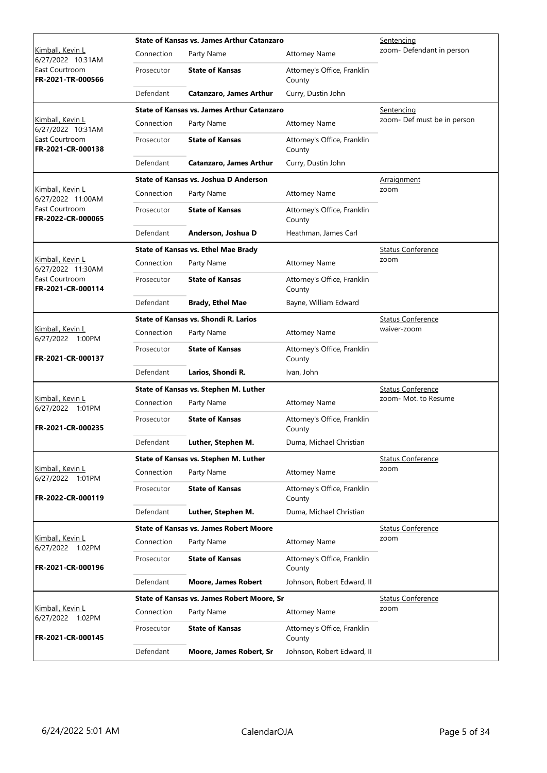|                                       |            | State of Kansas vs. James Arthur Catanzaro        | <u>Sentencing</u>                     |                             |
|---------------------------------------|------------|---------------------------------------------------|---------------------------------------|-----------------------------|
| Kimball, Kevin L<br>6/27/2022 10:31AM | Connection | Party Name                                        | <b>Attorney Name</b>                  | zoom- Defendant in person   |
| East Courtroom<br>FR-2021-TR-000566   | Prosecutor | <b>State of Kansas</b>                            | Attorney's Office, Franklin<br>County |                             |
|                                       | Defendant  | <b>Catanzaro, James Arthur</b>                    | Curry, Dustin John                    |                             |
|                                       |            | <b>State of Kansas vs. James Arthur Catanzaro</b> |                                       | Sentencing                  |
| Kimball, Kevin L<br>6/27/2022 10:31AM | Connection | Party Name                                        | <b>Attorney Name</b>                  | zoom- Def must be in person |
| East Courtroom<br>FR-2021-CR-000138   | Prosecutor | <b>State of Kansas</b>                            | Attorney's Office, Franklin<br>County |                             |
|                                       | Defendant  | <b>Catanzaro, James Arthur</b>                    | Curry, Dustin John                    |                             |
|                                       |            | State of Kansas vs. Joshua D Anderson             |                                       | <u>Arraignment</u>          |
| Kimball, Kevin L<br>6/27/2022 11:00AM | Connection | Party Name                                        | <b>Attorney Name</b>                  | zoom                        |
| East Courtroom<br>FR-2022-CR-000065   | Prosecutor | <b>State of Kansas</b>                            | Attorney's Office, Franklin<br>County |                             |
|                                       | Defendant  | Anderson, Joshua D                                | Heathman, James Carl                  |                             |
|                                       |            | <b>State of Kansas vs. Ethel Mae Brady</b>        |                                       | <b>Status Conference</b>    |
| Kimball, Kevin L<br>6/27/2022 11:30AM | Connection | Party Name                                        | <b>Attorney Name</b>                  | zoom                        |
| East Courtroom<br>FR-2021-CR-000114   | Prosecutor | <b>State of Kansas</b>                            | Attorney's Office, Franklin<br>County |                             |
|                                       | Defendant  | <b>Brady, Ethel Mae</b>                           | Bayne, William Edward                 |                             |
|                                       |            | State of Kansas vs. Shondi R. Larios              |                                       | <b>Status Conference</b>    |
| Kimball, Kevin L<br>6/27/2022 1:00PM  | Connection | Party Name                                        | <b>Attorney Name</b>                  | waiver-zoom                 |
| FR-2021-CR-000137                     | Prosecutor | <b>State of Kansas</b>                            | Attorney's Office, Franklin<br>County |                             |
|                                       | Defendant  | Larios, Shondi R.                                 | Ivan, John                            |                             |
|                                       |            | State of Kansas vs. Stephen M. Luther             | <b>Status Conference</b>              |                             |
| Kimball, Kevin L<br>6/27/2022 1:01PM  | Connection | Party Name                                        | <b>Attorney Name</b>                  | zoom- Mot. to Resume        |
| FR-2021-CR-000235                     | Prosecutor | <b>State of Kansas</b>                            | Attorney's Office, Franklin<br>County |                             |
|                                       | Defendant  | Luther, Stephen M.                                | Duma, Michael Christian               |                             |
|                                       |            | State of Kansas vs. Stephen M. Luther             |                                       | <b>Status Conference</b>    |
| Kimball, Kevin L<br>6/27/2022 1:01PM  | Connection | Party Name                                        | <b>Attorney Name</b>                  | zoom                        |
| FR-2022-CR-000119                     | Prosecutor | <b>State of Kansas</b>                            | Attorney's Office, Franklin<br>County |                             |
|                                       | Defendant  | Luther, Stephen M.                                | Duma, Michael Christian               |                             |
|                                       |            | <b>State of Kansas vs. James Robert Moore</b>     |                                       | <b>Status Conference</b>    |
| Kimball, Kevin L<br>6/27/2022 1:02PM  | Connection | Party Name                                        | <b>Attorney Name</b>                  | zoom                        |
| FR-2021-CR-000196                     | Prosecutor | <b>State of Kansas</b>                            | Attorney's Office, Franklin<br>County |                             |
|                                       | Defendant  | <b>Moore, James Robert</b>                        | Johnson, Robert Edward, II            |                             |
|                                       |            | State of Kansas vs. James Robert Moore, Sr        |                                       | <b>Status Conference</b>    |
| Kimball, Kevin L<br>6/27/2022 1:02PM  | Connection | Party Name                                        | <b>Attorney Name</b>                  | zoom                        |
| FR-2021-CR-000145                     | Prosecutor | <b>State of Kansas</b>                            | Attorney's Office, Franklin<br>County |                             |
|                                       | Defendant  | Moore, James Robert, Sr                           | Johnson, Robert Edward, II            |                             |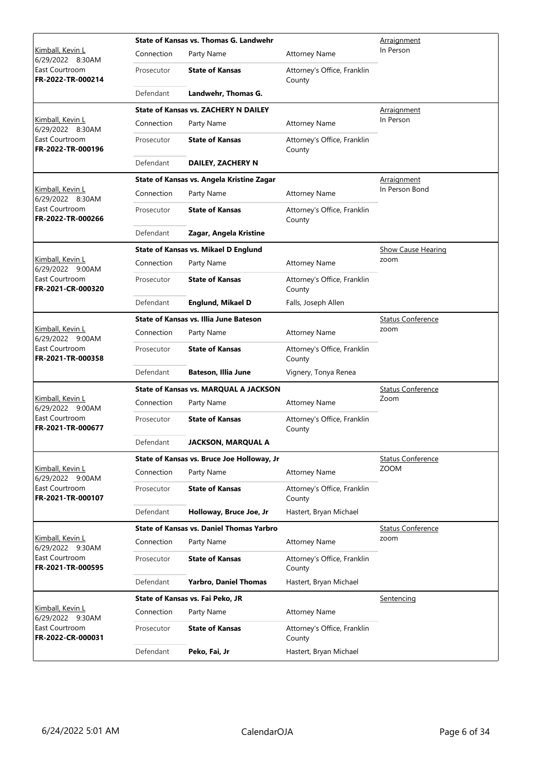|                                             |            | State of Kansas vs. Thomas G. Landwehr       | Arraignment                           |                           |
|---------------------------------------------|------------|----------------------------------------------|---------------------------------------|---------------------------|
| <u>Kimball, Kevin L</u><br>6/29/2022 8:30AM | Connection | Party Name                                   | <b>Attorney Name</b>                  | In Person                 |
| East Courtroom<br>FR-2022-TR-000214         | Prosecutor | <b>State of Kansas</b>                       | Attorney's Office, Franklin<br>County |                           |
|                                             | Defendant  | Landwehr, Thomas G.                          |                                       |                           |
|                                             |            | <b>State of Kansas vs. ZACHERY N DAILEY</b>  |                                       | <b>Arraignment</b>        |
| Kimball, Kevin L<br>6/29/2022 8:30AM        | Connection | Party Name                                   | <b>Attorney Name</b>                  | In Person                 |
| East Courtroom<br>FR-2022-TR-000196         | Prosecutor | <b>State of Kansas</b>                       | Attorney's Office, Franklin<br>County |                           |
|                                             | Defendant  | DAILEY, ZACHERY N                            |                                       |                           |
|                                             |            | State of Kansas vs. Angela Kristine Zagar    |                                       | <b>Arraignment</b>        |
| Kimball, Kevin L<br>6/29/2022 8:30AM        | Connection | Party Name                                   | <b>Attorney Name</b>                  | In Person Bond            |
| East Courtroom<br>FR-2022-TR-000266         | Prosecutor | <b>State of Kansas</b>                       | Attorney's Office, Franklin<br>County |                           |
|                                             | Defendant  | Zagar, Angela Kristine                       |                                       |                           |
|                                             |            | <b>State of Kansas vs. Mikael D Englund</b>  |                                       | <b>Show Cause Hearing</b> |
| <u>Kimball, Kevin L</u><br>6/29/2022 9:00AM | Connection | Party Name                                   | <b>Attorney Name</b>                  | zoom                      |
| East Courtroom<br>FR-2021-CR-000320         | Prosecutor | <b>State of Kansas</b>                       | Attorney's Office, Franklin<br>County |                           |
|                                             | Defendant  | <b>Englund, Mikael D</b>                     | Falls, Joseph Allen                   |                           |
| Kimball, Kevin L<br>6/29/2022 9:00AM        |            | State of Kansas vs. Illia June Bateson       | <b>Status Conference</b>              |                           |
|                                             | Connection | Party Name                                   | <b>Attorney Name</b>                  | zoom                      |
| East Courtroom<br>FR-2021-TR-000358         | Prosecutor | <b>State of Kansas</b>                       | Attorney's Office, Franklin<br>County |                           |
|                                             | Defendant  | <b>Bateson, Illia June</b>                   | Vignery, Tonya Renea                  |                           |
|                                             |            | <b>State of Kansas vs. MARQUAL A JACKSON</b> | <b>Status Conference</b>              |                           |
| Kimball, Kevin L<br>6/29/2022 9:00AM        | Connection | Party Name                                   | <b>Attorney Name</b>                  | Zoom                      |
| East Courtroom<br>FR-2021-TR-000677         | Prosecutor | <b>State of Kansas</b>                       | Attorney's Office, Franklin<br>County |                           |
|                                             | Defendant  | <b>JACKSON, MARQUAL A</b>                    |                                       |                           |
|                                             |            | State of Kansas vs. Bruce Joe Holloway, Jr   |                                       | <b>Status Conference</b>  |
| Kimball, Kevin L<br>6/29/2022 9:00AM        | Connection | Party Name                                   | <b>Attorney Name</b>                  | ZOOM                      |
| East Courtroom<br>FR-2021-TR-000107         | Prosecutor | <b>State of Kansas</b>                       | Attorney's Office, Franklin<br>County |                           |
|                                             | Defendant  | Holloway, Bruce Joe, Jr                      | Hastert, Bryan Michael                |                           |
|                                             |            | State of Kansas vs. Daniel Thomas Yarbro     |                                       | <b>Status Conference</b>  |
| Kimball, Kevin L<br>6/29/2022 9:30AM        | Connection | Party Name                                   | <b>Attorney Name</b>                  | zoom                      |
| East Courtroom<br>FR-2021-TR-000595         | Prosecutor | <b>State of Kansas</b>                       | Attorney's Office, Franklin<br>County |                           |
|                                             | Defendant  | <b>Yarbro, Daniel Thomas</b>                 | Hastert, Bryan Michael                |                           |
|                                             |            | State of Kansas vs. Fai Peko, JR             |                                       | Sentencing                |
| <u>Kimball, Kevin L</u><br>6/29/2022 9:30AM | Connection | Party Name                                   | <b>Attorney Name</b>                  |                           |
| East Courtroom<br>FR-2022-CR-000031         | Prosecutor | <b>State of Kansas</b>                       | Attorney's Office, Franklin<br>County |                           |
|                                             | Defendant  | Peko, Fai, Jr                                | Hastert, Bryan Michael                |                           |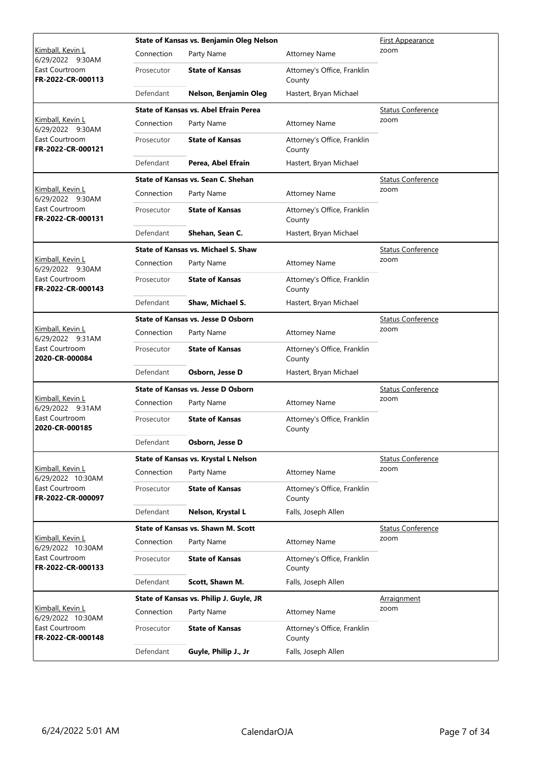|                                                                          |            | State of Kansas vs. Benjamin Oleg Nelson     | <u>First Appearance</u>               |                          |
|--------------------------------------------------------------------------|------------|----------------------------------------------|---------------------------------------|--------------------------|
| <u>Kimball, Kevin L</u><br>6/29/2022 9:30AM                              | Connection | Party Name                                   | <b>Attorney Name</b>                  | zoom                     |
| East Courtroom<br>FR-2022-CR-000113                                      | Prosecutor | <b>State of Kansas</b>                       | Attorney's Office, Franklin<br>County |                          |
|                                                                          | Defendant  | Nelson, Benjamin Oleg                        | Hastert, Bryan Michael                |                          |
|                                                                          |            | <b>State of Kansas vs. Abel Efrain Perea</b> |                                       | <b>Status Conference</b> |
| Kimball, Kevin L<br>6/29/2022 9:30AM                                     | Connection | Party Name                                   | <b>Attorney Name</b>                  | zoom                     |
| East Courtroom<br>FR-2022-CR-000121                                      | Prosecutor | <b>State of Kansas</b>                       | Attorney's Office, Franklin<br>County |                          |
|                                                                          | Defendant  | Perea, Abel Efrain                           | Hastert, Bryan Michael                |                          |
|                                                                          |            | State of Kansas vs. Sean C. Shehan           |                                       | <b>Status Conference</b> |
| Kimball, Kevin L<br>6/29/2022 9:30AM                                     | Connection | Party Name                                   | <b>Attorney Name</b>                  | zoom                     |
| East Courtroom<br>FR-2022-CR-000131                                      | Prosecutor | <b>State of Kansas</b>                       | Attorney's Office, Franklin<br>County |                          |
|                                                                          | Defendant  | Shehan, Sean C.                              | Hastert, Bryan Michael                |                          |
|                                                                          |            | State of Kansas vs. Michael S. Shaw          |                                       | <b>Status Conference</b> |
| <u>Kimball, Kevin L</u><br>6/29/2022 9:30AM                              | Connection | Party Name                                   | <b>Attorney Name</b>                  | zoom                     |
| East Courtroom<br>FR-2022-CR-000143                                      | Prosecutor | <b>State of Kansas</b>                       | Attorney's Office, Franklin<br>County |                          |
|                                                                          | Defendant  | Shaw, Michael S.                             | Hastert, Bryan Michael                |                          |
| Kimball, Kevin L<br>6/29/2022 9:31AM<br>East Courtroom<br>2020-CR-000084 |            | <b>State of Kansas vs. Jesse D Osborn</b>    |                                       | <b>Status Conference</b> |
|                                                                          | Connection | Party Name                                   | <b>Attorney Name</b>                  | zoom                     |
|                                                                          | Prosecutor | <b>State of Kansas</b>                       | Attorney's Office, Franklin<br>County |                          |
|                                                                          | Defendant  | Osborn, Jesse D                              | Hastert, Bryan Michael                |                          |
|                                                                          |            | State of Kansas vs. Jesse D Osborn           | <b>Status Conference</b>              |                          |
| <u>Kimball, Kevin L</u><br>6/29/2022 9:31AM                              | Connection | Party Name                                   | <b>Attorney Name</b>                  | zoom                     |
| East Courtroom<br>2020-CR-000185                                         | Prosecutor | <b>State of Kansas</b>                       | Attorney's Office, Franklin<br>County |                          |
|                                                                          | Defendant  | Osborn, Jesse D                              |                                       |                          |
|                                                                          |            | State of Kansas vs. Krystal L Nelson         |                                       | <b>Status Conference</b> |
| Kimball, Kevin L<br>6/29/2022 10:30AM                                    | Connection | Party Name                                   | <b>Attorney Name</b>                  | zoom                     |
| East Courtroom<br>FR-2022-CR-000097                                      | Prosecutor | <b>State of Kansas</b>                       | Attorney's Office, Franklin<br>County |                          |
|                                                                          | Defendant  | Nelson, Krystal L                            | Falls, Joseph Allen                   |                          |
|                                                                          |            | <b>State of Kansas vs. Shawn M. Scott</b>    |                                       | <b>Status Conference</b> |
| Kimball, Kevin L<br>6/29/2022 10:30AM                                    | Connection | Party Name                                   | <b>Attorney Name</b>                  | zoom                     |
| East Courtroom<br>FR-2022-CR-000133                                      | Prosecutor | <b>State of Kansas</b>                       | Attorney's Office, Franklin<br>County |                          |
|                                                                          | Defendant  | Scott, Shawn M.                              | Falls, Joseph Allen                   |                          |
|                                                                          |            | State of Kansas vs. Philip J. Guyle, JR      |                                       | Arraignment              |
| Kimball, Kevin L<br>6/29/2022 10:30AM                                    | Connection | Party Name                                   | <b>Attorney Name</b>                  | zoom                     |
| East Courtroom<br>FR-2022-CR-000148                                      | Prosecutor | <b>State of Kansas</b>                       | Attorney's Office, Franklin<br>County |                          |
|                                                                          | Defendant  | Guyle, Philip J., Jr                         | Falls, Joseph Allen                   |                          |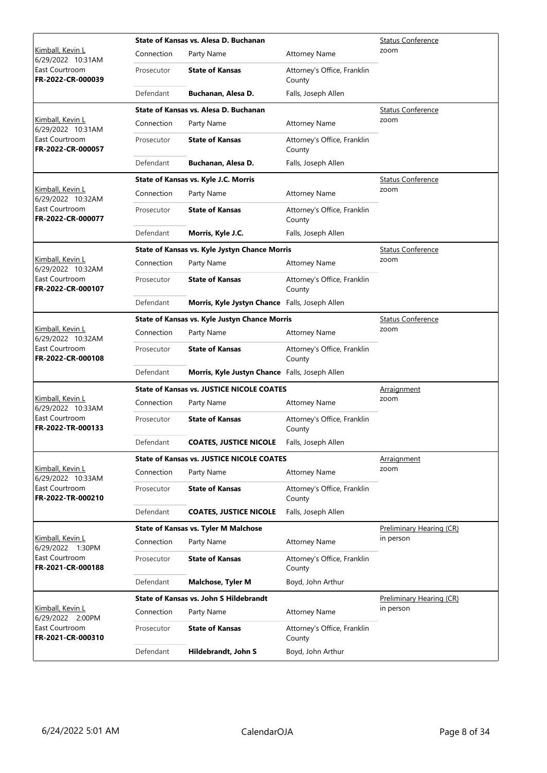|                                              |            | State of Kansas vs. Alesa D. Buchanan            | <b>Status Conference</b>              |                          |
|----------------------------------------------|------------|--------------------------------------------------|---------------------------------------|--------------------------|
| <u>Kimball, Kevin L</u><br>6/29/2022 10:31AM | Connection | Party Name                                       | <b>Attorney Name</b>                  | zoom                     |
| East Courtroom<br>FR-2022-CR-000039          | Prosecutor | <b>State of Kansas</b>                           | Attorney's Office, Franklin<br>County |                          |
|                                              | Defendant  | Buchanan, Alesa D.                               | Falls, Joseph Allen                   |                          |
|                                              |            | State of Kansas vs. Alesa D. Buchanan            |                                       | <b>Status Conference</b> |
| Kimball, Kevin L<br>6/29/2022 10:31AM        | Connection | Party Name                                       | <b>Attorney Name</b>                  | zoom                     |
| East Courtroom<br>FR-2022-CR-000057          | Prosecutor | <b>State of Kansas</b>                           | Attorney's Office, Franklin<br>County |                          |
|                                              | Defendant  | Buchanan, Alesa D.                               | Falls, Joseph Allen                   |                          |
|                                              |            | State of Kansas vs. Kyle J.C. Morris             |                                       | <b>Status Conference</b> |
| Kimball, Kevin L<br>6/29/2022 10:32AM        | Connection | Party Name                                       | <b>Attorney Name</b>                  | zoom                     |
| East Courtroom<br>FR-2022-CR-000077          | Prosecutor | <b>State of Kansas</b>                           | Attorney's Office, Franklin<br>County |                          |
|                                              | Defendant  | Morris, Kyle J.C.                                | Falls, Joseph Allen                   |                          |
|                                              |            | State of Kansas vs. Kyle Jystyn Chance Morris    |                                       | <b>Status Conference</b> |
| <u>Kimball, Kevin L</u><br>6/29/2022 10:32AM | Connection | Party Name                                       | <b>Attorney Name</b>                  | zoom                     |
| East Courtroom<br>FR-2022-CR-000107          | Prosecutor | <b>State of Kansas</b>                           | Attorney's Office, Franklin<br>County |                          |
|                                              | Defendant  | Morris, Kyle Jystyn Chance Falls, Joseph Allen   |                                       |                          |
|                                              |            | State of Kansas vs. Kyle Justyn Chance Morris    | <b>Status Conference</b>              |                          |
| Kimball, Kevin L<br>6/29/2022 10:32AM        | Connection | Party Name                                       | <b>Attorney Name</b>                  | zoom                     |
| East Courtroom<br>FR-2022-CR-000108          | Prosecutor | <b>State of Kansas</b>                           | Attorney's Office, Franklin<br>County |                          |
|                                              | Defendant  | Morris, Kyle Justyn Chance Falls, Joseph Allen   |                                       |                          |
|                                              |            | <b>State of Kansas vs. JUSTICE NICOLE COATES</b> | <u>Arraignment</u>                    |                          |
| Kimball, Kevin L<br>6/29/2022 10:33AM        | Connection | Party Name                                       | <b>Attorney Name</b>                  | zoom                     |
| East Courtroom<br>FR-2022-TR-000133          | Prosecutor | <b>State of Kansas</b>                           | Attorney's Office, Franklin<br>County |                          |
|                                              | Defendant  | <b>COATES, JUSTICE NICOLE</b>                    | Falls, Joseph Allen                   |                          |
|                                              |            | <b>State of Kansas vs. JUSTICE NICOLE COATES</b> |                                       | Arraignment              |
| Kimball, Kevin L<br>6/29/2022 10:33AM        | Connection | Party Name                                       | <b>Attorney Name</b>                  | zoom                     |
| East Courtroom<br>FR-2022-TR-000210          | Prosecutor | <b>State of Kansas</b>                           | Attorney's Office, Franklin<br>County |                          |
|                                              | Defendant  | <b>COATES, JUSTICE NICOLE</b>                    | Falls, Joseph Allen                   |                          |
|                                              |            | <b>State of Kansas vs. Tyler M Malchose</b>      |                                       | Preliminary Hearing (CR) |
| Kimball, Kevin L<br>6/29/2022 1:30PM         | Connection | Party Name                                       | <b>Attorney Name</b>                  | in person                |
| East Courtroom<br>FR-2021-CR-000188          | Prosecutor | <b>State of Kansas</b>                           | Attorney's Office, Franklin<br>County |                          |
|                                              | Defendant  | <b>Malchose, Tyler M</b>                         | Boyd, John Arthur                     |                          |
|                                              |            | State of Kansas vs. John S Hildebrandt           |                                       | Preliminary Hearing (CR) |
| <u>Kimball, Kevin L</u><br>6/29/2022 2:00PM  | Connection | Party Name                                       | <b>Attorney Name</b>                  | in person                |
| East Courtroom<br>FR-2021-CR-000310          | Prosecutor | <b>State of Kansas</b>                           | Attorney's Office, Franklin<br>County |                          |
|                                              | Defendant  | Hildebrandt, John S                              | Boyd, John Arthur                     |                          |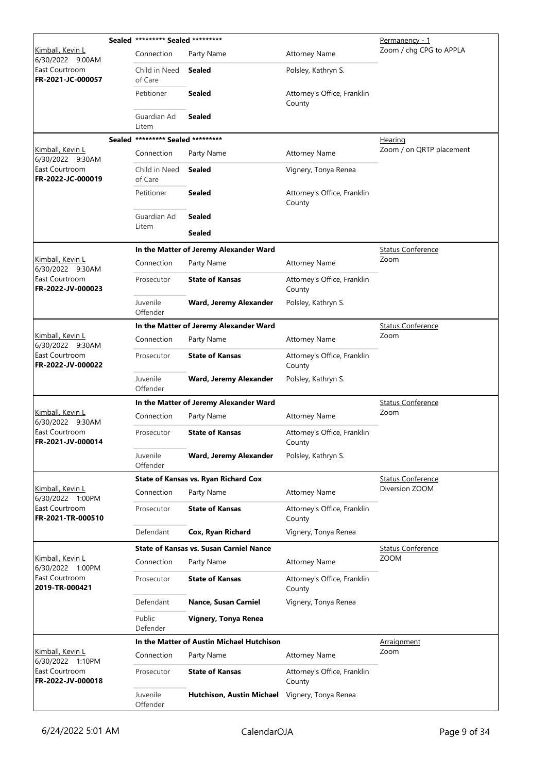|                                             | Sealed ********* Sealed ********* |                                                |                                       | Permanency - 1           |
|---------------------------------------------|-----------------------------------|------------------------------------------------|---------------------------------------|--------------------------|
| <u>Kimball, Kevin L</u><br>6/30/2022 9:00AM | Connection                        | Party Name                                     | <b>Attorney Name</b>                  | Zoom / chg CPG to APPLA  |
| East Courtroom<br>FR-2021-JC-000057         | Child in Need<br>of Care          | Sealed                                         | Polsley, Kathryn S.                   |                          |
|                                             | Petitioner                        | <b>Sealed</b>                                  | Attorney's Office, Franklin<br>County |                          |
|                                             | Guardian Ad<br>Litem              | <b>Sealed</b>                                  |                                       |                          |
|                                             | Sealed ********* Sealed ********* |                                                |                                       | Hearing                  |
| Kimball, Kevin L<br>6/30/2022 9:30AM        | Connection                        | Party Name                                     | <b>Attorney Name</b>                  | Zoom / on QRTP placement |
| East Courtroom<br>FR-2022-JC-000019         | Child in Need<br>of Care          | Sealed                                         | Vignery, Tonya Renea                  |                          |
|                                             | Petitioner                        | <b>Sealed</b>                                  | Attorney's Office, Franklin<br>County |                          |
|                                             | Guardian Ad                       | <b>Sealed</b>                                  |                                       |                          |
|                                             | Litem                             | <b>Sealed</b>                                  |                                       |                          |
|                                             |                                   | In the Matter of Jeremy Alexander Ward         |                                       | <b>Status Conference</b> |
| Kimball, Kevin L<br>6/30/2022 9:30AM        | Connection                        | Party Name                                     | <b>Attorney Name</b>                  | Zoom                     |
| East Courtroom<br>FR-2022-JV-000023         | Prosecutor                        | <b>State of Kansas</b>                         | Attorney's Office, Franklin<br>County |                          |
|                                             | Juvenile<br>Offender              | Ward, Jeremy Alexander                         | Polsley, Kathryn S.                   |                          |
|                                             |                                   | In the Matter of Jeremy Alexander Ward         |                                       | <b>Status Conference</b> |
| <u>Kimball, Kevin L</u><br>6/30/2022 9:30AM | Connection                        | Party Name                                     | <b>Attorney Name</b>                  | Zoom                     |
| East Courtroom<br>FR-2022-JV-000022         | Prosecutor                        | <b>State of Kansas</b>                         | Attorney's Office, Franklin<br>County |                          |
|                                             | Juvenile<br>Offender              | Ward, Jeremy Alexander                         | Polsley, Kathryn S.                   |                          |
|                                             |                                   | In the Matter of Jeremy Alexander Ward         |                                       | <b>Status Conference</b> |
| Kimball, Kevin L<br>6/30/2022 9:30AM        | Connection                        | Party Name                                     | <b>Attorney Name</b>                  | Zoom                     |
| East Courtroom<br>FR-2021-JV-000014         | Prosecutor                        | <b>State of Kansas</b>                         | Attorney's Office, Franklin<br>County |                          |
|                                             | Juvenile<br>Offender              | Ward, Jeremy Alexander                         | Polsley, Kathryn S.                   |                          |
|                                             |                                   | <b>State of Kansas vs. Ryan Richard Cox</b>    |                                       | <b>Status Conference</b> |
| Kimball, Kevin L<br>6/30/2022 1:00PM        | Connection                        | Party Name                                     | <b>Attorney Name</b>                  | Diversion ZOOM           |
| East Courtroom<br>FR-2021-TR-000510         | Prosecutor                        | <b>State of Kansas</b>                         | Attorney's Office, Franklin<br>County |                          |
|                                             | Defendant                         | Cox, Ryan Richard                              | Vignery, Tonya Renea                  |                          |
|                                             |                                   | <b>State of Kansas vs. Susan Carniel Nance</b> |                                       | <b>Status Conference</b> |
| <u>Kimball, Kevin L</u><br>6/30/2022 1:00PM | Connection                        | Party Name                                     | <b>Attorney Name</b>                  | <b>ZOOM</b>              |
| East Courtroom<br>2019-TR-000421            | Prosecutor                        | <b>State of Kansas</b>                         | Attorney's Office, Franklin<br>County |                          |
|                                             | Defendant                         | Nance, Susan Carniel                           | Vignery, Tonya Renea                  |                          |
|                                             | Public<br>Defender                | Vignery, Tonya Renea                           |                                       |                          |
|                                             |                                   | In the Matter of Austin Michael Hutchison      |                                       | <b>Arraignment</b>       |
| Kimball, Kevin L<br>6/30/2022 1:10PM        | Connection                        | Party Name                                     | <b>Attorney Name</b>                  | Zoom                     |
| East Courtroom<br>FR-2022-JV-000018         | Prosecutor                        | <b>State of Kansas</b>                         | Attorney's Office, Franklin<br>County |                          |
|                                             | Juvenile<br>Offender              | Hutchison, Austin Michael Vignery, Tonya Renea |                                       |                          |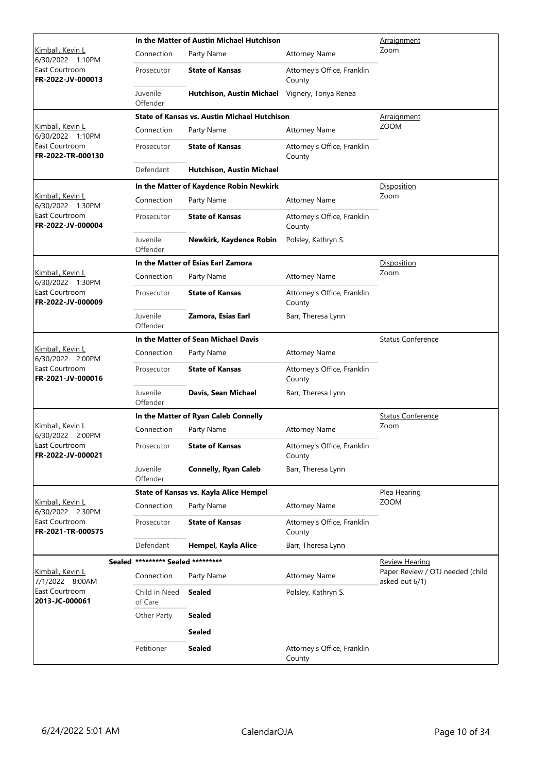|                                      |                                   | In the Matter of Austin Michael Hutchison           | <u>Arraignment</u>                    |                                                    |
|--------------------------------------|-----------------------------------|-----------------------------------------------------|---------------------------------------|----------------------------------------------------|
| Kimball, Kevin L<br>6/30/2022 1:10PM | Connection                        | Party Name                                          | <b>Attorney Name</b>                  | Zoom                                               |
| East Courtroom<br>FR-2022-JV-000013  | Prosecutor                        | <b>State of Kansas</b>                              | Attorney's Office, Franklin<br>County |                                                    |
|                                      | Juvenile<br>Offender              | Hutchison, Austin Michael Vignery, Tonya Renea      |                                       |                                                    |
|                                      |                                   | <b>State of Kansas vs. Austin Michael Hutchison</b> |                                       | <u>Arraignment</u>                                 |
| Kimball, Kevin L<br>6/30/2022 1:10PM | Connection                        | Party Name                                          | <b>Attorney Name</b>                  | <b>ZOOM</b>                                        |
| East Courtroom<br>FR-2022-TR-000130  | Prosecutor                        | <b>State of Kansas</b>                              | Attorney's Office, Franklin<br>County |                                                    |
|                                      | Defendant                         | Hutchison, Austin Michael                           |                                       |                                                    |
|                                      |                                   | In the Matter of Kaydence Robin Newkirk             |                                       | Disposition                                        |
| Kimball, Kevin L<br>6/30/2022 1:30PM | Connection                        | Party Name                                          | <b>Attorney Name</b>                  | Zoom                                               |
| East Courtroom<br>FR-2022-JV-000004  | Prosecutor                        | <b>State of Kansas</b>                              | Attorney's Office, Franklin<br>County |                                                    |
|                                      | Juvenile<br>Offender              | Newkirk, Kaydence Robin                             | Polsley, Kathryn S.                   |                                                    |
|                                      |                                   | In the Matter of Esias Earl Zamora                  |                                       | Disposition                                        |
| Kimball, Kevin L<br>6/30/2022 1:30PM | Connection                        | Party Name                                          | <b>Attorney Name</b>                  | Zoom                                               |
| East Courtroom<br>FR-2022-JV-000009  | Prosecutor                        | <b>State of Kansas</b>                              | Attorney's Office, Franklin<br>County |                                                    |
|                                      | Juvenile<br>Offender              | Zamora, Esias Earl                                  | Barr, Theresa Lynn                    |                                                    |
|                                      |                                   | In the Matter of Sean Michael Davis                 |                                       | <b>Status Conference</b>                           |
| Kimball, Kevin L<br>6/30/2022 2:00PM | Connection                        | Party Name                                          | <b>Attorney Name</b>                  |                                                    |
| East Courtroom<br>FR-2021-JV-000016  | Prosecutor                        | <b>State of Kansas</b>                              | Attorney's Office, Franklin<br>County |                                                    |
|                                      | Juvenile<br>Offender              | Davis, Sean Michael                                 | Barr, Theresa Lynn                    |                                                    |
|                                      |                                   | In the Matter of Ryan Caleb Connelly                |                                       | <b>Status Conference</b>                           |
| Kimball, Kevin L<br>6/30/2022 2:00PM | Connection                        | Party Name                                          | <b>Attorney Name</b>                  | Zoom                                               |
| East Courtroom<br>FR-2022-JV-000021  | Prosecutor                        | <b>State of Kansas</b>                              | Attorney's Office, Franklin<br>County |                                                    |
|                                      | Juvenile<br>Offender              | <b>Connelly, Ryan Caleb</b>                         | Barr, Theresa Lynn                    |                                                    |
|                                      |                                   | State of Kansas vs. Kayla Alice Hempel              |                                       | <u>Plea Hearing</u>                                |
| Kimball, Kevin L<br>6/30/2022 2:30PM | Connection                        | Party Name                                          | <b>Attorney Name</b>                  | <b>ZOOM</b>                                        |
| East Courtroom<br>FR-2021-TR-000575  | Prosecutor                        | <b>State of Kansas</b>                              | Attorney's Office, Franklin<br>County |                                                    |
|                                      | Defendant                         | Hempel, Kayla Alice                                 | Barr, Theresa Lynn                    |                                                    |
|                                      | Sealed ********* Sealed ********* |                                                     |                                       | <b>Review Hearing</b>                              |
| Kimball, Kevin L<br>7/1/2022 8:00AM  | Connection                        | Party Name                                          | <b>Attorney Name</b>                  | Paper Review / OTJ needed (child<br>asked out 6/1) |
| East Courtroom<br>2013-JC-000061     | Child in Need<br>of Care          | Sealed                                              | Polsley, Kathryn S.                   |                                                    |
|                                      | Other Party                       | Sealed                                              |                                       |                                                    |
|                                      |                                   | <b>Sealed</b>                                       |                                       |                                                    |
|                                      | Petitioner                        | <b>Sealed</b>                                       | Attorney's Office, Franklin<br>County |                                                    |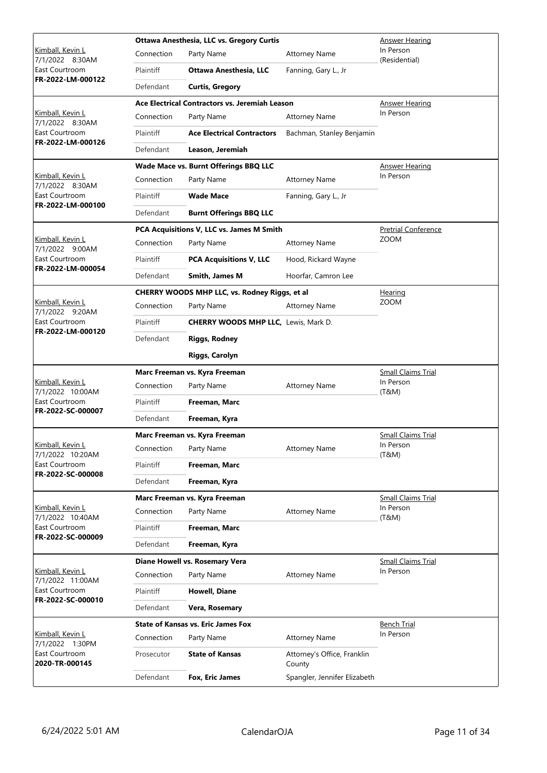|                                      |            | Ottawa Anesthesia, LLC vs. Gregory Curtis      | Answer Hearing                        |                            |
|--------------------------------------|------------|------------------------------------------------|---------------------------------------|----------------------------|
| Kimball, Kevin L<br>7/1/2022 8:30AM  | Connection | Party Name                                     | <b>Attorney Name</b>                  | In Person<br>(Residential) |
| East Courtroom                       | Plaintiff  | <b>Ottawa Anesthesia, LLC</b>                  | Fanning, Gary L., Jr                  |                            |
| FR-2022-LM-000122                    | Defendant  | <b>Curtis, Gregory</b>                         |                                       |                            |
|                                      |            | Ace Electrical Contractors vs. Jeremiah Leason |                                       | Answer Hearing             |
| Kimball, Kevin L<br>7/1/2022 8:30AM  | Connection | Party Name                                     | <b>Attorney Name</b>                  | In Person                  |
| East Courtroom                       | Plaintiff  | <b>Ace Electrical Contractors</b>              | Bachman, Stanley Benjamin             |                            |
| FR-2022-LM-000126                    | Defendant  | Leason, Jeremiah                               |                                       |                            |
|                                      |            | Wade Mace vs. Burnt Offerings BBQ LLC          |                                       | <b>Answer Hearing</b>      |
| Kimball, Kevin L<br>7/1/2022 8:30AM  | Connection | Party Name                                     | <b>Attorney Name</b>                  | In Person                  |
| East Courtroom                       | Plaintiff  | <b>Wade Mace</b>                               | Fanning, Gary L., Jr                  |                            |
| FR-2022-LM-000100                    | Defendant  | <b>Burnt Offerings BBQ LLC</b>                 |                                       |                            |
|                                      |            | PCA Acquisitions V, LLC vs. James M Smith      |                                       | <b>Pretrial Conference</b> |
| Kimball, Kevin L<br>7/1/2022 9:00AM  | Connection | Party Name                                     | <b>Attorney Name</b>                  | <b>ZOOM</b>                |
| East Courtroom                       | Plaintiff  | <b>PCA Acquisitions V, LLC</b>                 | Hood, Rickard Wayne                   |                            |
| FR-2022-LM-000054                    | Defendant  | <b>Smith, James M</b>                          | Hoorfar, Camron Lee                   |                            |
|                                      |            | CHERRY WOODS MHP LLC, vs. Rodney Riggs, et al  |                                       | <u>Hearing</u>             |
| Kimball, Kevin L<br>7/1/2022 9:20AM  | Connection | Party Name                                     | <b>Attorney Name</b>                  | <b>ZOOM</b>                |
| East Courtroom                       | Plaintiff  | <b>CHERRY WOODS MHP LLC, Lewis, Mark D.</b>    |                                       |                            |
| FR-2022-LM-000120                    | Defendant  | <b>Riggs, Rodney</b>                           |                                       |                            |
|                                      |            | <b>Riggs, Carolyn</b>                          |                                       |                            |
|                                      |            | Marc Freeman vs. Kyra Freeman                  | <b>Small Claims Trial</b>             |                            |
| Kimball, Kevin L<br>7/1/2022 10:00AM | Connection | Party Name<br><b>Attorney Name</b>             | In Person<br>(T&M)                    |                            |
| East Courtroom                       | Plaintiff  | Freeman, Marc                                  |                                       |                            |
| FR-2022-SC-000007                    | Defendant  | Freeman, Kyra                                  |                                       |                            |
|                                      |            | Marc Freeman vs. Kyra Freeman                  | <b>Small Claims Trial</b>             |                            |
| Kimball, Kevin L<br>7/1/2022 10:20AM | Connection | Party Name                                     | <b>Attorney Name</b>                  | In Person<br>(T&M)         |
| East Courtroom                       | Plaintiff  | Freeman, Marc                                  |                                       |                            |
| FR-2022-SC-000008                    | Defendant  | Freeman, Kyra                                  |                                       |                            |
|                                      |            | Marc Freeman vs. Kyra Freeman                  |                                       | <b>Small Claims Trial</b>  |
| Kimball, Kevin L<br>7/1/2022 10:40AM | Connection | Party Name                                     | <b>Attorney Name</b>                  | In Person<br>(T&M)         |
| East Courtroom                       | Plaintiff  | Freeman, Marc                                  |                                       |                            |
| FR-2022-SC-000009                    | Defendant  | Freeman, Kyra                                  |                                       |                            |
|                                      |            | Diane Howell vs. Rosemary Vera                 |                                       | <b>Small Claims Trial</b>  |
| Kimball, Kevin L<br>7/1/2022 11:00AM | Connection | Party Name                                     | <b>Attorney Name</b>                  | In Person                  |
| East Courtroom                       | Plaintiff  | Howell, Diane                                  |                                       |                            |
| FR-2022-SC-000010                    | Defendant  | Vera, Rosemary                                 |                                       |                            |
|                                      |            | <b>State of Kansas vs. Eric James Fox</b>      |                                       | <u>Bench Trial</u>         |
| Kimball, Kevin L<br>7/1/2022 1:30PM  | Connection | Party Name                                     | <b>Attorney Name</b>                  | In Person                  |
| East Courtroom<br>2020-TR-000145     | Prosecutor | <b>State of Kansas</b>                         | Attorney's Office, Franklin<br>County |                            |
|                                      | Defendant  | Fox, Eric James                                | Spangler, Jennifer Elizabeth          |                            |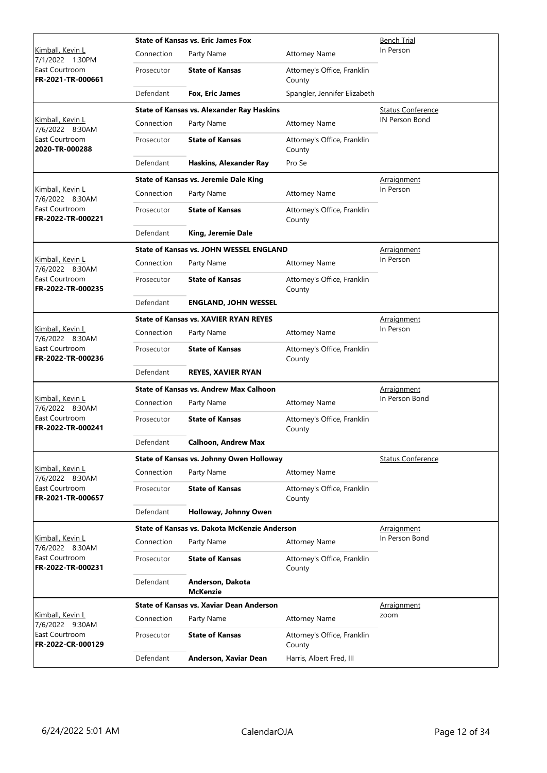|                                     |            | <b>State of Kansas vs. Eric James Fox</b>        | Bench Trial                           |                          |
|-------------------------------------|------------|--------------------------------------------------|---------------------------------------|--------------------------|
| Kimball, Kevin L<br>7/1/2022 1:30PM | Connection | Party Name                                       | <b>Attorney Name</b>                  | In Person                |
| East Courtroom<br>FR-2021-TR-000661 | Prosecutor | <b>State of Kansas</b>                           | Attorney's Office, Franklin<br>County |                          |
|                                     | Defendant  | Fox, Eric James                                  | Spangler, Jennifer Elizabeth          |                          |
|                                     |            | <b>State of Kansas vs. Alexander Ray Haskins</b> |                                       | <b>Status Conference</b> |
| Kimball, Kevin L<br>7/6/2022 8:30AM | Connection | Party Name                                       | <b>Attorney Name</b>                  | IN Person Bond           |
| East Courtroom<br>2020-TR-000288    | Prosecutor | <b>State of Kansas</b>                           | Attorney's Office, Franklin<br>County |                          |
|                                     | Defendant  | Haskins, Alexander Ray                           | Pro Se                                |                          |
|                                     |            | <b>State of Kansas vs. Jeremie Dale King</b>     |                                       | <b>Arraignment</b>       |
| Kimball, Kevin L<br>7/6/2022 8:30AM | Connection | Party Name                                       | <b>Attorney Name</b>                  | In Person                |
| East Courtroom<br>FR-2022-TR-000221 | Prosecutor | <b>State of Kansas</b>                           | Attorney's Office, Franklin<br>County |                          |
|                                     | Defendant  | King, Jeremie Dale                               |                                       |                          |
|                                     |            | <b>State of Kansas vs. JOHN WESSEL ENGLAND</b>   |                                       | <u>Arraignment</u>       |
| Kimball, Kevin L<br>7/6/2022 8:30AM | Connection | Party Name                                       | <b>Attorney Name</b>                  | In Person                |
| East Courtroom<br>FR-2022-TR-000235 | Prosecutor | <b>State of Kansas</b>                           | Attorney's Office, Franklin<br>County |                          |
|                                     | Defendant  | <b>ENGLAND, JOHN WESSEL</b>                      |                                       |                          |
|                                     |            | <b>State of Kansas vs. XAVIER RYAN REYES</b>     | <b>Arraignment</b>                    |                          |
| Kimball, Kevin L<br>7/6/2022 8:30AM | Connection | Party Name                                       | <b>Attorney Name</b>                  | In Person                |
| East Courtroom<br>FR-2022-TR-000236 | Prosecutor | <b>State of Kansas</b>                           | Attorney's Office, Franklin<br>County |                          |
|                                     | Defendant  | <b>REYES, XAVIER RYAN</b>                        |                                       |                          |
|                                     |            | <b>State of Kansas vs. Andrew Max Calhoon</b>    | Arraignment                           |                          |
| Kimball, Kevin L<br>7/6/2022 8:30AM | Connection | Party Name                                       | <b>Attorney Name</b>                  | In Person Bond           |
| East Courtroom<br>FR-2022-TR-000241 | Prosecutor | <b>State of Kansas</b>                           | Attorney's Office, Franklin<br>County |                          |
|                                     | Defendant  | <b>Calhoon, Andrew Max</b>                       |                                       |                          |
|                                     |            | State of Kansas vs. Johnny Owen Holloway         |                                       | <b>Status Conference</b> |
| Kimball, Kevin L<br>7/6/2022 8:30AM | Connection | Party Name                                       | <b>Attorney Name</b>                  |                          |
| East Courtroom<br>FR-2021-TR-000657 | Prosecutor | <b>State of Kansas</b>                           | Attorney's Office, Franklin<br>County |                          |
|                                     | Defendant  | Holloway, Johnny Owen                            |                                       |                          |
|                                     |            | State of Kansas vs. Dakota McKenzie Anderson     |                                       | Arraignment              |
| Kimball, Kevin L<br>7/6/2022 8:30AM | Connection | Party Name                                       | <b>Attorney Name</b>                  | In Person Bond           |
| East Courtroom<br>FR-2022-TR-000231 | Prosecutor | <b>State of Kansas</b>                           | Attorney's Office, Franklin<br>County |                          |
|                                     | Defendant  | Anderson, Dakota<br><b>McKenzie</b>              |                                       |                          |
|                                     |            | <b>State of Kansas vs. Xaviar Dean Anderson</b>  |                                       | Arraignment              |
| Kimball, Kevin L<br>7/6/2022 9:30AM | Connection | Party Name                                       | <b>Attorney Name</b>                  | zoom                     |
| East Courtroom<br>FR-2022-CR-000129 | Prosecutor | <b>State of Kansas</b>                           | Attorney's Office, Franklin<br>County |                          |
|                                     | Defendant  | Anderson, Xaviar Dean                            | Harris, Albert Fred, III              |                          |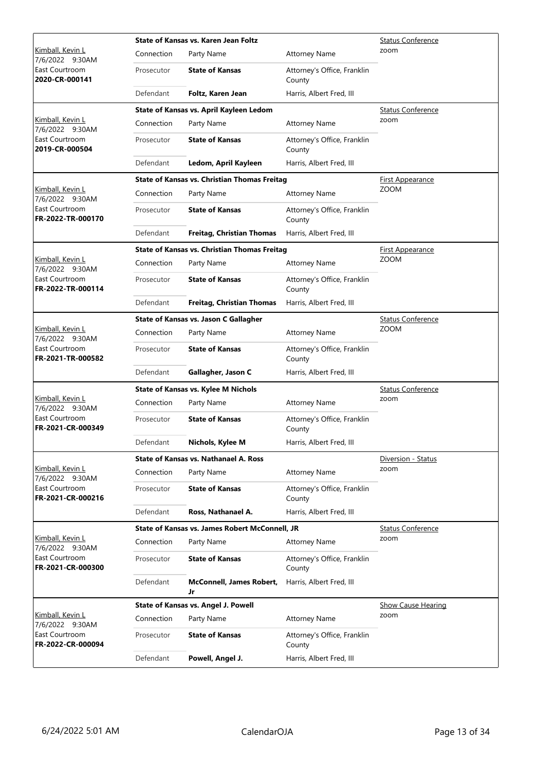|                                     |            | State of Kansas vs. Karen Jean Foltz                  | <b>Status Conference</b>              |                           |
|-------------------------------------|------------|-------------------------------------------------------|---------------------------------------|---------------------------|
| Kimball, Kevin L<br>7/6/2022 9:30AM | Connection | Party Name                                            | <b>Attorney Name</b>                  | zoom                      |
| East Courtroom<br>2020-CR-000141    | Prosecutor | <b>State of Kansas</b>                                | Attorney's Office, Franklin<br>County |                           |
|                                     | Defendant  | Foltz, Karen Jean                                     | Harris, Albert Fred, III              |                           |
|                                     |            | State of Kansas vs. April Kayleen Ledom               |                                       | <b>Status Conference</b>  |
| Kimball, Kevin L<br>7/6/2022 9:30AM | Connection | Party Name                                            | <b>Attorney Name</b>                  | zoom                      |
| East Courtroom<br>2019-CR-000504    | Prosecutor | <b>State of Kansas</b>                                | Attorney's Office, Franklin<br>County |                           |
|                                     | Defendant  | Ledom, April Kayleen                                  | Harris, Albert Fred, III              |                           |
|                                     |            | <b>State of Kansas vs. Christian Thomas Freitag</b>   |                                       | <b>First Appearance</b>   |
| Kimball, Kevin L<br>7/6/2022 9:30AM | Connection | Party Name                                            | <b>Attorney Name</b>                  | <b>ZOOM</b>               |
| East Courtroom<br>FR-2022-TR-000170 | Prosecutor | <b>State of Kansas</b>                                | Attorney's Office, Franklin<br>County |                           |
|                                     | Defendant  | <b>Freitag, Christian Thomas</b>                      | Harris, Albert Fred, III              |                           |
|                                     |            | <b>State of Kansas vs. Christian Thomas Freitag</b>   |                                       | <b>First Appearance</b>   |
| Kimball, Kevin L<br>7/6/2022 9:30AM | Connection | Party Name                                            | <b>Attorney Name</b>                  | <b>ZOOM</b>               |
| East Courtroom<br>FR-2022-TR-000114 | Prosecutor | <b>State of Kansas</b>                                | Attorney's Office, Franklin<br>County |                           |
|                                     | Defendant  | <b>Freitag, Christian Thomas</b>                      | Harris, Albert Fred, III              |                           |
|                                     |            | State of Kansas vs. Jason C Gallagher                 |                                       | <b>Status Conference</b>  |
| Kimball, Kevin L<br>7/6/2022 9:30AM | Connection | Party Name                                            | <b>Attorney Name</b>                  | <b>ZOOM</b>               |
| East Courtroom<br>FR-2021-TR-000582 | Prosecutor | <b>State of Kansas</b>                                | Attorney's Office, Franklin<br>County |                           |
|                                     | Defendant  | Gallagher, Jason C                                    | Harris, Albert Fred, III              |                           |
|                                     |            | <b>State of Kansas vs. Kylee M Nichols</b>            | <b>Status Conference</b>              |                           |
| Kimball, Kevin L<br>7/6/2022 9:30AM | Connection | Party Name                                            | <b>Attorney Name</b>                  | zoom                      |
| East Courtroom<br>FR-2021-CR-000349 | Prosecutor | <b>State of Kansas</b>                                | Attorney's Office, Franklin<br>County |                           |
|                                     | Defendant  | Nichols, Kylee M                                      | Harris, Albert Fred, III              |                           |
|                                     |            | <b>State of Kansas vs. Nathanael A. Ross</b>          |                                       | Diversion - Status        |
| Kimball, Kevin L<br>7/6/2022 9:30AM | Connection | Party Name                                            | <b>Attorney Name</b>                  | zoom                      |
| East Courtroom<br>FR-2021-CR-000216 | Prosecutor | <b>State of Kansas</b>                                | Attorney's Office, Franklin<br>County |                           |
|                                     | Defendant  | Ross, Nathanael A.                                    | Harris, Albert Fred, III              |                           |
|                                     |            | <b>State of Kansas vs. James Robert McConnell, JR</b> |                                       | <b>Status Conference</b>  |
| Kimball, Kevin L<br>7/6/2022 9:30AM | Connection | Party Name                                            | <b>Attorney Name</b>                  | zoom                      |
| East Courtroom<br>FR-2021-CR-000300 | Prosecutor | <b>State of Kansas</b>                                | Attorney's Office, Franklin<br>County |                           |
|                                     | Defendant  | <b>McConnell, James Robert,</b><br>Jr                 | Harris, Albert Fred, III              |                           |
|                                     |            | State of Kansas vs. Angel J. Powell                   |                                       | <b>Show Cause Hearing</b> |
| Kimball, Kevin L<br>7/6/2022 9:30AM | Connection | Party Name                                            | <b>Attorney Name</b>                  | zoom                      |
| East Courtroom<br>FR-2022-CR-000094 | Prosecutor | <b>State of Kansas</b>                                | Attorney's Office, Franklin<br>County |                           |
|                                     | Defendant  | Powell, Angel J.                                      | Harris, Albert Fred, III              |                           |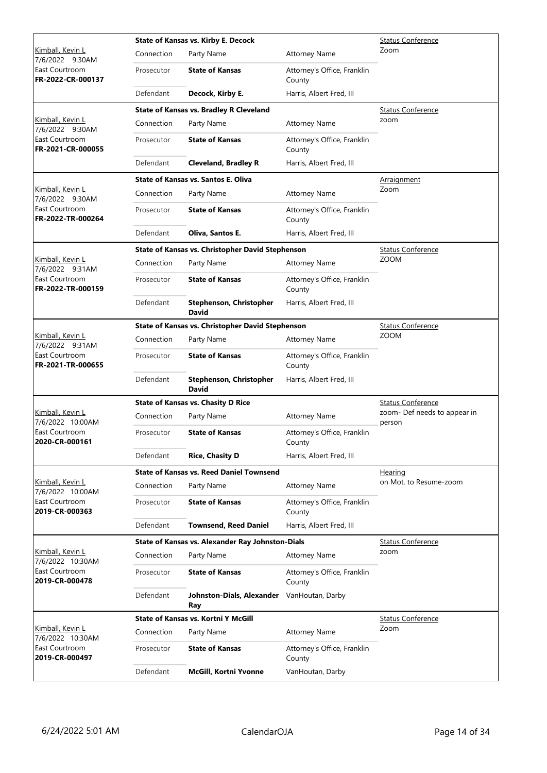|                                                                            |            | <b>State of Kansas vs. Kirby E. Decock</b>        | <b>Status Conference</b>              |                                        |
|----------------------------------------------------------------------------|------------|---------------------------------------------------|---------------------------------------|----------------------------------------|
| Kimball, Kevin L<br>7/6/2022 9:30AM                                        | Connection | Party Name                                        | <b>Attorney Name</b>                  | Zoom                                   |
| East Courtroom<br>FR-2022-CR-000137                                        | Prosecutor | <b>State of Kansas</b>                            | Attorney's Office, Franklin<br>County |                                        |
|                                                                            | Defendant  | Decock, Kirby E.                                  | Harris, Albert Fred, III              |                                        |
|                                                                            |            | <b>State of Kansas vs. Bradley R Cleveland</b>    |                                       | Status Conference                      |
| Kimball, Kevin L<br>7/6/2022 9:30AM                                        | Connection | Party Name                                        | <b>Attorney Name</b>                  | zoom                                   |
| East Courtroom<br>FR-2021-CR-000055                                        | Prosecutor | <b>State of Kansas</b>                            | Attorney's Office, Franklin<br>County |                                        |
|                                                                            | Defendant  | <b>Cleveland, Bradley R</b>                       | Harris, Albert Fred, III              |                                        |
|                                                                            |            | <b>State of Kansas vs. Santos E. Oliva</b>        |                                       | <u>Arraignment</u>                     |
| Kimball, Kevin L<br>7/6/2022 9:30AM                                        | Connection | Party Name                                        | <b>Attorney Name</b>                  | Zoom                                   |
| East Courtroom<br>FR-2022-TR-000264                                        | Prosecutor | <b>State of Kansas</b>                            | Attorney's Office, Franklin<br>County |                                        |
|                                                                            | Defendant  | Oliva, Santos E.                                  | Harris, Albert Fred, III              |                                        |
|                                                                            |            | State of Kansas vs. Christopher David Stephenson  |                                       | <b>Status Conference</b>               |
| Kimball, Kevin L<br>7/6/2022 9:31AM                                        | Connection | Party Name                                        | <b>Attorney Name</b>                  | <b>ZOOM</b>                            |
| East Courtroom<br>FR-2022-TR-000159                                        | Prosecutor | <b>State of Kansas</b>                            | Attorney's Office, Franklin<br>County |                                        |
|                                                                            | Defendant  | <b>Stephenson, Christopher</b><br><b>David</b>    | Harris, Albert Fred, III              |                                        |
|                                                                            |            | State of Kansas vs. Christopher David Stephenson  | <b>Status Conference</b>              |                                        |
| Kimball, Kevin L<br>7/6/2022 9:31AM<br>East Courtroom<br>FR-2021-TR-000655 | Connection | Party Name                                        | <b>Attorney Name</b>                  | <b>ZOOM</b>                            |
|                                                                            | Prosecutor | <b>State of Kansas</b>                            | Attorney's Office, Franklin<br>County |                                        |
|                                                                            | Defendant  | <b>Stephenson, Christopher</b><br><b>David</b>    | Harris, Albert Fred, III              |                                        |
|                                                                            |            | <b>State of Kansas vs. Chasity D Rice</b>         |                                       | <b>Status Conference</b>               |
| Kimball, Kevin L<br>7/6/2022 10:00AM                                       | Connection | Party Name                                        | <b>Attorney Name</b>                  | zoom- Def needs to appear in<br>person |
| East Courtroom<br>2020-CR-000161                                           | Prosecutor | <b>State of Kansas</b>                            | Attorney's Office, Franklin<br>County |                                        |
|                                                                            | Defendant  | <b>Rice, Chasity D</b>                            | Harris, Albert Fred, III              |                                        |
|                                                                            |            | <b>State of Kansas vs. Reed Daniel Townsend</b>   |                                       | Hearing                                |
| Kimball, Kevin L<br>7/6/2022 10:00AM                                       | Connection | Party Name                                        | <b>Attorney Name</b>                  | on Mot. to Resume-zoom                 |
| East Courtroom<br>2019-CR-000363                                           | Prosecutor | <b>State of Kansas</b>                            | Attorney's Office, Franklin<br>County |                                        |
|                                                                            | Defendant  | <b>Townsend, Reed Daniel</b>                      | Harris, Albert Fred, III              |                                        |
|                                                                            |            | State of Kansas vs. Alexander Ray Johnston-Dials  |                                       | <b>Status Conference</b>               |
| Kimball, Kevin L<br>7/6/2022 10:30AM                                       | Connection | Party Name                                        | <b>Attorney Name</b>                  | zoom                                   |
| East Courtroom<br>2019-CR-000478                                           | Prosecutor | <b>State of Kansas</b>                            | Attorney's Office, Franklin<br>County |                                        |
|                                                                            | Defendant  | Johnston-Dials, Alexander VanHoutan, Darby<br>Ray |                                       |                                        |
|                                                                            |            | <b>State of Kansas vs. Kortni Y McGill</b>        |                                       | <b>Status Conference</b>               |
| Kimball, Kevin L<br>7/6/2022 10:30AM                                       | Connection | Party Name                                        | <b>Attorney Name</b>                  | Zoom                                   |
| East Courtroom<br>2019-CR-000497                                           | Prosecutor | <b>State of Kansas</b>                            | Attorney's Office, Franklin<br>County |                                        |
|                                                                            | Defendant  | McGill, Kortni Yvonne                             | VanHoutan, Darby                      |                                        |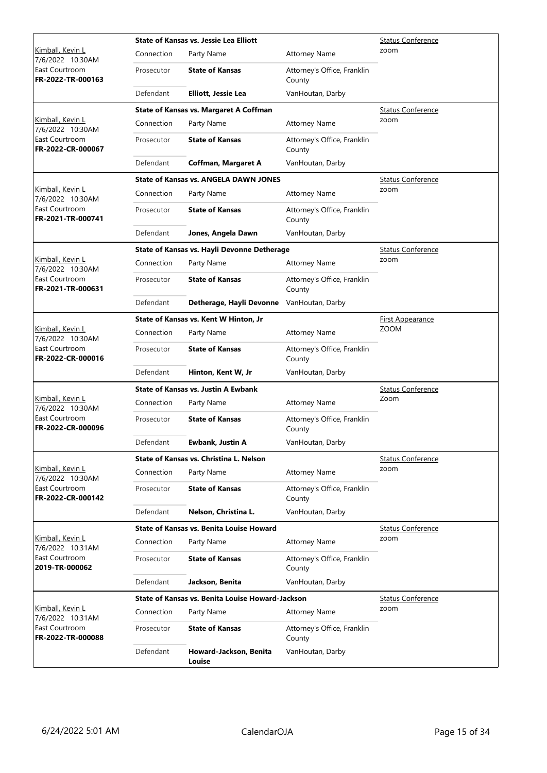|                                      |            | <b>State of Kansas vs. Jessie Lea Elliott</b>    | <b>Status Conference</b>              |                          |
|--------------------------------------|------------|--------------------------------------------------|---------------------------------------|--------------------------|
| Kimball, Kevin L<br>7/6/2022 10:30AM | Connection | Party Name                                       | <b>Attorney Name</b>                  | zoom                     |
| East Courtroom<br>FR-2022-TR-000163  | Prosecutor | <b>State of Kansas</b>                           | Attorney's Office, Franklin<br>County |                          |
|                                      | Defendant  | Elliott, Jessie Lea                              | VanHoutan, Darby                      |                          |
|                                      |            | <b>State of Kansas vs. Margaret A Coffman</b>    |                                       | <b>Status Conference</b> |
| Kimball, Kevin L<br>7/6/2022 10:30AM | Connection | Party Name                                       | <b>Attorney Name</b>                  | zoom                     |
| East Courtroom<br>FR-2022-CR-000067  | Prosecutor | <b>State of Kansas</b>                           | Attorney's Office, Franklin<br>County |                          |
|                                      | Defendant  | <b>Coffman, Margaret A</b>                       | VanHoutan, Darby                      |                          |
|                                      |            | <b>State of Kansas vs. ANGELA DAWN JONES</b>     |                                       | <b>Status Conference</b> |
| Kimball, Kevin L<br>7/6/2022 10:30AM | Connection | Party Name                                       | <b>Attorney Name</b>                  | zoom                     |
| East Courtroom<br>FR-2021-TR-000741  | Prosecutor | <b>State of Kansas</b>                           | Attorney's Office, Franklin<br>County |                          |
|                                      | Defendant  | Jones, Angela Dawn                               | VanHoutan, Darby                      |                          |
|                                      |            | State of Kansas vs. Hayli Devonne Detherage      |                                       | Status Conference        |
| Kimball, Kevin L<br>7/6/2022 10:30AM | Connection | Party Name                                       | <b>Attorney Name</b>                  | zoom                     |
| East Courtroom<br>FR-2021-TR-000631  | Prosecutor | <b>State of Kansas</b>                           | Attorney's Office, Franklin<br>County |                          |
|                                      | Defendant  | Detherage, Hayli Devonne                         | VanHoutan, Darby                      |                          |
|                                      |            | State of Kansas vs. Kent W Hinton, Jr            |                                       | <b>First Appearance</b>  |
| Kimball, Kevin L<br>7/6/2022 10:30AM | Connection | Party Name                                       | <b>Attorney Name</b>                  | <b>ZOOM</b>              |
| East Courtroom<br>FR-2022-CR-000016  | Prosecutor | <b>State of Kansas</b>                           | Attorney's Office, Franklin<br>County |                          |
|                                      | Defendant  | Hinton, Kent W, Jr                               | VanHoutan, Darby                      |                          |
|                                      |            | <b>State of Kansas vs. Justin A Ewbank</b>       |                                       | <b>Status Conference</b> |
| Kimball, Kevin L<br>7/6/2022 10:30AM | Connection | Party Name                                       | <b>Attorney Name</b>                  | Zoom                     |
| East Courtroom<br>FR-2022-CR-000096  | Prosecutor | <b>State of Kansas</b>                           | Attorney's Office, Franklin<br>County |                          |
|                                      | Defendant  | <b>Ewbank, Justin A</b>                          | VanHoutan, Darby                      |                          |
|                                      |            | State of Kansas vs. Christina L. Nelson          |                                       | <b>Status Conference</b> |
| Kimball, Kevin L<br>7/6/2022 10:30AM | Connection | Party Name                                       | <b>Attorney Name</b>                  | zoom                     |
| East Courtroom<br>FR-2022-CR-000142  | Prosecutor | <b>State of Kansas</b>                           | Attorney's Office, Franklin<br>County |                          |
|                                      | Defendant  | Nelson, Christina L.                             | VanHoutan, Darby                      |                          |
|                                      |            | <b>State of Kansas vs. Benita Louise Howard</b>  |                                       | <b>Status Conference</b> |
| Kimball, Kevin L<br>7/6/2022 10:31AM | Connection | Party Name                                       | <b>Attorney Name</b>                  | zoom                     |
| East Courtroom<br>2019-TR-000062     | Prosecutor | <b>State of Kansas</b>                           | Attorney's Office, Franklin<br>County |                          |
|                                      | Defendant  | Jackson, Benita                                  | VanHoutan, Darby                      |                          |
|                                      |            | State of Kansas vs. Benita Louise Howard-Jackson |                                       | <b>Status Conference</b> |
| Kimball, Kevin L<br>7/6/2022 10:31AM | Connection | Party Name                                       | <b>Attorney Name</b>                  | zoom                     |
| East Courtroom<br>FR-2022-TR-000088  | Prosecutor | <b>State of Kansas</b>                           | Attorney's Office, Franklin<br>County |                          |
|                                      | Defendant  | Howard-Jackson, Benita<br>Louise                 | VanHoutan, Darby                      |                          |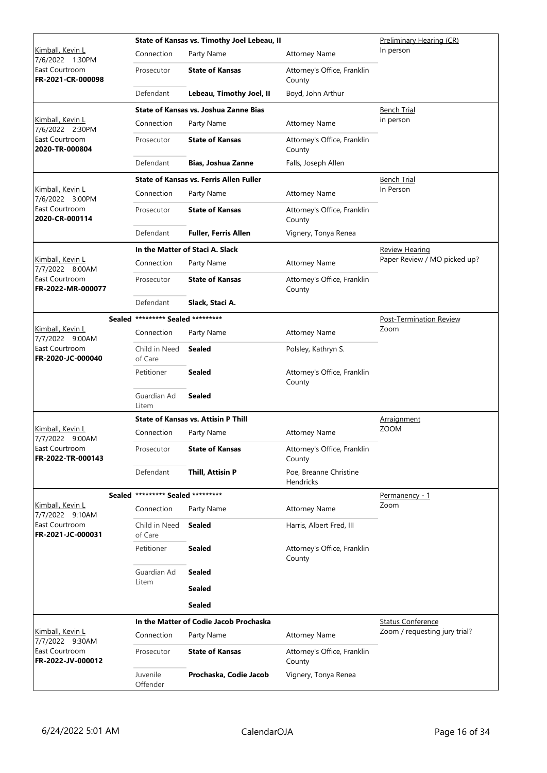|                                     |                                   | State of Kansas vs. Timothy Joel Lebeau, II    | Preliminary Hearing (CR)                   |                                |
|-------------------------------------|-----------------------------------|------------------------------------------------|--------------------------------------------|--------------------------------|
| Kimball, Kevin L<br>7/6/2022 1:30PM | Connection                        | Party Name                                     | <b>Attorney Name</b>                       | In person                      |
| East Courtroom<br>FR-2021-CR-000098 | Prosecutor                        | <b>State of Kansas</b>                         | Attorney's Office, Franklin<br>County      |                                |
|                                     | Defendant                         | Lebeau, Timothy Joel, II                       | Boyd, John Arthur                          |                                |
|                                     |                                   | State of Kansas vs. Joshua Zanne Bias          |                                            | <b>Bench Trial</b>             |
| Kimball, Kevin L<br>7/6/2022 2:30PM | Connection                        | Party Name                                     | <b>Attorney Name</b>                       | in person                      |
| East Courtroom<br>2020-TR-000804    | Prosecutor                        | <b>State of Kansas</b>                         | Attorney's Office, Franklin<br>County      |                                |
|                                     | Defendant                         | <b>Bias, Joshua Zanne</b>                      | Falls, Joseph Allen                        |                                |
|                                     |                                   | <b>State of Kansas vs. Ferris Allen Fuller</b> |                                            | <u>Bench Trial</u>             |
| Kimball, Kevin L<br>7/6/2022 3:00PM | Connection                        | Party Name                                     | <b>Attorney Name</b>                       | In Person                      |
| East Courtroom<br>2020-CR-000114    | Prosecutor                        | <b>State of Kansas</b>                         | Attorney's Office, Franklin<br>County      |                                |
|                                     | Defendant                         | <b>Fuller, Ferris Allen</b>                    | Vignery, Tonya Renea                       |                                |
|                                     |                                   | In the Matter of Staci A. Slack                |                                            | <b>Review Hearing</b>          |
| Kimball, Kevin L<br>7/7/2022 8:00AM | Connection                        | Party Name                                     | <b>Attorney Name</b>                       | Paper Review / MO picked up?   |
| East Courtroom<br>FR-2022-MR-000077 | Prosecutor                        | <b>State of Kansas</b>                         | Attorney's Office, Franklin<br>County      |                                |
|                                     | Defendant                         | Slack, Staci A.                                |                                            |                                |
|                                     | Sealed ********* Sealed ********* |                                                |                                            | <b>Post-Termination Review</b> |
| Kimball, Kevin L<br>7/7/2022 9:00AM | Connection                        | Party Name                                     | <b>Attorney Name</b>                       | Zoom                           |
| East Courtroom<br>FR-2020-JC-000040 | Child in Need<br>of Care          | Sealed                                         | Polsley, Kathryn S.                        |                                |
|                                     | Petitioner                        | <b>Sealed</b>                                  | Attorney's Office, Franklin<br>County      |                                |
|                                     | Guardian Ad<br>Litem              | <b>Sealed</b>                                  |                                            |                                |
|                                     |                                   | <b>State of Kansas vs. Attisin P Thill</b>     |                                            | Arraignment                    |
| Kimball, Kevin L<br>7/7/2022 9:00AM | Connection                        | Party Name                                     | <b>Attorney Name</b>                       | <b>ZOOM</b>                    |
| East Courtroom<br>FR-2022-TR-000143 | Prosecutor                        | <b>State of Kansas</b>                         | Attorney's Office, Franklin<br>County      |                                |
|                                     | Defendant                         | Thill, Attisin P                               | Poe, Breanne Christine<br><b>Hendricks</b> |                                |
|                                     | Sealed ********* Sealed ********* |                                                |                                            | Permanency - 1                 |
| Kimball, Kevin L<br>7/7/2022 9:10AM | Connection                        | Party Name                                     | <b>Attorney Name</b>                       | Zoom                           |
| East Courtroom<br>FR-2021-JC-000031 | Child in Need<br>of Care          | Sealed                                         | Harris, Albert Fred, III                   |                                |
|                                     | Petitioner                        | <b>Sealed</b>                                  | Attorney's Office, Franklin<br>County      |                                |
|                                     | Guardian Ad                       | Sealed                                         |                                            |                                |
|                                     | Litem                             | <b>Sealed</b>                                  |                                            |                                |
|                                     |                                   | <b>Sealed</b>                                  |                                            |                                |
|                                     |                                   | In the Matter of Codie Jacob Prochaska         |                                            | <b>Status Conference</b>       |
| Kimball, Kevin L<br>7/7/2022 9:30AM | Connection                        | Party Name                                     | <b>Attorney Name</b>                       | Zoom / requesting jury trial?  |
| East Courtroom<br>FR-2022-JV-000012 | Prosecutor                        | <b>State of Kansas</b>                         | Attorney's Office, Franklin<br>County      |                                |
|                                     | Juvenile<br>Offender              | Prochaska, Codie Jacob                         | Vignery, Tonya Renea                       |                                |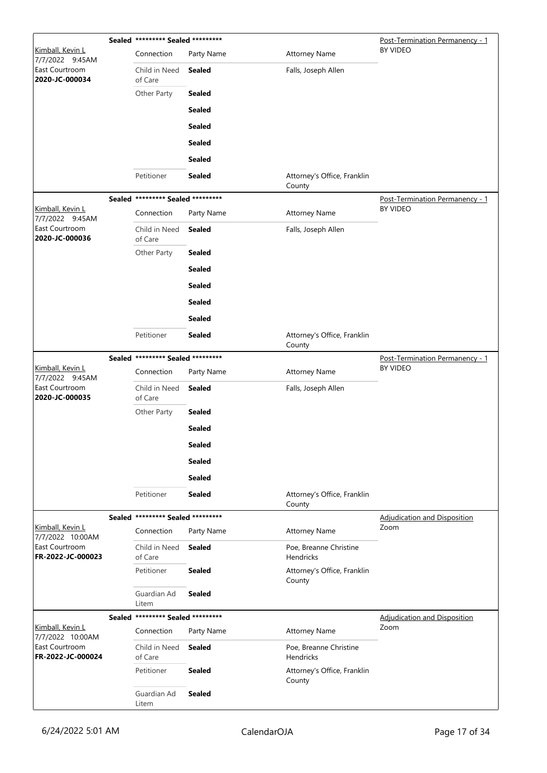|                                            | Sealed ********* Sealed ********* |               | Post-Termination Permanency - 1            |                                             |
|--------------------------------------------|-----------------------------------|---------------|--------------------------------------------|---------------------------------------------|
| Kimball, Kevin L<br>7/7/2022 9:45AM        | Connection                        | Party Name    | <b>Attorney Name</b>                       | BY VIDEO                                    |
| East Courtroom<br>2020-JC-000034           | Child in Need<br>of Care          | <b>Sealed</b> | Falls, Joseph Allen                        |                                             |
|                                            | Other Party                       | <b>Sealed</b> |                                            |                                             |
|                                            |                                   | <b>Sealed</b> |                                            |                                             |
|                                            |                                   | <b>Sealed</b> |                                            |                                             |
|                                            |                                   | <b>Sealed</b> |                                            |                                             |
|                                            |                                   | <b>Sealed</b> |                                            |                                             |
|                                            | Petitioner                        | <b>Sealed</b> | Attorney's Office, Franklin<br>County      |                                             |
|                                            | Sealed ********* Sealed ********* |               |                                            | Post-Termination Permanency - 1             |
| <u>Kimball, Kevin L</u><br>7/7/2022 9:45AM | Connection                        | Party Name    | <b>Attorney Name</b>                       | BY VIDEO                                    |
| East Courtroom<br>2020-JC-000036           | Child in Need<br>of Care          | <b>Sealed</b> | Falls, Joseph Allen                        |                                             |
|                                            | Other Party                       | <b>Sealed</b> |                                            |                                             |
|                                            |                                   | <b>Sealed</b> |                                            |                                             |
|                                            |                                   | <b>Sealed</b> |                                            |                                             |
|                                            |                                   | <b>Sealed</b> |                                            |                                             |
|                                            |                                   | <b>Sealed</b> |                                            |                                             |
|                                            | Petitioner                        | <b>Sealed</b> | Attorney's Office, Franklin<br>County      |                                             |
|                                            | Sealed ********* Sealed ********* |               |                                            | Post-Termination Permanency - 1             |
| Kimball, Kevin L<br>7/7/2022 9:45AM        | Connection                        | Party Name    | <b>Attorney Name</b>                       | BY VIDEO                                    |
| East Courtroom<br>2020-JC-000035           | Child in Need<br>of Care          | <b>Sealed</b> | Falls, Joseph Allen                        |                                             |
|                                            | Other Party                       | <b>Sealed</b> |                                            |                                             |
|                                            |                                   | <b>Sealed</b> |                                            |                                             |
|                                            |                                   | <b>Sealed</b> |                                            |                                             |
|                                            |                                   | <b>Sealed</b> |                                            |                                             |
|                                            |                                   | <b>Sealed</b> |                                            |                                             |
|                                            | Petitioner                        | <b>Sealed</b> | Attorney's Office, Franklin<br>County      |                                             |
| Kimball, Kevin L                           | Sealed ********* Sealed ********* |               |                                            | <b>Adjudication and Disposition</b><br>Zoom |
| 7/7/2022 10:00AM                           | Connection                        | Party Name    | <b>Attorney Name</b>                       |                                             |
| East Courtroom<br>FR-2022-JC-000023        | Child in Need<br>of Care          | Sealed        | Poe, Breanne Christine<br><b>Hendricks</b> |                                             |
|                                            | Petitioner                        | <b>Sealed</b> | Attorney's Office, Franklin<br>County      |                                             |
|                                            | Guardian Ad<br>Litem              | <b>Sealed</b> |                                            |                                             |
| Kimball, Kevin L                           | Sealed ********* Sealed ********* |               |                                            | <b>Adjudication and Disposition</b><br>Zoom |
| 7/7/2022 10:00AM                           | Connection                        | Party Name    | <b>Attorney Name</b>                       |                                             |
| East Courtroom<br>FR-2022-JC-000024        | Child in Need<br>of Care          | Sealed        | Poe, Breanne Christine<br>Hendricks        |                                             |
|                                            | Petitioner                        | <b>Sealed</b> | Attorney's Office, Franklin<br>County      |                                             |
|                                            | Guardian Ad<br>Litem              | <b>Sealed</b> |                                            |                                             |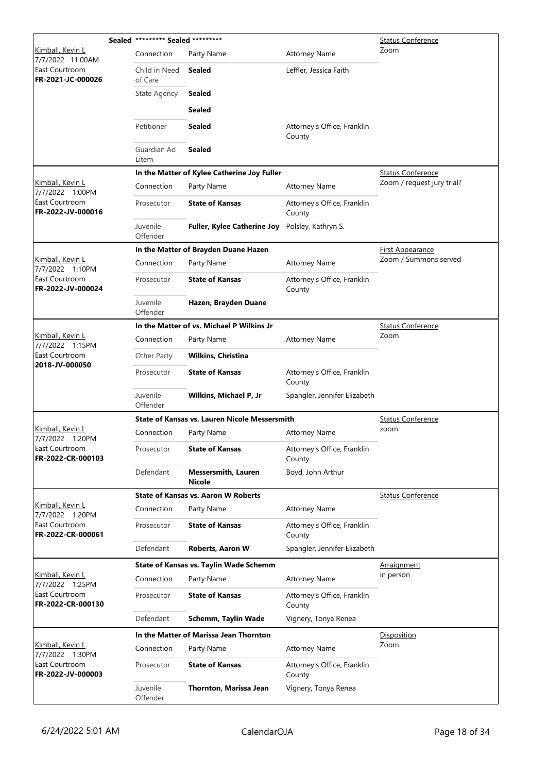|                                            | Sealed ********* Sealed ********* |                                                      | <b>Status Conference</b>              |                            |
|--------------------------------------------|-----------------------------------|------------------------------------------------------|---------------------------------------|----------------------------|
| Kimball, Kevin L<br>7/7/2022 11:00AM       | Connection                        | Party Name                                           | <b>Attorney Name</b>                  | Zoom                       |
| East Courtroom<br>FR-2021-JC-000026        | Child in Need<br>of Care          | <b>Sealed</b>                                        | Leffler, Jessica Faith                |                            |
|                                            | <b>State Agency</b>               | Sealed                                               |                                       |                            |
|                                            |                                   | <b>Sealed</b>                                        |                                       |                            |
|                                            | Petitioner                        | <b>Sealed</b>                                        | Attorney's Office, Franklin<br>County |                            |
|                                            | Guardian Ad<br>Litem              | <b>Sealed</b>                                        |                                       |                            |
|                                            |                                   | In the Matter of Kylee Catherine Joy Fuller          |                                       | <b>Status Conference</b>   |
| Kimball, Kevin L<br>7/7/2022 1:00PM        | Connection                        | Party Name                                           | <b>Attorney Name</b>                  | Zoom / request jury trial? |
| East Courtroom<br>FR-2022-JV-000016        | Prosecutor                        | <b>State of Kansas</b>                               | Attorney's Office, Franklin<br>County |                            |
|                                            | Juvenile<br>Offender              | <b>Fuller, Kylee Catherine Joy</b>                   | Polsley, Kathryn S.                   |                            |
|                                            |                                   | In the Matter of Brayden Duane Hazen                 |                                       | <u>First Appearance</u>    |
| Kimball, Kevin L<br>7/7/2022 1:10PM        | Connection                        | Party Name                                           | <b>Attorney Name</b>                  | Zoom / Summons served      |
| East Courtroom<br>FR-2022-JV-000024        | Prosecutor                        | <b>State of Kansas</b>                               | Attorney's Office, Franklin<br>County |                            |
|                                            | Juvenile<br>Offender              | Hazen, Brayden Duane                                 |                                       |                            |
|                                            |                                   | In the Matter of vs. Michael P Wilkins Jr            |                                       | <b>Status Conference</b>   |
| <u>Kimball, Kevin L</u><br>7/7/2022 1:15PM | Connection                        | Party Name                                           | <b>Attorney Name</b>                  | Zoom                       |
| East Courtroom                             | Other Party                       | <b>Wilkins, Christina</b>                            |                                       |                            |
| 2018-JV-000050                             | Prosecutor                        | <b>State of Kansas</b>                               | Attorney's Office, Franklin<br>County |                            |
|                                            | Juvenile<br>Offender              | Wilkins, Michael P, Jr                               | Spangler, Jennifer Elizabeth          |                            |
|                                            |                                   | <b>State of Kansas vs. Lauren Nicole Messersmith</b> |                                       | <b>Status Conference</b>   |
| Kimball, Kevin L<br>7/7/2022 1:20PM        | Connection                        | Party Name                                           | <b>Attorney Name</b>                  | zoom                       |
| East Courtroom<br>FR-2022-CR-000103        | Prosecutor                        | <b>State of Kansas</b>                               | Attorney's Office, Franklin<br>County |                            |
|                                            | Defendant                         | <b>Messersmith, Lauren</b><br><b>Nicole</b>          | Boyd, John Arthur                     |                            |
|                                            |                                   | <b>State of Kansas vs. Aaron W Roberts</b>           |                                       | <b>Status Conference</b>   |
| Kimball, Kevin L<br>7/7/2022 1:20PM        | Connection                        | Party Name                                           | <b>Attorney Name</b>                  |                            |
| East Courtroom<br>FR-2022-CR-000061        | Prosecutor                        | <b>State of Kansas</b>                               | Attorney's Office, Franklin<br>County |                            |
|                                            | Defendant                         | <b>Roberts, Aaron W</b>                              | Spangler, Jennifer Elizabeth          |                            |
|                                            |                                   | <b>State of Kansas vs. Taylin Wade Schemm</b>        |                                       | <b>Arraignment</b>         |
| Kimball, Kevin L<br>7/7/2022 1:25PM        | Connection                        | Party Name                                           | <b>Attorney Name</b>                  | in person                  |
| East Courtroom<br>FR-2022-CR-000130        | Prosecutor                        | <b>State of Kansas</b>                               | Attorney's Office, Franklin<br>County |                            |
|                                            | Defendant                         | Schemm, Taylin Wade                                  | Vignery, Tonya Renea                  |                            |
|                                            |                                   | In the Matter of Marissa Jean Thornton               |                                       | Disposition                |
| Kimball, Kevin L<br>7/7/2022 1:30PM        | Connection                        | Party Name                                           | <b>Attorney Name</b>                  | Zoom                       |
| East Courtroom<br>FR-2022-JV-000003        | Prosecutor                        | <b>State of Kansas</b>                               | Attorney's Office, Franklin<br>County |                            |
|                                            | Juvenile<br>Offender              | Thornton, Marissa Jean                               | Vignery, Tonya Renea                  |                            |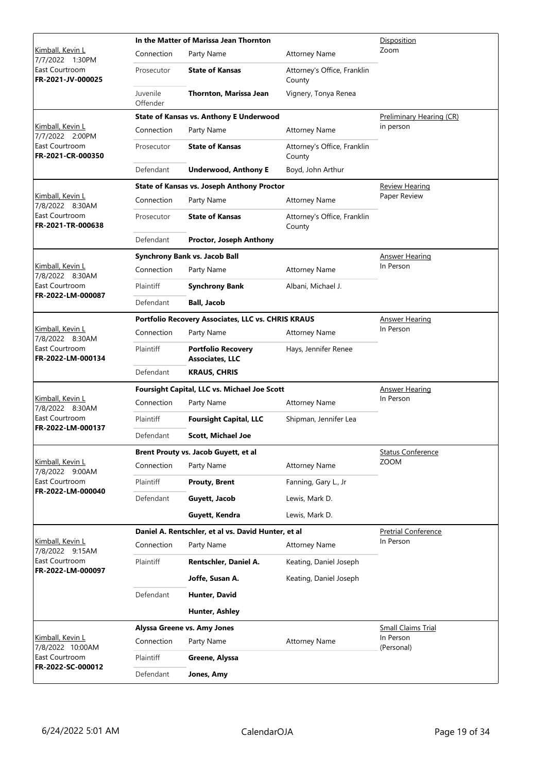|                                            |                      | In the Matter of Marissa Jean Thornton              | Disposition                           |                            |
|--------------------------------------------|----------------------|-----------------------------------------------------|---------------------------------------|----------------------------|
| <u>Kimball, Kevin L</u><br>7/7/2022 1:30PM | Connection           | Party Name                                          | <b>Attorney Name</b>                  | Zoom                       |
| East Courtroom<br>FR-2021-JV-000025        | Prosecutor           | <b>State of Kansas</b>                              | Attorney's Office, Franklin<br>County |                            |
|                                            | Juvenile<br>Offender | Thornton, Marissa Jean                              | Vignery, Tonya Renea                  |                            |
|                                            |                      | <b>State of Kansas vs. Anthony E Underwood</b>      |                                       | Preliminary Hearing (CR)   |
| Kimball, Kevin L<br>7/7/2022 2:00PM        | Connection           | Party Name                                          | <b>Attorney Name</b>                  | in person                  |
| East Courtroom<br>FR-2021-CR-000350        | Prosecutor           | <b>State of Kansas</b>                              | Attorney's Office, Franklin<br>County |                            |
|                                            | Defendant            | <b>Underwood, Anthony E</b>                         | Boyd, John Arthur                     |                            |
|                                            |                      | <b>State of Kansas vs. Joseph Anthony Proctor</b>   |                                       | <b>Review Hearing</b>      |
| Kimball, Kevin L<br>7/8/2022 8:30AM        | Connection           | Party Name                                          | <b>Attorney Name</b>                  | Paper Review               |
| East Courtroom<br>FR-2021-TR-000638        | Prosecutor           | <b>State of Kansas</b>                              | Attorney's Office, Franklin<br>County |                            |
|                                            | Defendant            | <b>Proctor, Joseph Anthony</b>                      |                                       |                            |
|                                            |                      | <b>Synchrony Bank vs. Jacob Ball</b>                |                                       | <b>Answer Hearing</b>      |
| Kimball, Kevin L<br>7/8/2022 8:30AM        | Connection           | Party Name                                          | <b>Attorney Name</b>                  | In Person                  |
| East Courtroom                             | Plaintiff            | <b>Synchrony Bank</b>                               | Albani, Michael J.                    |                            |
| FR-2022-LM-000087                          | Defendant            | <b>Ball, Jacob</b>                                  |                                       |                            |
|                                            |                      | Portfolio Recovery Associates, LLC vs. CHRIS KRAUS  |                                       | <b>Answer Hearing</b>      |
| Kimball, Kevin L<br>7/8/2022 8:30AM        | Connection           | Party Name                                          | <b>Attorney Name</b>                  | In Person                  |
| East Courtroom<br>FR-2022-LM-000134        | Plaintiff            | <b>Portfolio Recovery</b><br><b>Associates, LLC</b> | Hays, Jennifer Renee                  |                            |
|                                            | Defendant            | <b>KRAUS, CHRIS</b>                                 |                                       |                            |
|                                            |                      | Foursight Capital, LLC vs. Michael Joe Scott        | <b>Answer Hearing</b>                 |                            |
| Kimball, Kevin L<br>7/8/2022 8:30AM        | Connection           | Party Name                                          | <b>Attorney Name</b>                  | In Person                  |
| East Courtroom                             | Plaintiff            | <b>Foursight Capital, LLC</b>                       | Shipman, Jennifer Lea                 |                            |
| FR-2022-LM-000137                          | Defendant            | <b>Scott, Michael Joe</b>                           |                                       |                            |
|                                            |                      | Brent Prouty vs. Jacob Guyett, et al                | <b>Status Conference</b>              |                            |
| Kimball, Kevin L<br>7/8/2022 9:00AM        | Connection           | Party Name                                          | <b>Attorney Name</b>                  | <b>ZOOM</b>                |
| East Courtroom                             | Plaintiff            | <b>Prouty, Brent</b>                                | Fanning, Gary L., Jr                  |                            |
| FR-2022-LM-000040                          | Defendant            | Guyett, Jacob                                       | Lewis, Mark D.                        |                            |
|                                            |                      | Guyett, Kendra                                      | Lewis, Mark D.                        |                            |
|                                            |                      | Daniel A. Rentschler, et al vs. David Hunter, et al |                                       | <b>Pretrial Conference</b> |
| Kimball, Kevin L<br>7/8/2022 9:15AM        | Connection           | Party Name                                          | <b>Attorney Name</b>                  | In Person                  |
| East Courtroom<br>FR-2022-LM-000097        | Plaintiff            | Rentschler, Daniel A.                               | Keating, Daniel Joseph                |                            |
|                                            |                      | Joffe, Susan A.                                     | Keating, Daniel Joseph                |                            |
|                                            | Defendant            | Hunter, David                                       |                                       |                            |
|                                            |                      | Hunter, Ashley                                      |                                       |                            |
|                                            |                      | Alyssa Greene vs. Amy Jones                         |                                       | <b>Small Claims Trial</b>  |
| Kimball, Kevin L<br>7/8/2022 10:00AM       | Connection           | Party Name                                          | <b>Attorney Name</b>                  | In Person<br>(Personal)    |
| East Courtroom                             | Plaintiff            | Greene, Alyssa                                      |                                       |                            |
| FR-2022-SC-000012                          | Defendant            | Jones, Amy                                          |                                       |                            |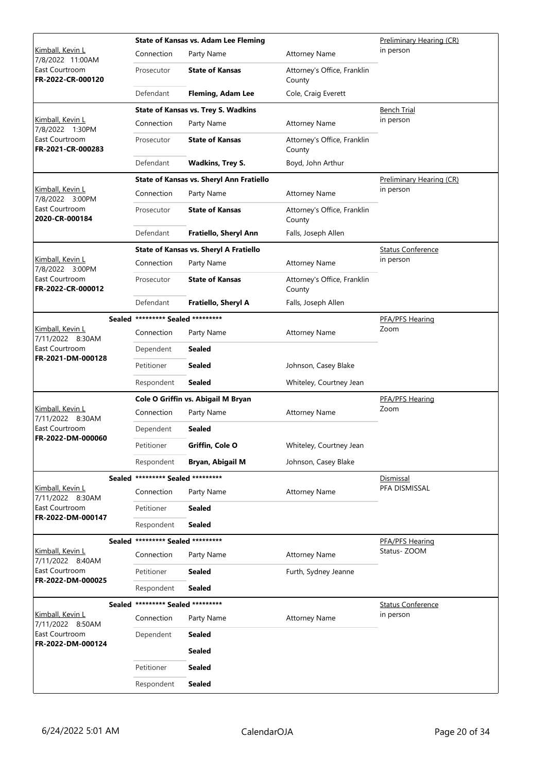|                                             |                                   | <b>State of Kansas vs. Adam Lee Fleming</b> | Preliminary Hearing (CR)              |                          |
|---------------------------------------------|-----------------------------------|---------------------------------------------|---------------------------------------|--------------------------|
| Kimball, Kevin L<br>7/8/2022 11:00AM        | Connection                        | Party Name                                  | <b>Attorney Name</b>                  | in person                |
| East Courtroom<br>FR-2022-CR-000120         | Prosecutor                        | <b>State of Kansas</b>                      | Attorney's Office, Franklin<br>County |                          |
|                                             | Defendant                         | <b>Fleming, Adam Lee</b>                    | Cole, Craig Everett                   |                          |
|                                             |                                   | <b>State of Kansas vs. Trey S. Wadkins</b>  |                                       | <b>Bench Trial</b>       |
| Kimball, Kevin L<br>7/8/2022 1:30PM         | Connection                        | Party Name                                  | <b>Attorney Name</b>                  | in person                |
| East Courtroom<br>FR-2021-CR-000283         | Prosecutor                        | <b>State of Kansas</b>                      | Attorney's Office, Franklin<br>County |                          |
|                                             | Defendant                         | <b>Wadkins, Trey S.</b>                     | Boyd, John Arthur                     |                          |
|                                             |                                   | State of Kansas vs. Sheryl Ann Fratiello    |                                       | Preliminary Hearing (CR) |
| Kimball, Kevin L<br>7/8/2022 3:00PM         | Connection                        | Party Name                                  | <b>Attorney Name</b>                  | in person                |
| East Courtroom<br>2020-CR-000184            | Prosecutor                        | <b>State of Kansas</b>                      | Attorney's Office, Franklin<br>County |                          |
|                                             | Defendant                         | Fratiello, Sheryl Ann                       | Falls, Joseph Allen                   |                          |
|                                             |                                   | State of Kansas vs. Sheryl A Fratiello      |                                       | <b>Status Conference</b> |
| Kimball, Kevin L<br>7/8/2022 3:00PM         | Connection                        | Party Name                                  | <b>Attorney Name</b>                  | in person                |
| East Courtroom<br>FR-2022-CR-000012         | Prosecutor                        | <b>State of Kansas</b>                      | Attorney's Office, Franklin<br>County |                          |
|                                             | Defendant                         | Fratiello, Sheryl A                         | Falls, Joseph Allen                   |                          |
|                                             | Sealed ********* Sealed ********* |                                             |                                       | PFA/PFS Hearing          |
| Kimball, Kevin L<br>7/11/2022 8:30AM        | Connection                        | Party Name                                  | <b>Attorney Name</b>                  | Zoom                     |
| East Courtroom                              | Dependent                         | <b>Sealed</b>                               |                                       |                          |
| FR-2021-DM-000128                           | Petitioner                        | <b>Sealed</b>                               | Johnson, Casey Blake                  |                          |
|                                             | Respondent                        | <b>Sealed</b>                               | Whiteley, Courtney Jean               |                          |
|                                             |                                   | Cole O Griffin vs. Abigail M Bryan          |                                       | PFA/PFS Hearing          |
| Kimball, Kevin L<br>7/11/2022 8:30AM        | Connection                        | Party Name                                  | <b>Attorney Name</b>                  | Zoom                     |
| East Courtroom                              | Dependent                         | <b>Sealed</b>                               |                                       |                          |
| FR-2022-DM-000060                           | Petitioner                        | Griffin, Cole O                             | Whiteley, Courtney Jean               |                          |
|                                             | Respondent                        | Bryan, Abigail M                            | Johnson, Casey Blake                  |                          |
|                                             | Sealed ********* Sealed ********* |                                             |                                       | Dismissal                |
| Kimball, Kevin L<br>7/11/2022 8:30AM        | Connection                        | Party Name                                  | <b>Attorney Name</b>                  | PFA DISMISSAL            |
| East Courtroom                              | Petitioner                        | <b>Sealed</b>                               |                                       |                          |
| FR-2022-DM-000147                           | Respondent                        | Sealed                                      |                                       |                          |
|                                             | Sealed ********* Sealed ********* |                                             |                                       | PFA/PFS Hearing          |
| Kimball, Kevin L<br>7/11/2022 8:40AM        | Connection                        | Party Name                                  | <b>Attorney Name</b>                  | Status-ZOOM              |
| East Courtroom<br>FR-2022-DM-000025         | Petitioner                        | <b>Sealed</b>                               | Furth, Sydney Jeanne                  |                          |
|                                             | Respondent                        | <b>Sealed</b>                               |                                       |                          |
|                                             | Sealed ********* Sealed ********* |                                             |                                       | <b>Status Conference</b> |
| <u>Kimball, Kevin L</u><br>7/11/2022 8:50AM | Connection                        | Party Name                                  | <b>Attorney Name</b>                  | in person                |
| East Courtroom<br>FR-2022-DM-000124         | Dependent                         | <b>Sealed</b>                               |                                       |                          |
|                                             |                                   | <b>Sealed</b>                               |                                       |                          |
|                                             | Petitioner                        | <b>Sealed</b>                               |                                       |                          |
|                                             | Respondent                        | <b>Sealed</b>                               |                                       |                          |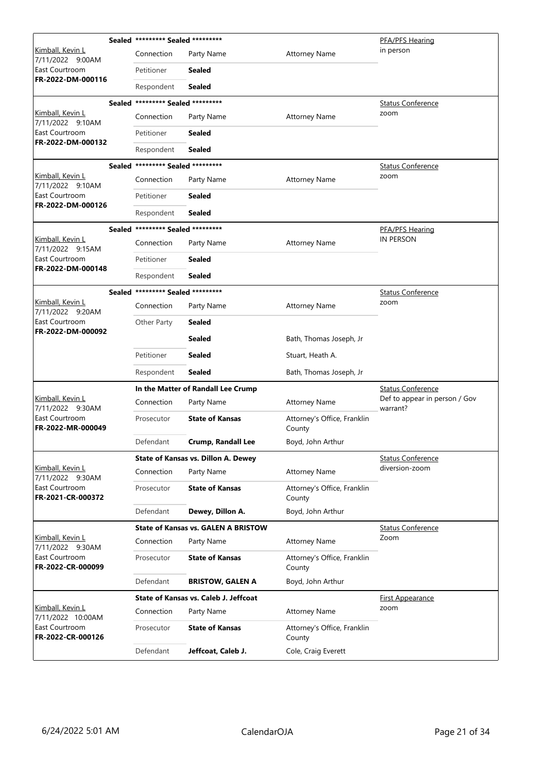|                                             | Sealed ********* Sealed ********* |                                            |                                       | PFA/PFS Hearing                           |
|---------------------------------------------|-----------------------------------|--------------------------------------------|---------------------------------------|-------------------------------------------|
| <u>Kimball, Kevin L</u><br>7/11/2022 9:00AM | Connection                        | Party Name                                 | <b>Attorney Name</b>                  | in person                                 |
| East Courtroom                              | Petitioner                        | <b>Sealed</b>                              |                                       |                                           |
| FR-2022-DM-000116                           | Respondent                        | Sealed                                     |                                       |                                           |
|                                             | Sealed ********* Sealed ********* |                                            |                                       | <b>Status Conference</b>                  |
| <u>Kimball, Kevin L</u><br>7/11/2022 9:10AM | Connection                        | Party Name                                 | <b>Attorney Name</b>                  | zoom                                      |
| East Courtroom<br>FR-2022-DM-000132         | Petitioner                        | <b>Sealed</b>                              |                                       |                                           |
|                                             | Respondent                        | Sealed                                     |                                       |                                           |
|                                             | Sealed ********* Sealed ********* |                                            |                                       | Status Conference                         |
| Kimball, Kevin L<br>7/11/2022 9:10AM        | Connection                        | Party Name                                 | <b>Attorney Name</b>                  | zoom                                      |
| East Courtroom<br>FR-2022-DM-000126         | Petitioner                        | <b>Sealed</b>                              |                                       |                                           |
|                                             | Respondent                        | <b>Sealed</b>                              |                                       |                                           |
|                                             | Sealed ********* Sealed ********* |                                            |                                       | <b>PFA/PFS Hearing</b>                    |
| Kimball, Kevin L<br>7/11/2022 9:15AM        | Connection                        | Party Name                                 | <b>Attorney Name</b>                  | IN PERSON                                 |
| East Courtroom<br>FR-2022-DM-000148         | Petitioner                        | Sealed                                     |                                       |                                           |
|                                             | Respondent                        | <b>Sealed</b>                              |                                       |                                           |
|                                             | Sealed ********* Sealed ********* |                                            |                                       | <b>Status Conference</b>                  |
| Kimball, Kevin L<br>7/11/2022 9:20AM        | Connection                        | Party Name                                 | <b>Attorney Name</b>                  | zoom                                      |
| East Courtroom<br>FR-2022-DM-000092         | Other Party                       | <b>Sealed</b>                              |                                       |                                           |
|                                             |                                   | <b>Sealed</b>                              | Bath, Thomas Joseph, Jr               |                                           |
|                                             | Petitioner                        | <b>Sealed</b>                              | Stuart, Heath A.                      |                                           |
|                                             | Respondent                        | <b>Sealed</b>                              | Bath, Thomas Joseph, Jr               |                                           |
|                                             |                                   | In the Matter of Randall Lee Crump         | <b>Status Conference</b>              |                                           |
| Kimball, Kevin L<br>7/11/2022 9:30AM        | Connection                        | Party Name                                 | <b>Attorney Name</b>                  | Def to appear in person / Gov<br>warrant? |
| East Courtroom<br>FR-2022-MR-000049         | Prosecutor                        | <b>State of Kansas</b>                     | Attorney's Office, Franklin<br>County |                                           |
|                                             | Defendant                         | Crump, Randall Lee                         | Boyd, John Arthur                     |                                           |
|                                             |                                   | State of Kansas vs. Dillon A. Dewey        |                                       | <b>Status Conference</b>                  |
| Kimball, Kevin L<br>7/11/2022 9:30AM        | Connection                        | Party Name                                 | <b>Attorney Name</b>                  | diversion-zoom                            |
| East Courtroom<br>FR-2021-CR-000372         | Prosecutor                        | <b>State of Kansas</b>                     | Attorney's Office, Franklin<br>County |                                           |
|                                             | Defendant                         | Dewey, Dillon A.                           | Boyd, John Arthur                     |                                           |
|                                             |                                   | <b>State of Kansas vs. GALEN A BRISTOW</b> |                                       | <b>Status Conference</b>                  |
| <u>Kimball, Kevin L</u><br>7/11/2022 9:30AM | Connection                        | Party Name                                 | <b>Attorney Name</b>                  | Zoom                                      |
| East Courtroom<br>FR-2022-CR-000099         | Prosecutor                        | <b>State of Kansas</b>                     | Attorney's Office, Franklin<br>County |                                           |
|                                             | Defendant                         | <b>BRISTOW, GALEN A</b>                    | Boyd, John Arthur                     |                                           |
|                                             |                                   | State of Kansas vs. Caleb J. Jeffcoat      |                                       | <b>First Appearance</b>                   |
| Kimball, Kevin L<br>7/11/2022 10:00AM       | Connection                        | Party Name                                 | <b>Attorney Name</b>                  | zoom                                      |
| East Courtroom<br>FR-2022-CR-000126         | Prosecutor                        | <b>State of Kansas</b>                     | Attorney's Office, Franklin<br>County |                                           |
|                                             | Defendant                         | Jeffcoat, Caleb J.                         | Cole, Craig Everett                   |                                           |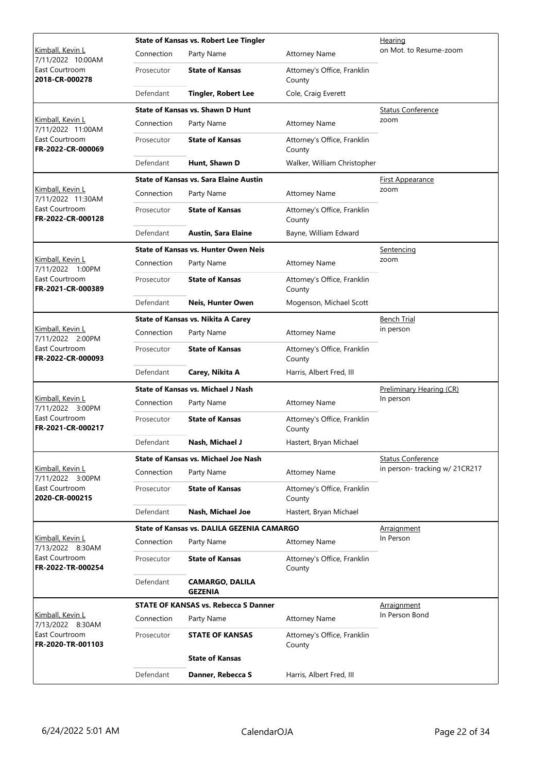|                                                                             |            | <b>State of Kansas vs. Robert Lee Tingler</b>     | <u>Hearing</u>                        |                               |
|-----------------------------------------------------------------------------|------------|---------------------------------------------------|---------------------------------------|-------------------------------|
| Kimball, Kevin L<br>7/11/2022 10:00AM                                       | Connection | Party Name                                        | <b>Attorney Name</b>                  | on Mot. to Resume-zoom        |
| East Courtroom<br>2018-CR-000278                                            | Prosecutor | <b>State of Kansas</b>                            | Attorney's Office, Franklin<br>County |                               |
|                                                                             | Defendant  | <b>Tingler, Robert Lee</b>                        | Cole, Craig Everett                   |                               |
|                                                                             |            | <b>State of Kansas vs. Shawn D Hunt</b>           |                                       | <b>Status Conference</b>      |
| Kimball, Kevin L<br>7/11/2022 11:00AM                                       | Connection | Party Name                                        | <b>Attorney Name</b>                  | zoom                          |
| East Courtroom<br>FR-2022-CR-000069                                         | Prosecutor | <b>State of Kansas</b>                            | Attorney's Office, Franklin<br>County |                               |
|                                                                             | Defendant  | Hunt, Shawn D                                     | Walker, William Christopher           |                               |
|                                                                             |            | <b>State of Kansas vs. Sara Elaine Austin</b>     |                                       | <b>First Appearance</b>       |
| Kimball, Kevin L<br>7/11/2022 11:30AM                                       | Connection | Party Name                                        | <b>Attorney Name</b>                  | zoom                          |
| East Courtroom<br>FR-2022-CR-000128                                         | Prosecutor | <b>State of Kansas</b>                            | Attorney's Office, Franklin<br>County |                               |
|                                                                             | Defendant  | <b>Austin, Sara Elaine</b>                        | Bayne, William Edward                 |                               |
|                                                                             |            | <b>State of Kansas vs. Hunter Owen Neis</b>       |                                       | Sentencing                    |
| <u>Kimball, Kevin L</u><br>7/11/2022 1:00PM                                 | Connection | Party Name                                        | <b>Attorney Name</b>                  | zoom                          |
| East Courtroom<br>FR-2021-CR-000389                                         | Prosecutor | <b>State of Kansas</b>                            | Attorney's Office, Franklin<br>County |                               |
|                                                                             | Defendant  | Neis, Hunter Owen                                 | Mogenson, Michael Scott               |                               |
|                                                                             |            | <b>State of Kansas vs. Nikita A Carey</b>         | <b>Bench Trial</b>                    |                               |
| Kimball, Kevin L<br>7/11/2022 2:00PM<br>East Courtroom<br>FR-2022-CR-000093 | Connection | Party Name                                        | <b>Attorney Name</b>                  | in person                     |
|                                                                             | Prosecutor | <b>State of Kansas</b>                            | Attorney's Office, Franklin<br>County |                               |
|                                                                             | Defendant  | Carey, Nikita A                                   | Harris, Albert Fred, III              |                               |
|                                                                             |            | <b>State of Kansas vs. Michael J Nash</b>         |                                       | Preliminary Hearing (CR)      |
| Kimball, Kevin L<br>7/11/2022 3:00PM                                        | Connection | Party Name                                        | <b>Attorney Name</b>                  | In person                     |
| East Courtroom<br>FR-2021-CR-000217                                         | Prosecutor | <b>State of Kansas</b>                            | Attorney's Office, Franklin<br>County |                               |
|                                                                             | Defendant  | Nash, Michael J                                   | Hastert, Bryan Michael                |                               |
|                                                                             |            | <b>State of Kansas vs. Michael Joe Nash</b>       |                                       | <b>Status Conference</b>      |
| Kimball, Kevin L<br>7/11/2022 3:00PM                                        | Connection | Party Name                                        | <b>Attorney Name</b>                  | in person-tracking w/ 21CR217 |
| East Courtroom<br>2020-CR-000215                                            | Prosecutor | <b>State of Kansas</b>                            | Attorney's Office, Franklin<br>County |                               |
|                                                                             | Defendant  | Nash, Michael Joe                                 | Hastert, Bryan Michael                |                               |
|                                                                             |            | <b>State of Kansas vs. DALILA GEZENIA CAMARGO</b> |                                       | Arraignment                   |
| Kimball, Kevin L<br>7/13/2022 8:30AM                                        | Connection | Party Name                                        | <b>Attorney Name</b>                  | In Person                     |
| East Courtroom<br>FR-2022-TR-000254                                         | Prosecutor | <b>State of Kansas</b>                            | Attorney's Office, Franklin<br>County |                               |
|                                                                             | Defendant  | <b>CAMARGO, DALILA</b><br><b>GEZENIA</b>          |                                       |                               |
|                                                                             |            | <b>STATE OF KANSAS vs. Rebecca S Danner</b>       |                                       | Arraignment                   |
| Kimball, Kevin L<br>7/13/2022 8:30AM                                        | Connection | Party Name                                        | <b>Attorney Name</b>                  | In Person Bond                |
| East Courtroom<br>FR-2020-TR-001103                                         | Prosecutor | <b>STATE OF KANSAS</b>                            | Attorney's Office, Franklin<br>County |                               |
|                                                                             |            | <b>State of Kansas</b>                            |                                       |                               |
|                                                                             | Defendant  | Danner, Rebecca S                                 | Harris, Albert Fred, III              |                               |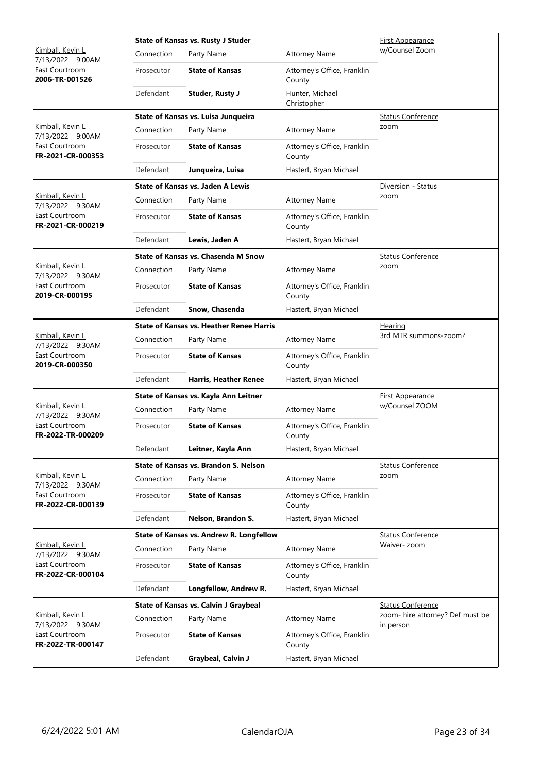|                                                         |            | State of Kansas vs. Rusty J Studer              | First Appearance                      |                                  |
|---------------------------------------------------------|------------|-------------------------------------------------|---------------------------------------|----------------------------------|
| <u>Kimball, Kevin L</u><br>7/13/2022 9:00AM             | Connection | Party Name                                      | <b>Attorney Name</b>                  | w/Counsel Zoom                   |
| East Courtroom<br>2006-TR-001526                        | Prosecutor | <b>State of Kansas</b>                          | Attorney's Office, Franklin<br>County |                                  |
|                                                         | Defendant  | Studer, Rusty J                                 | Hunter, Michael<br>Christopher        |                                  |
|                                                         |            | State of Kansas vs. Luisa Junqueira             |                                       | <b>Status Conference</b>         |
| Kimball, Kevin L<br>7/13/2022 9:00AM                    | Connection | Party Name                                      | <b>Attorney Name</b>                  | zoom                             |
| East Courtroom<br>FR-2021-CR-000353                     | Prosecutor | <b>State of Kansas</b>                          | Attorney's Office, Franklin<br>County |                                  |
|                                                         | Defendant  | Junqueira, Luisa                                | Hastert, Bryan Michael                |                                  |
|                                                         |            | <b>State of Kansas vs. Jaden A Lewis</b>        |                                       | Diversion - Status               |
| Kimball, Kevin L<br>7/13/2022 9:30AM                    | Connection | Party Name                                      | <b>Attorney Name</b>                  | zoom                             |
| East Courtroom<br>FR-2021-CR-000219                     | Prosecutor | <b>State of Kansas</b>                          | Attorney's Office, Franklin<br>County |                                  |
|                                                         | Defendant  | Lewis, Jaden A                                  | Hastert, Bryan Michael                |                                  |
|                                                         |            | <b>State of Kansas vs. Chasenda M Snow</b>      |                                       | <b>Status Conference</b>         |
| Kimball, Kevin L                                        | Connection | Party Name                                      | <b>Attorney Name</b>                  | zoom                             |
| 7/13/2022 9:30AM<br>East Courtroom<br>2019-CR-000195    | Prosecutor | <b>State of Kansas</b>                          | Attorney's Office, Franklin<br>County |                                  |
|                                                         | Defendant  | Snow, Chasenda                                  | Hastert, Bryan Michael                |                                  |
|                                                         |            | <b>State of Kansas vs. Heather Renee Harris</b> |                                       | Hearing                          |
| Kimball, Kevin L<br>7/13/2022 9:30AM                    | Connection | Party Name                                      | <b>Attorney Name</b>                  | 3rd MTR summons-zoom?            |
| East Courtroom<br>2019-CR-000350                        | Prosecutor | <b>State of Kansas</b>                          | Attorney's Office, Franklin<br>County |                                  |
|                                                         | Defendant  | <b>Harris, Heather Renee</b>                    | Hastert, Bryan Michael                |                                  |
|                                                         |            | State of Kansas vs. Kayla Ann Leitner           | <b>First Appearance</b>               |                                  |
| Kimball, Kevin L<br>7/13/2022 9:30AM                    | Connection | Party Name                                      | <b>Attorney Name</b>                  | w/Counsel ZOOM                   |
| East Courtroom<br>FR-2022-TR-000209                     | Prosecutor | <b>State of Kansas</b>                          | Attorney's Office, Franklin<br>County |                                  |
|                                                         | Defendant  | Leitner, Kayla Ann                              | Hastert, Bryan Michael                |                                  |
|                                                         |            | State of Kansas vs. Brandon S. Nelson           |                                       | <b>Status Conference</b>         |
| Kimball, Kevin L                                        | Connection | Party Name                                      | <b>Attorney Name</b>                  | zoom                             |
| 7/13/2022 9:30AM<br>East Courtroom<br>FR-2022-CR-000139 | Prosecutor | <b>State of Kansas</b>                          | Attorney's Office, Franklin<br>County |                                  |
|                                                         | Defendant  | Nelson, Brandon S.                              | Hastert, Bryan Michael                |                                  |
|                                                         |            | State of Kansas vs. Andrew R. Longfellow        |                                       | <b>Status Conference</b>         |
| Kimball, Kevin L                                        | Connection | Party Name                                      | <b>Attorney Name</b>                  | Waiver- zoom                     |
| 7/13/2022 9:30AM<br>East Courtroom<br>FR-2022-CR-000104 | Prosecutor | <b>State of Kansas</b>                          | Attorney's Office, Franklin<br>County |                                  |
|                                                         | Defendant  | Longfellow, Andrew R.                           | Hastert, Bryan Michael                |                                  |
|                                                         |            | State of Kansas vs. Calvin J Graybeal           |                                       | <b>Status Conference</b>         |
| Kimball, Kevin L                                        | Connection | Party Name                                      | <b>Attorney Name</b>                  | zoom- hire attorney? Def must be |
| 7/13/2022 9:30AM<br>East Courtroom<br>FR-2022-TR-000147 | Prosecutor | <b>State of Kansas</b>                          | Attorney's Office, Franklin<br>County | in person                        |
|                                                         | Defendant  | Graybeal, Calvin J                              | Hastert, Bryan Michael                |                                  |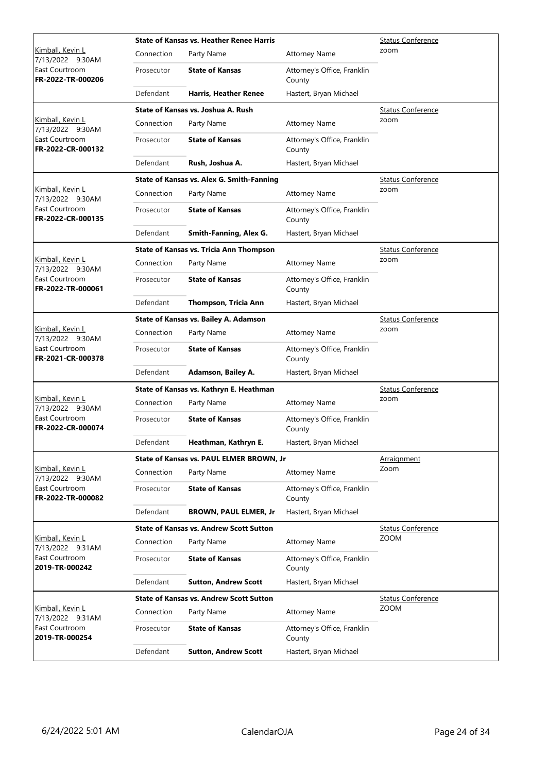|                                             |            | <b>State of Kansas vs. Heather Renee Harris</b> | <b>Status Conference</b>              |                          |
|---------------------------------------------|------------|-------------------------------------------------|---------------------------------------|--------------------------|
| <u>Kimball, Kevin L</u><br>7/13/2022 9:30AM | Connection | Party Name                                      | <b>Attorney Name</b>                  | zoom                     |
| East Courtroom<br>FR-2022-TR-000206         | Prosecutor | <b>State of Kansas</b>                          | Attorney's Office, Franklin<br>County |                          |
|                                             | Defendant  | <b>Harris, Heather Renee</b>                    | Hastert, Bryan Michael                |                          |
|                                             |            | State of Kansas vs. Joshua A. Rush              |                                       | <b>Status Conference</b> |
| Kimball, Kevin L<br>7/13/2022 9:30AM        | Connection | Party Name                                      | <b>Attorney Name</b>                  | zoom                     |
| East Courtroom<br>FR-2022-CR-000132         | Prosecutor | <b>State of Kansas</b>                          | Attorney's Office, Franklin<br>County |                          |
|                                             | Defendant  | Rush, Joshua A.                                 | Hastert, Bryan Michael                |                          |
|                                             |            | State of Kansas vs. Alex G. Smith-Fanning       |                                       | <b>Status Conference</b> |
| Kimball, Kevin L<br>7/13/2022 9:30AM        | Connection | Party Name                                      | <b>Attorney Name</b>                  | zoom                     |
| East Courtroom<br>FR-2022-CR-000135         | Prosecutor | <b>State of Kansas</b>                          | Attorney's Office, Franklin<br>County |                          |
|                                             | Defendant  | Smith-Fanning, Alex G.                          | Hastert, Bryan Michael                |                          |
|                                             |            | <b>State of Kansas vs. Tricia Ann Thompson</b>  |                                       | <b>Status Conference</b> |
| <u>Kimball, Kevin L</u><br>7/13/2022 9:30AM | Connection | Party Name                                      | <b>Attorney Name</b>                  | zoom                     |
| East Courtroom<br>FR-2022-TR-000061         | Prosecutor | <b>State of Kansas</b>                          | Attorney's Office, Franklin<br>County |                          |
|                                             | Defendant  | Thompson, Tricia Ann                            | Hastert, Bryan Michael                |                          |
|                                             |            | State of Kansas vs. Bailey A. Adamson           |                                       | <b>Status Conference</b> |
| Kimball, Kevin L<br>7/13/2022 9:30AM        | Connection | Party Name                                      | <b>Attorney Name</b>                  | zoom                     |
| East Courtroom<br>FR-2021-CR-000378         | Prosecutor | <b>State of Kansas</b>                          | Attorney's Office, Franklin<br>County |                          |
|                                             | Defendant  | Adamson, Bailey A.                              | Hastert, Bryan Michael                |                          |
|                                             |            | State of Kansas vs. Kathryn E. Heathman         | <b>Status Conference</b>              |                          |
| Kimball, Kevin L<br>7/13/2022 9:30AM        | Connection | Party Name                                      | <b>Attorney Name</b>                  | zoom                     |
| East Courtroom<br>FR-2022-CR-000074         | Prosecutor | <b>State of Kansas</b>                          | Attorney's Office, Franklin<br>County |                          |
|                                             | Defendant  | Heathman, Kathryn E.                            | Hastert, Bryan Michael                |                          |
|                                             |            | State of Kansas vs. PAUL ELMER BROWN, Jr        |                                       | Arraignment              |
| Kimball, Kevin L<br>7/13/2022 9:30AM        | Connection | Party Name                                      | <b>Attorney Name</b>                  | Zoom                     |
| East Courtroom<br>FR-2022-TR-000082         | Prosecutor | <b>State of Kansas</b>                          | Attorney's Office, Franklin<br>County |                          |
|                                             | Defendant  | <b>BROWN, PAUL ELMER, Jr</b>                    | Hastert, Bryan Michael                |                          |
|                                             |            | <b>State of Kansas vs. Andrew Scott Sutton</b>  |                                       | <b>Status Conference</b> |
| Kimball, Kevin L<br>7/13/2022 9:31AM        | Connection | Party Name                                      | <b>Attorney Name</b>                  | <b>ZOOM</b>              |
| East Courtroom<br>2019-TR-000242            | Prosecutor | <b>State of Kansas</b>                          | Attorney's Office, Franklin<br>County |                          |
|                                             | Defendant  | <b>Sutton, Andrew Scott</b>                     | Hastert, Bryan Michael                |                          |
|                                             |            | <b>State of Kansas vs. Andrew Scott Sutton</b>  |                                       | <b>Status Conference</b> |
| <u>Kimball, Kevin L</u><br>7/13/2022 9:31AM | Connection | Party Name                                      | <b>Attorney Name</b>                  | <b>ZOOM</b>              |
| East Courtroom<br>2019-TR-000254            | Prosecutor | <b>State of Kansas</b>                          | Attorney's Office, Franklin<br>County |                          |
|                                             | Defendant  | <b>Sutton, Andrew Scott</b>                     | Hastert, Bryan Michael                |                          |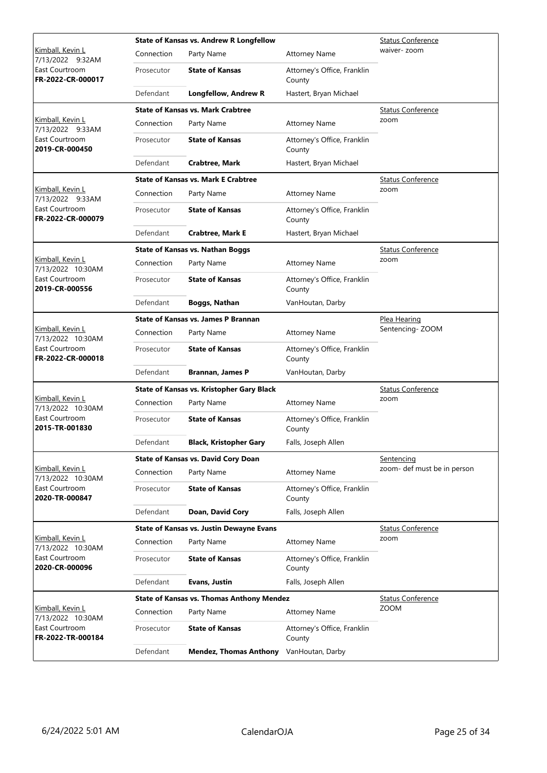|                                              |            | <b>State of Kansas vs. Andrew R Longfellow</b>   | <b>Status Conference</b>              |                             |
|----------------------------------------------|------------|--------------------------------------------------|---------------------------------------|-----------------------------|
| <u>Kimball, Kevin L</u><br>7/13/2022 9:32AM  | Connection | Party Name                                       | <b>Attorney Name</b>                  | waiver- zoom                |
| East Courtroom<br>FR-2022-CR-000017          | Prosecutor | <b>State of Kansas</b>                           | Attorney's Office, Franklin<br>County |                             |
|                                              | Defendant  | <b>Longfellow, Andrew R</b>                      | Hastert, Bryan Michael                |                             |
|                                              |            | <b>State of Kansas vs. Mark Crabtree</b>         |                                       | <b>Status Conference</b>    |
| Kimball, Kevin L<br>7/13/2022 9:33AM         | Connection | Party Name                                       | <b>Attorney Name</b>                  | zoom                        |
| East Courtroom<br>2019-CR-000450             | Prosecutor | <b>State of Kansas</b>                           | Attorney's Office, Franklin<br>County |                             |
|                                              | Defendant  | <b>Crabtree, Mark</b>                            | Hastert, Bryan Michael                |                             |
|                                              |            | <b>State of Kansas vs. Mark E Crabtree</b>       |                                       | <b>Status Conference</b>    |
| Kimball, Kevin L<br>7/13/2022 9:33AM         | Connection | Party Name                                       | <b>Attorney Name</b>                  | zoom                        |
| East Courtroom<br>FR-2022-CR-000079          | Prosecutor | <b>State of Kansas</b>                           | Attorney's Office, Franklin<br>County |                             |
|                                              | Defendant  | <b>Crabtree, Mark E</b>                          | Hastert, Bryan Michael                |                             |
|                                              |            | <b>State of Kansas vs. Nathan Boggs</b>          |                                       | <b>Status Conference</b>    |
| <u>Kimball, Kevin L</u><br>7/13/2022 10:30AM | Connection | Party Name                                       | <b>Attorney Name</b>                  | zoom                        |
| East Courtroom<br>2019-CR-000556             | Prosecutor | <b>State of Kansas</b>                           | Attorney's Office, Franklin<br>County |                             |
|                                              | Defendant  | <b>Boggs, Nathan</b>                             | VanHoutan, Darby                      |                             |
|                                              |            | <b>State of Kansas vs. James P Brannan</b>       | Plea Hearing                          |                             |
| Kimball, Kevin L<br>7/13/2022 10:30AM        | Connection | Party Name                                       | <b>Attorney Name</b>                  | Sentencing-ZOOM             |
| East Courtroom<br>FR-2022-CR-000018          | Prosecutor | <b>State of Kansas</b>                           | Attorney's Office, Franklin<br>County |                             |
|                                              | Defendant  | <b>Brannan, James P</b>                          | VanHoutan, Darby                      |                             |
|                                              |            | <b>State of Kansas vs. Kristopher Gary Black</b> | <b>Status Conference</b>              |                             |
| Kimball, Kevin L<br>7/13/2022 10:30AM        | Connection | Party Name                                       | <b>Attorney Name</b>                  | zoom                        |
| East Courtroom<br>2015-TR-001830             | Prosecutor | <b>State of Kansas</b>                           | Attorney's Office, Franklin<br>County |                             |
|                                              | Defendant  | <b>Black, Kristopher Gary</b>                    | Falls, Joseph Allen                   |                             |
|                                              |            | <b>State of Kansas vs. David Cory Doan</b>       |                                       | Sentencing                  |
| Kimball, Kevin L<br>7/13/2022 10:30AM        | Connection | Party Name                                       | <b>Attorney Name</b>                  | zoom- def must be in person |
| East Courtroom<br>2020-TR-000847             | Prosecutor | <b>State of Kansas</b>                           | Attorney's Office, Franklin<br>County |                             |
|                                              | Defendant  | Doan, David Cory                                 | Falls, Joseph Allen                   |                             |
|                                              |            | <b>State of Kansas vs. Justin Dewayne Evans</b>  |                                       | <b>Status Conference</b>    |
| Kimball, Kevin L<br>7/13/2022 10:30AM        | Connection | Party Name                                       | <b>Attorney Name</b>                  | zoom                        |
| East Courtroom<br>2020-CR-000096             | Prosecutor | <b>State of Kansas</b>                           | Attorney's Office, Franklin<br>County |                             |
|                                              | Defendant  | <b>Evans, Justin</b>                             | Falls, Joseph Allen                   |                             |
|                                              |            | <b>State of Kansas vs. Thomas Anthony Mendez</b> |                                       | <b>Status Conference</b>    |
| Kimball, Kevin L<br>7/13/2022 10:30AM        | Connection | Party Name                                       | <b>Attorney Name</b>                  | <b>ZOOM</b>                 |
| East Courtroom<br>FR-2022-TR-000184          | Prosecutor | <b>State of Kansas</b>                           | Attorney's Office, Franklin<br>County |                             |
|                                              | Defendant  | <b>Mendez, Thomas Anthony</b>                    | VanHoutan, Darby                      |                             |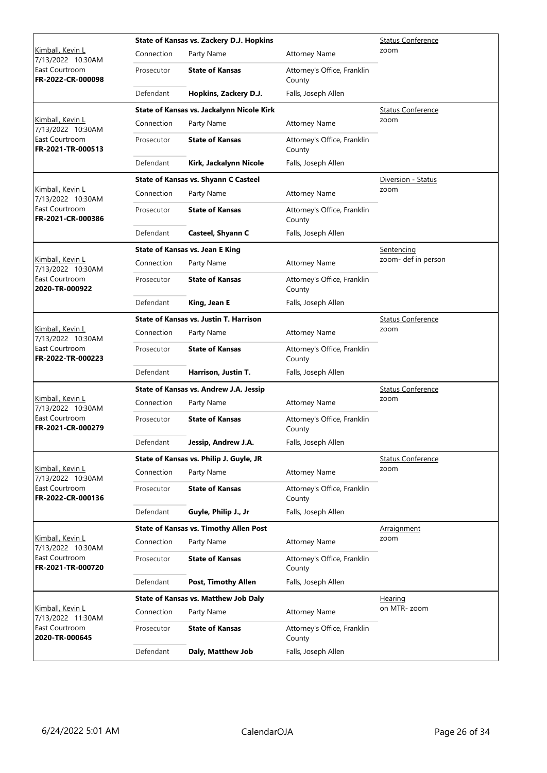|                                              |            | State of Kansas vs. Zackery D.J. Hopkins      | <b>Status Conference</b>              |                          |
|----------------------------------------------|------------|-----------------------------------------------|---------------------------------------|--------------------------|
| <u>Kimball, Kevin L</u><br>7/13/2022 10:30AM | Connection | Party Name                                    | <b>Attorney Name</b>                  | zoom                     |
| East Courtroom<br>FR-2022-CR-000098          | Prosecutor | <b>State of Kansas</b>                        | Attorney's Office, Franklin<br>County |                          |
|                                              | Defendant  | Hopkins, Zackery D.J.                         | Falls, Joseph Allen                   |                          |
|                                              |            | State of Kansas vs. Jackalynn Nicole Kirk     |                                       | <b>Status Conference</b> |
| Kimball, Kevin L<br>7/13/2022 10:30AM        | Connection | Party Name                                    | <b>Attorney Name</b>                  | zoom                     |
| East Courtroom<br>FR-2021-TR-000513          | Prosecutor | <b>State of Kansas</b>                        | Attorney's Office, Franklin<br>County |                          |
|                                              | Defendant  | Kirk, Jackalynn Nicole                        | Falls, Joseph Allen                   |                          |
|                                              |            | <b>State of Kansas vs. Shyann C Casteel</b>   |                                       | Diversion - Status       |
| Kimball, Kevin L<br>7/13/2022 10:30AM        | Connection | Party Name                                    | <b>Attorney Name</b>                  | zoom                     |
| East Courtroom<br>FR-2021-CR-000386          | Prosecutor | <b>State of Kansas</b>                        | Attorney's Office, Franklin<br>County |                          |
|                                              | Defendant  | Casteel, Shyann C                             | Falls, Joseph Allen                   |                          |
|                                              |            | <b>State of Kansas vs. Jean E King</b>        |                                       | Sentencing               |
| Kimball, Kevin L<br>7/13/2022 10:30AM        | Connection | Party Name                                    | <b>Attorney Name</b>                  | zoom- def in person      |
| East Courtroom<br>2020-TR-000922             | Prosecutor | <b>State of Kansas</b>                        | Attorney's Office, Franklin<br>County |                          |
|                                              | Defendant  | King, Jean E                                  | Falls, Joseph Allen                   |                          |
|                                              |            | <b>State of Kansas vs. Justin T. Harrison</b> |                                       | <b>Status Conference</b> |
| Kimball, Kevin L<br>7/13/2022 10:30AM        | Connection | Party Name                                    | <b>Attorney Name</b>                  | zoom                     |
| East Courtroom<br>FR-2022-TR-000223          | Prosecutor | <b>State of Kansas</b>                        | Attorney's Office, Franklin<br>County |                          |
|                                              | Defendant  | Harrison, Justin T.                           | Falls, Joseph Allen                   |                          |
|                                              |            | State of Kansas vs. Andrew J.A. Jessip        | <b>Status Conference</b>              |                          |
| Kimball, Kevin L<br>7/13/2022 10:30AM        | Connection | Party Name                                    | <b>Attorney Name</b>                  | zoom                     |
| East Courtroom<br>FR-2021-CR-000279          | Prosecutor | <b>State of Kansas</b>                        | Attorney's Office, Franklin<br>County |                          |
|                                              | Defendant  | Jessip, Andrew J.A.                           | Falls, Joseph Allen                   |                          |
|                                              |            | State of Kansas vs. Philip J. Guyle, JR       |                                       | <b>Status Conference</b> |
| Kimball, Kevin L<br>7/13/2022 10:30AM        | Connection | Party Name                                    | <b>Attorney Name</b>                  | zoom                     |
| East Courtroom<br>FR-2022-CR-000136          | Prosecutor | <b>State of Kansas</b>                        | Attorney's Office, Franklin<br>County |                          |
|                                              | Defendant  | Guyle, Philip J., Jr                          | Falls, Joseph Allen                   |                          |
|                                              |            | <b>State of Kansas vs. Timothy Allen Post</b> |                                       | Arraignment              |
| Kimball, Kevin L<br>7/13/2022 10:30AM        | Connection | Party Name                                    | <b>Attorney Name</b>                  | zoom                     |
| East Courtroom<br>FR-2021-TR-000720          | Prosecutor | <b>State of Kansas</b>                        | Attorney's Office, Franklin<br>County |                          |
|                                              | Defendant  | <b>Post, Timothy Allen</b>                    | Falls, Joseph Allen                   |                          |
|                                              |            | <b>State of Kansas vs. Matthew Job Daly</b>   |                                       | <u>Hearing</u>           |
| Kimball, Kevin L<br>7/13/2022 11:30AM        | Connection | Party Name                                    | <b>Attorney Name</b>                  | on MTR-zoom              |
| East Courtroom<br>2020-TR-000645             | Prosecutor | <b>State of Kansas</b>                        | Attorney's Office, Franklin<br>County |                          |
|                                              | Defendant  | Daly, Matthew Job                             | Falls, Joseph Allen                   |                          |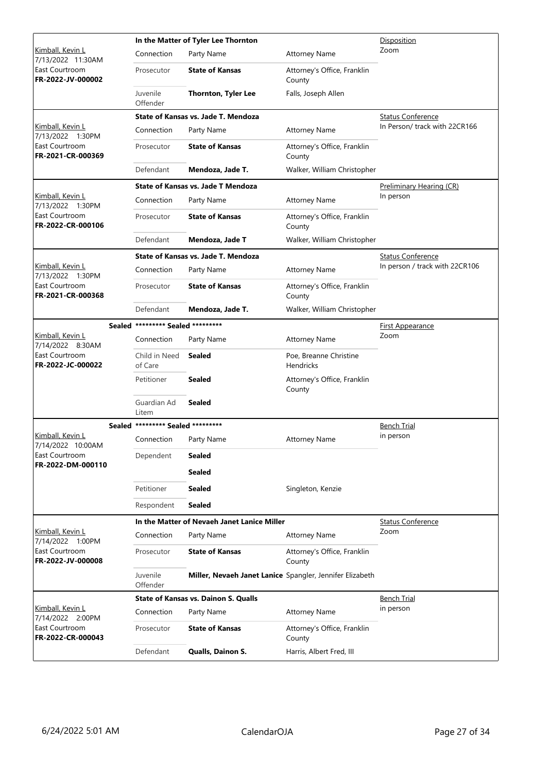|                                                         | In the Matter of Tyler Lee Thornton |                                                          |                                            | Disposition                    |
|---------------------------------------------------------|-------------------------------------|----------------------------------------------------------|--------------------------------------------|--------------------------------|
| <u>Kimball, Kevin L</u><br>7/13/2022 11:30AM            | Connection                          | Party Name                                               | <b>Attorney Name</b>                       | Zoom                           |
| East Courtroom<br>FR-2022-JV-000002                     | Prosecutor                          | <b>State of Kansas</b>                                   | Attorney's Office, Franklin<br>County      |                                |
|                                                         | Juvenile<br>Offender                | <b>Thornton, Tyler Lee</b>                               | Falls, Joseph Allen                        |                                |
|                                                         |                                     | State of Kansas vs. Jade T. Mendoza                      |                                            | <b>Status Conference</b>       |
| Kimball, Kevin L<br>7/13/2022 1:30PM                    | Connection                          | Party Name                                               | <b>Attorney Name</b>                       | In Person/ track with 22CR166  |
| East Courtroom<br>FR-2021-CR-000369                     | Prosecutor                          | <b>State of Kansas</b>                                   | Attorney's Office, Franklin<br>County      |                                |
|                                                         | Defendant                           | Mendoza, Jade T.                                         | Walker, William Christopher                |                                |
|                                                         |                                     | <b>State of Kansas vs. Jade T Mendoza</b>                |                                            | Preliminary Hearing (CR)       |
| <u>Kimball, Kevin L</u><br>7/13/2022 1:30PM             | Connection                          | Party Name                                               | <b>Attorney Name</b>                       | In person                      |
| East Courtroom<br>FR-2022-CR-000106                     | Prosecutor                          | <b>State of Kansas</b>                                   | Attorney's Office, Franklin<br>County      |                                |
|                                                         | Defendant                           | Mendoza, Jade T                                          | Walker, William Christopher                |                                |
|                                                         |                                     | State of Kansas vs. Jade T. Mendoza                      |                                            | <b>Status Conference</b>       |
| Kimball, Kevin L<br>7/13/2022 1:30PM                    | Connection                          | Party Name                                               | <b>Attorney Name</b>                       | In person / track with 22CR106 |
| East Courtroom<br>FR-2021-CR-000368                     | Prosecutor                          | <b>State of Kansas</b>                                   | Attorney's Office, Franklin<br>County      |                                |
|                                                         | Defendant                           | Mendoza, Jade T.                                         | Walker, William Christopher                |                                |
|                                                         | Sealed ********* Sealed *********   |                                                          |                                            | <u>First Appearance</u>        |
| <u>Kimball, Kevin L</u><br>7/14/2022 8:30AM             | Connection                          | Party Name                                               | <b>Attorney Name</b>                       | Zoom                           |
| East Courtroom<br>FR-2022-JC-000022                     | Child in Need<br>of Care            | <b>Sealed</b>                                            | Poe, Breanne Christine<br><b>Hendricks</b> |                                |
|                                                         | Petitioner                          | <b>Sealed</b>                                            | Attorney's Office, Franklin<br>County      |                                |
|                                                         | Guardian Ad<br>Litem                | <b>Sealed</b>                                            |                                            |                                |
|                                                         | Sealed ********* Sealed *********   |                                                          |                                            | Bench Trial                    |
| Kimball, Kevin L<br>7/14/2022 10:00AM                   | Connection                          | Party Name                                               | <b>Attorney Name</b>                       | in person                      |
| East Courtroom                                          | Dependent                           | <b>Sealed</b>                                            |                                            |                                |
| FR-2022-DM-000110                                       |                                     | <b>Sealed</b>                                            |                                            |                                |
|                                                         | Petitioner                          | <b>Sealed</b>                                            | Singleton, Kenzie                          |                                |
|                                                         | Respondent                          | <b>Sealed</b>                                            |                                            |                                |
|                                                         |                                     | In the Matter of Nevaeh Janet Lanice Miller              |                                            | <b>Status Conference</b>       |
| Kimball, Kevin L                                        | Connection                          | Party Name                                               | <b>Attorney Name</b>                       | Zoom                           |
| 7/14/2022 1:00PM<br>East Courtroom<br>FR-2022-JV-000008 | Prosecutor                          | <b>State of Kansas</b>                                   | Attorney's Office, Franklin<br>County      |                                |
|                                                         | Juvenile<br>Offender                | Miller, Nevaeh Janet Lanice Spangler, Jennifer Elizabeth |                                            |                                |
|                                                         |                                     | <b>State of Kansas vs. Dainon S. Qualls</b>              |                                            | <b>Bench Trial</b>             |
| <u>Kimball, Kevin L</u><br>7/14/2022 2:00PM             | Connection                          | Party Name                                               | <b>Attorney Name</b>                       | in person                      |
| East Courtroom<br>FR-2022-CR-000043                     | Prosecutor                          | <b>State of Kansas</b>                                   | Attorney's Office, Franklin<br>County      |                                |
|                                                         | Defendant                           | Qualls, Dainon S.                                        | Harris, Albert Fred, III                   |                                |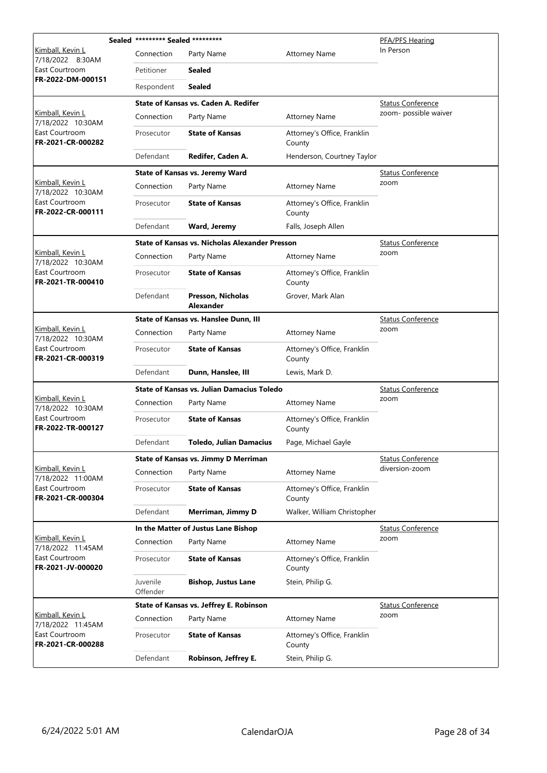|                                       | Sealed ********* Sealed ********* |                                                       | PFA/PFS Hearing                       |                          |
|---------------------------------------|-----------------------------------|-------------------------------------------------------|---------------------------------------|--------------------------|
| Kimball, Kevin L<br>7/18/2022 8:30AM  | Connection                        | Party Name                                            | <b>Attorney Name</b>                  | In Person                |
| East Courtroom                        | Petitioner                        | <b>Sealed</b>                                         |                                       |                          |
| FR-2022-DM-000151                     | Respondent                        | <b>Sealed</b>                                         |                                       |                          |
|                                       |                                   | State of Kansas vs. Caden A. Redifer                  |                                       | <b>Status Conference</b> |
| Kimball, Kevin L<br>7/18/2022 10:30AM | Connection                        | Party Name                                            | <b>Attorney Name</b>                  | zoom- possible waiver    |
| East Courtroom<br>FR-2021-CR-000282   | Prosecutor                        | <b>State of Kansas</b>                                | Attorney's Office, Franklin<br>County |                          |
|                                       | Defendant                         | Redifer, Caden A.                                     | Henderson, Courtney Taylor            |                          |
|                                       |                                   | <b>State of Kansas vs. Jeremy Ward</b>                |                                       | <b>Status Conference</b> |
| Kimball, Kevin L<br>7/18/2022 10:30AM | Connection                        | Party Name                                            | <b>Attorney Name</b>                  | zoom                     |
| East Courtroom<br>FR-2022-CR-000111   | Prosecutor                        | <b>State of Kansas</b>                                | Attorney's Office, Franklin<br>County |                          |
|                                       | Defendant                         | <b>Ward, Jeremy</b>                                   | Falls, Joseph Allen                   |                          |
|                                       |                                   | <b>State of Kansas vs. Nicholas Alexander Presson</b> |                                       | <b>Status Conference</b> |
| Kimball, Kevin L<br>7/18/2022 10:30AM | Connection                        | Party Name                                            | <b>Attorney Name</b>                  | zoom                     |
| East Courtroom<br>FR-2021-TR-000410   | Prosecutor                        | <b>State of Kansas</b>                                | Attorney's Office, Franklin<br>County |                          |
|                                       | Defendant                         | Presson, Nicholas<br><b>Alexander</b>                 | Grover, Mark Alan                     |                          |
|                                       |                                   | State of Kansas vs. Hanslee Dunn, III                 |                                       | <b>Status Conference</b> |
| Kimball, Kevin L<br>7/18/2022 10:30AM | Connection                        | Party Name                                            | <b>Attorney Name</b>                  | zoom                     |
| East Courtroom<br>FR-2021-CR-000319   | Prosecutor                        | <b>State of Kansas</b>                                | Attorney's Office, Franklin<br>County |                          |
|                                       | Defendant                         | Dunn, Hanslee, III                                    | Lewis, Mark D.                        |                          |
|                                       |                                   | State of Kansas vs. Julian Damacius Toledo            |                                       | <b>Status Conference</b> |
| Kimball, Kevin L<br>7/18/2022 10:30AM | Connection                        | Party Name                                            | <b>Attorney Name</b>                  | zoom                     |
| East Courtroom<br>FR-2022-TR-000127   | Prosecutor                        | <b>State of Kansas</b>                                | Attorney's Office, Franklin<br>County |                          |
|                                       | Defendant                         | <b>Toledo, Julian Damacius</b>                        | Page, Michael Gayle                   |                          |
|                                       |                                   | State of Kansas vs. Jimmy D Merriman                  |                                       | <b>Status Conference</b> |
| Kimball, Kevin L<br>7/18/2022 11:00AM | Connection                        | Party Name                                            | <b>Attorney Name</b>                  | diversion-zoom           |
| East Courtroom<br>FR-2021-CR-000304   | Prosecutor                        | <b>State of Kansas</b>                                | Attorney's Office, Franklin<br>County |                          |
|                                       | Defendant                         | Merriman, Jimmy D                                     | Walker, William Christopher           |                          |
|                                       |                                   | In the Matter of Justus Lane Bishop                   |                                       | <b>Status Conference</b> |
| Kimball, Kevin L<br>7/18/2022 11:45AM | Connection                        | Party Name                                            | <b>Attorney Name</b>                  | zoom                     |
| East Courtroom<br>FR-2021-JV-000020   | Prosecutor                        | <b>State of Kansas</b>                                | Attorney's Office, Franklin<br>County |                          |
|                                       | Juvenile<br>Offender              | <b>Bishop, Justus Lane</b>                            | Stein, Philip G.                      |                          |
|                                       |                                   | State of Kansas vs. Jeffrey E. Robinson               |                                       | <b>Status Conference</b> |
| Kimball, Kevin L<br>7/18/2022 11:45AM | Connection                        | Party Name                                            | <b>Attorney Name</b>                  | zoom                     |
| East Courtroom<br>FR-2021-CR-000288   | Prosecutor                        | <b>State of Kansas</b>                                | Attorney's Office, Franklin<br>County |                          |
|                                       | Defendant                         | Robinson, Jeffrey E.                                  | Stein, Philip G.                      |                          |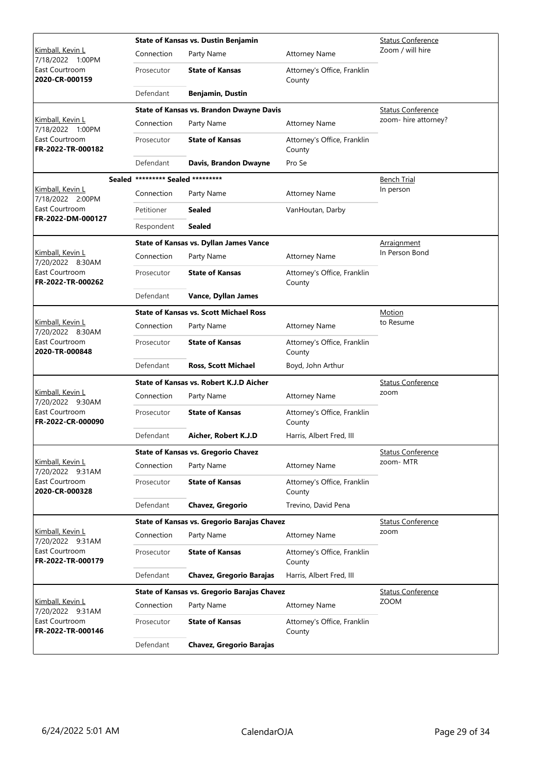|                                             |                                   | <b>State of Kansas vs. Dustin Benjamin</b>         | <b>Status Conference</b>              |                          |
|---------------------------------------------|-----------------------------------|----------------------------------------------------|---------------------------------------|--------------------------|
| Kimball, Kevin L<br>7/18/2022 1:00PM        | Connection                        | Party Name                                         | <b>Attorney Name</b>                  | Zoom / will hire         |
| East Courtroom<br>2020-CR-000159            | Prosecutor                        | <b>State of Kansas</b>                             | Attorney's Office, Franklin<br>County |                          |
|                                             | Defendant                         | <b>Benjamin, Dustin</b>                            |                                       |                          |
|                                             |                                   | <b>State of Kansas vs. Brandon Dwayne Davis</b>    |                                       | <b>Status Conference</b> |
| Kimball, Kevin L<br>7/18/2022 1:00PM        | Connection                        | Party Name                                         | <b>Attorney Name</b>                  | zoom- hire attorney?     |
| East Courtroom<br>FR-2022-TR-000182         | Prosecutor                        | <b>State of Kansas</b>                             | Attorney's Office, Franklin<br>County |                          |
|                                             | Defendant                         | Davis, Brandon Dwayne                              | Pro Se                                |                          |
|                                             | Sealed ********* Sealed ********* |                                                    |                                       | <b>Bench Trial</b>       |
| Kimball, Kevin L<br>7/18/2022 2:00PM        | Connection                        | Party Name                                         | <b>Attorney Name</b>                  | In person                |
| East Courtroom<br>FR-2022-DM-000127         | Petitioner                        | <b>Sealed</b>                                      | VanHoutan, Darby                      |                          |
|                                             | Respondent                        | <b>Sealed</b>                                      |                                       |                          |
|                                             |                                   | State of Kansas vs. Dyllan James Vance             |                                       | <u>Arraignment</u>       |
| Kimball, Kevin L<br>7/20/2022 8:30AM        | Connection                        | Party Name                                         | <b>Attorney Name</b>                  | In Person Bond           |
| East Courtroom<br>FR-2022-TR-000262         | Prosecutor                        | <b>State of Kansas</b>                             | Attorney's Office, Franklin<br>County |                          |
|                                             | Defendant                         | Vance, Dyllan James                                |                                       |                          |
|                                             |                                   | <b>State of Kansas vs. Scott Michael Ross</b>      | Motion                                |                          |
| Kimball, Kevin L<br>7/20/2022 8:30AM        | Connection                        | Party Name                                         | <b>Attorney Name</b>                  | to Resume                |
| East Courtroom<br>2020-TR-000848            | Prosecutor                        | <b>State of Kansas</b>                             | Attorney's Office, Franklin<br>County |                          |
|                                             | Defendant                         | <b>Ross, Scott Michael</b>                         | Boyd, John Arthur                     |                          |
|                                             |                                   | State of Kansas vs. Robert K.J.D Aicher            | <b>Status Conference</b>              |                          |
| <u>Kimball, Kevin L</u><br>7/20/2022 9:30AM | Connection                        | Party Name                                         | <b>Attorney Name</b>                  | zoom                     |
| East Courtroom<br>FR-2022-CR-000090         | Prosecutor                        | <b>State of Kansas</b>                             | Attorney's Office, Franklin<br>County |                          |
|                                             | Defendant                         | Aicher, Robert K.J.D                               | Harris, Albert Fred, III              |                          |
|                                             |                                   | <b>State of Kansas vs. Gregorio Chavez</b>         |                                       | <b>Status Conference</b> |
| Kimball, Kevin L<br>7/20/2022 9:31AM        | Connection                        | Party Name                                         | <b>Attorney Name</b>                  | zoom-MTR                 |
| East Courtroom<br>2020-CR-000328            | Prosecutor                        | <b>State of Kansas</b>                             | Attorney's Office, Franklin<br>County |                          |
|                                             | Defendant                         | Chavez, Gregorio                                   | Trevino, David Pena                   |                          |
|                                             |                                   | State of Kansas vs. Gregorio Barajas Chavez        |                                       | <b>Status Conference</b> |
| Kimball, Kevin L<br>7/20/2022 9:31AM        | Connection                        | Party Name                                         | <b>Attorney Name</b>                  | zoom                     |
| East Courtroom<br>FR-2022-TR-000179         | Prosecutor                        | <b>State of Kansas</b>                             | Attorney's Office, Franklin<br>County |                          |
|                                             | Defendant                         | <b>Chavez, Gregorio Barajas</b>                    | Harris, Albert Fred, III              |                          |
|                                             |                                   | <b>State of Kansas vs. Gregorio Barajas Chavez</b> |                                       | <b>Status Conference</b> |
| Kimball, Kevin L<br>7/20/2022 9:31AM        | Connection                        | Party Name                                         | <b>Attorney Name</b>                  | <b>ZOOM</b>              |
| East Courtroom<br>FR-2022-TR-000146         | Prosecutor                        | <b>State of Kansas</b>                             | Attorney's Office, Franklin<br>County |                          |
|                                             | Defendant                         | <b>Chavez, Gregorio Barajas</b>                    |                                       |                          |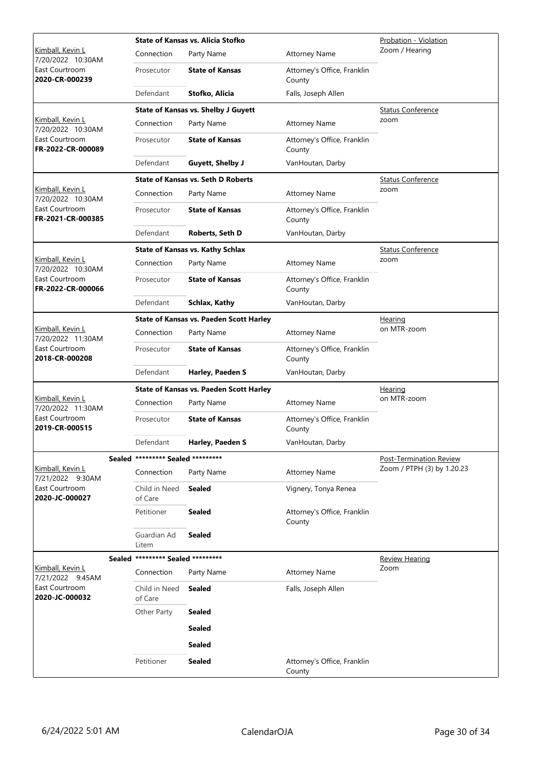|                                       |            |                                   | <b>State of Kansas vs. Alicia Stofko</b>       | Probation - Violation                 |                            |
|---------------------------------------|------------|-----------------------------------|------------------------------------------------|---------------------------------------|----------------------------|
| Kimball, Kevin L<br>7/20/2022 10:30AM |            | Connection                        | Party Name                                     | <b>Attorney Name</b>                  | Zoom / Hearing             |
| East Courtroom<br>2020-CR-000239      |            | Prosecutor                        | <b>State of Kansas</b>                         | Attorney's Office, Franklin<br>County |                            |
|                                       |            | Defendant                         | Stofko, Alicia                                 | Falls, Joseph Allen                   |                            |
|                                       |            |                                   | <b>State of Kansas vs. Shelby J Guyett</b>     |                                       | <b>Status Conference</b>   |
| Kimball, Kevin L<br>7/20/2022 10:30AM |            | Connection                        | Party Name                                     | <b>Attorney Name</b>                  | zoom                       |
| East Courtroom<br>FR-2022-CR-000089   | Prosecutor | <b>State of Kansas</b>            | Attorney's Office, Franklin<br>County          |                                       |                            |
|                                       |            | Defendant                         | <b>Guyett, Shelby J</b>                        | VanHoutan, Darby                      |                            |
|                                       |            |                                   | <b>State of Kansas vs. Seth D Roberts</b>      |                                       | <b>Status Conference</b>   |
| Kimball, Kevin L<br>7/20/2022 10:30AM |            | Connection                        | Party Name                                     | <b>Attorney Name</b>                  | zoom                       |
| East Courtroom<br>FR-2021-CR-000385   |            | Prosecutor                        | <b>State of Kansas</b>                         | Attorney's Office, Franklin<br>County |                            |
|                                       |            | Defendant                         | Roberts, Seth D                                | VanHoutan, Darby                      |                            |
|                                       |            |                                   | <b>State of Kansas vs. Kathy Schlax</b>        |                                       | <b>Status Conference</b>   |
| Kimball, Kevin L<br>7/20/2022 10:30AM |            | Connection                        | Party Name                                     | <b>Attorney Name</b>                  | zoom                       |
| East Courtroom<br>FR-2022-CR-000066   |            | Prosecutor                        | <b>State of Kansas</b>                         | Attorney's Office, Franklin<br>County |                            |
|                                       |            | Defendant                         | Schlax, Kathy                                  | VanHoutan, Darby                      |                            |
|                                       |            |                                   | <b>State of Kansas vs. Paeden Scott Harley</b> |                                       | Hearing                    |
| Kimball, Kevin L<br>7/20/2022 11:30AM |            | Connection                        | Party Name                                     | <b>Attorney Name</b>                  | on MTR-zoom                |
| East Courtroom<br>2018-CR-000208      |            | Prosecutor                        | <b>State of Kansas</b>                         | Attorney's Office, Franklin<br>County |                            |
|                                       |            | Defendant                         | Harley, Paeden S                               | VanHoutan, Darby                      |                            |
|                                       |            |                                   | <b>State of Kansas vs. Paeden Scott Harley</b> |                                       | Hearing                    |
| Kimball, Kevin L<br>7/20/2022 11:30AM |            | Connection                        | Party Name                                     | <b>Attorney Name</b>                  | on MTR-zoom                |
| East Courtroom<br>2019-CR-000515      |            | Prosecutor                        | <b>State of Kansas</b>                         | Attorney's Office, Franklin<br>County |                            |
|                                       |            | Defendant                         | Harley, Paeden S                               | VanHoutan, Darby                      |                            |
|                                       |            | Sealed ********* Sealed ********* |                                                |                                       | Post-Termination Review    |
| Kimball, Kevin L<br>7/21/2022 9:30AM  |            | Connection                        | Party Name                                     | <b>Attorney Name</b>                  | Zoom / PTPH (3) by 1.20.23 |
| East Courtroom<br>2020-JC-000027      |            | Child in Need<br>of Care          | <b>Sealed</b>                                  | Vignery, Tonya Renea                  |                            |
|                                       |            | Petitioner                        | <b>Sealed</b>                                  | Attorney's Office, Franklin<br>County |                            |
|                                       |            | Guardian Ad<br>Litem              | <b>Sealed</b>                                  |                                       |                            |
|                                       |            | Sealed ********* Sealed ********* |                                                |                                       | <b>Review Hearing</b>      |
| Kimball, Kevin L<br>7/21/2022 9:45AM  |            | Connection                        | Party Name                                     | <b>Attorney Name</b>                  | Zoom                       |
| East Courtroom<br>2020-JC-000032      |            | Child in Need<br>of Care          | <b>Sealed</b>                                  | Falls, Joseph Allen                   |                            |
|                                       |            | Other Party                       | <b>Sealed</b>                                  |                                       |                            |
|                                       |            |                                   | <b>Sealed</b>                                  |                                       |                            |
|                                       |            |                                   | <b>Sealed</b>                                  |                                       |                            |
|                                       |            | Petitioner                        | <b>Sealed</b>                                  | Attorney's Office, Franklin<br>County |                            |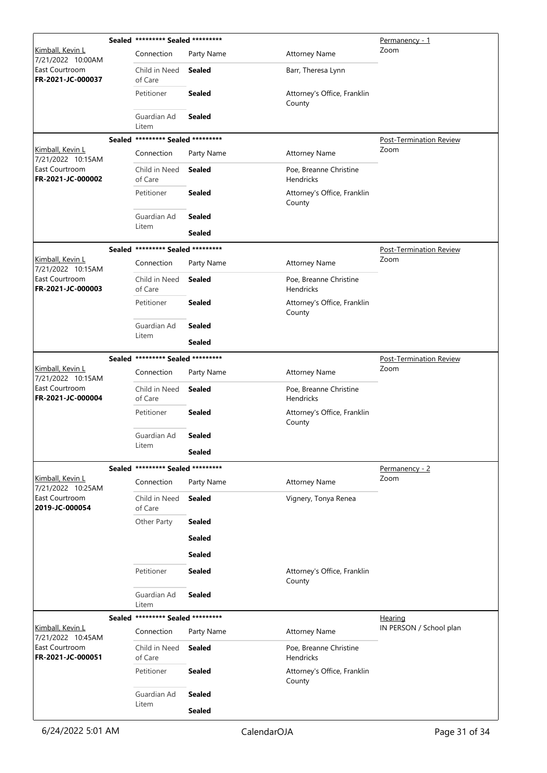|                                       | Sealed ********* Sealed ********* |               |                                            | Permanency - 1                 |
|---------------------------------------|-----------------------------------|---------------|--------------------------------------------|--------------------------------|
| Kimball, Kevin L<br>7/21/2022 10:00AM | Connection                        | Party Name    | <b>Attorney Name</b>                       | Zoom                           |
| East Courtroom<br>FR-2021-JC-000037   | Child in Need<br>of Care          | Sealed        | Barr, Theresa Lynn                         |                                |
|                                       | Petitioner                        | <b>Sealed</b> | Attorney's Office, Franklin<br>County      |                                |
|                                       | Guardian Ad<br>Litem              | <b>Sealed</b> |                                            |                                |
|                                       | Sealed ********* Sealed ********* |               |                                            | <b>Post-Termination Review</b> |
| Kimball, Kevin L<br>7/21/2022 10:15AM | Connection                        | Party Name    | <b>Attorney Name</b>                       | Zoom                           |
| East Courtroom<br>FR-2021-JC-000002   | Child in Need<br>of Care          | <b>Sealed</b> | Poe, Breanne Christine<br>Hendricks        |                                |
|                                       | Petitioner                        | <b>Sealed</b> | Attorney's Office, Franklin<br>County      |                                |
|                                       | Guardian Ad                       | <b>Sealed</b> |                                            |                                |
|                                       | Litem                             | <b>Sealed</b> |                                            |                                |
|                                       | Sealed ********* Sealed ********* |               |                                            | <b>Post-Termination Review</b> |
| Kimball, Kevin L<br>7/21/2022 10:15AM | Connection                        | Party Name    | <b>Attorney Name</b>                       | Zoom                           |
| East Courtroom<br>FR-2021-JC-000003   | Child in Need<br>of Care          | <b>Sealed</b> | Poe, Breanne Christine<br><b>Hendricks</b> |                                |
|                                       | Petitioner                        | <b>Sealed</b> | Attorney's Office, Franklin<br>County      |                                |
|                                       | Guardian Ad                       | <b>Sealed</b> |                                            |                                |
|                                       | Litem                             | <b>Sealed</b> |                                            |                                |
|                                       | Sealed ********* Sealed ********* |               |                                            | <b>Post-Termination Review</b> |
| Kimball, Kevin L<br>7/21/2022 10:15AM | Connection                        | Party Name    | <b>Attorney Name</b>                       | Zoom                           |
| East Courtroom<br>FR-2021-JC-000004   | Child in Need<br>of Care          | <b>Sealed</b> | Poe, Breanne Christine<br>Hendricks        |                                |
|                                       | Petitioner                        | <b>Sealed</b> | Attorney's Office, Franklin<br>County      |                                |
|                                       | Guardian Ad                       | <b>Sealed</b> |                                            |                                |
|                                       | Litem                             | <b>Sealed</b> |                                            |                                |
|                                       | Sealed ********* Sealed ********* |               |                                            | Permanency - 2                 |
| Kimball, Kevin L<br>7/21/2022 10:25AM | Connection                        | Party Name    | <b>Attorney Name</b>                       | Zoom                           |
| East Courtroom<br>2019-JC-000054      | Child in Need<br>of Care          | <b>Sealed</b> | Vignery, Tonya Renea                       |                                |
|                                       | Other Party                       | <b>Sealed</b> |                                            |                                |
|                                       |                                   | <b>Sealed</b> |                                            |                                |
|                                       |                                   | <b>Sealed</b> |                                            |                                |
|                                       | Petitioner                        | <b>Sealed</b> | Attorney's Office, Franklin<br>County      |                                |
|                                       | Guardian Ad<br>Litem              | <b>Sealed</b> |                                            |                                |
|                                       | Sealed ********* Sealed ********* |               |                                            | Hearing                        |
| Kimball, Kevin L<br>7/21/2022 10:45AM | Connection                        | Party Name    | <b>Attorney Name</b>                       | IN PERSON / School plan        |
| East Courtroom<br>FR-2021-JC-000051   | Child in Need<br>of Care          | Sealed        | Poe, Breanne Christine<br>Hendricks        |                                |
|                                       | Petitioner                        | <b>Sealed</b> | Attorney's Office, Franklin<br>County      |                                |
|                                       | Guardian Ad                       | <b>Sealed</b> |                                            |                                |
|                                       | Litem                             | <b>Sealed</b> |                                            |                                |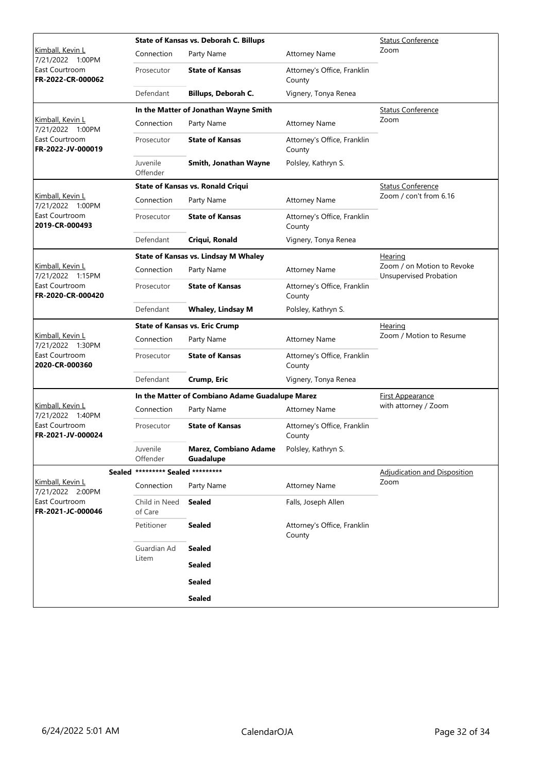|                                                                             |                                       | State of Kansas vs. Deborah C. Billups          | <b>Status Conference</b>              |                                                      |
|-----------------------------------------------------------------------------|---------------------------------------|-------------------------------------------------|---------------------------------------|------------------------------------------------------|
| <u>Kimball, Kevin L</u><br>7/21/2022 1:00PM                                 | Connection                            | Party Name                                      | <b>Attorney Name</b>                  | Zoom                                                 |
| East Courtroom<br>FR-2022-CR-000062                                         | Prosecutor                            | <b>State of Kansas</b>                          | Attorney's Office, Franklin<br>County |                                                      |
|                                                                             | Defendant                             | Billups, Deborah C.                             | Vignery, Tonya Renea                  |                                                      |
|                                                                             |                                       | In the Matter of Jonathan Wayne Smith           |                                       | <b>Status Conference</b>                             |
| Kimball, Kevin L<br>7/21/2022 1:00PM<br>East Courtroom<br>FR-2022-JV-000019 | Connection                            | Party Name                                      | <b>Attorney Name</b>                  | Zoom                                                 |
|                                                                             | Prosecutor                            | <b>State of Kansas</b>                          | Attorney's Office, Franklin<br>County |                                                      |
|                                                                             | Juvenile<br>Offender                  | Smith, Jonathan Wayne                           | Polsley, Kathryn S.                   |                                                      |
|                                                                             |                                       | State of Kansas vs. Ronald Criqui               |                                       | <b>Status Conference</b>                             |
| Kimball, Kevin L<br>7/21/2022 1:00PM                                        | Connection                            | Party Name                                      | <b>Attorney Name</b>                  | Zoom / con't from 6.16                               |
| East Courtroom<br>2019-CR-000493                                            | Prosecutor                            | <b>State of Kansas</b>                          | Attorney's Office, Franklin<br>County |                                                      |
|                                                                             | Defendant                             | Criqui, Ronald                                  | Vignery, Tonya Renea                  |                                                      |
|                                                                             |                                       | State of Kansas vs. Lindsay M Whaley            |                                       | Hearing                                              |
| Kimball, Kevin L<br>7/21/2022 1:15PM                                        | Connection                            | Party Name                                      | <b>Attorney Name</b>                  | Zoom / on Motion to Revoke<br>Unsupervised Probation |
| East Courtroom<br>FR-2020-CR-000420                                         | Prosecutor                            | <b>State of Kansas</b>                          | Attorney's Office, Franklin<br>County |                                                      |
|                                                                             | Defendant                             | <b>Whaley, Lindsay M</b>                        | Polsley, Kathryn S.                   |                                                      |
|                                                                             | <b>State of Kansas vs. Eric Crump</b> |                                                 | <b>Hearing</b>                        |                                                      |
|                                                                             |                                       |                                                 |                                       |                                                      |
| <u>Kimball, Kevin L</u>                                                     | Connection                            | Party Name                                      | <b>Attorney Name</b>                  | Zoom / Motion to Resume                              |
| 7/21/2022 1:30PM<br>East Courtroom<br>2020-CR-000360                        | Prosecutor                            | <b>State of Kansas</b>                          | Attorney's Office, Franklin<br>County |                                                      |
|                                                                             | Defendant                             | Crump, Eric                                     | Vignery, Tonya Renea                  |                                                      |
|                                                                             |                                       | In the Matter of Combiano Adame Guadalupe Marez |                                       | First Appearance                                     |
| Kimball, Kevin L                                                            | Connection                            | Party Name                                      | <b>Attorney Name</b>                  | with attorney / Zoom                                 |
| 7/21/2022 1:40PM<br>East Courtroom<br>FR-2021-JV-000024                     | Prosecutor                            | <b>State of Kansas</b>                          | Attorney's Office, Franklin<br>County |                                                      |
|                                                                             | Juvenile<br>Offender                  | Marez, Combiano Adame<br>Guadalupe              | Polsley, Kathryn S.                   |                                                      |
|                                                                             | Sealed ********* Sealed *********     |                                                 |                                       | Adjudication and Disposition                         |
| Kimball, Kevin L                                                            | Connection                            | Party Name                                      | <b>Attorney Name</b>                  | Zoom                                                 |
| 7/21/2022 2:00PM<br>East Courtroom<br>FR-2021-JC-000046                     | Child in Need<br>of Care              | <b>Sealed</b>                                   | Falls, Joseph Allen                   |                                                      |
|                                                                             | Petitioner                            | <b>Sealed</b>                                   | Attorney's Office, Franklin<br>County |                                                      |
|                                                                             | Guardian Ad                           | <b>Sealed</b>                                   |                                       |                                                      |
|                                                                             | Litem                                 | <b>Sealed</b>                                   |                                       |                                                      |
|                                                                             |                                       | <b>Sealed</b>                                   |                                       |                                                      |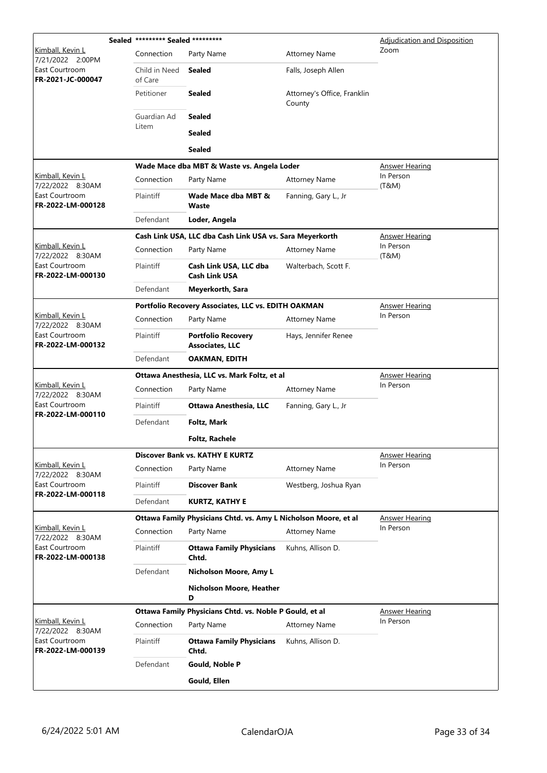|                                                                             | Sealed ********* Sealed ********* |                                                                 |                                       | Adjudication and Disposition |
|-----------------------------------------------------------------------------|-----------------------------------|-----------------------------------------------------------------|---------------------------------------|------------------------------|
| Kimball, Kevin L<br>7/21/2022 2:00PM                                        | Connection                        | Party Name                                                      | <b>Attorney Name</b>                  | Zoom                         |
| East Courtroom<br>FR-2021-JC-000047                                         | Child in Need<br>of Care          | Sealed                                                          | Falls, Joseph Allen                   |                              |
|                                                                             | Petitioner                        | <b>Sealed</b>                                                   | Attorney's Office, Franklin<br>County |                              |
|                                                                             | Guardian Ad                       | <b>Sealed</b>                                                   |                                       |                              |
|                                                                             | Litem                             | <b>Sealed</b>                                                   |                                       |                              |
|                                                                             |                                   | <b>Sealed</b>                                                   |                                       |                              |
|                                                                             |                                   | Wade Mace dba MBT & Waste vs. Angela Loder                      |                                       | <b>Answer Hearing</b>        |
| Kimball, Kevin L<br>7/22/2022 8:30AM                                        | Connection                        | Party Name                                                      | <b>Attorney Name</b>                  | In Person<br>(T&M)           |
| East Courtroom<br>FR-2022-LM-000128                                         | Plaintiff                         | Wade Mace dba MBT &<br>Waste                                    | Fanning, Gary L., Jr                  |                              |
|                                                                             | Defendant                         | Loder, Angela                                                   |                                       |                              |
|                                                                             |                                   | Cash Link USA, LLC dba Cash Link USA vs. Sara Meyerkorth        |                                       | Answer Hearing               |
| Kimball, Kevin L<br>7/22/2022 8:30AM                                        | Connection                        | Party Name                                                      | <b>Attorney Name</b>                  | In Person<br>(T&M)           |
| East Courtroom<br>FR-2022-LM-000130                                         | Plaintiff                         | Cash Link USA, LLC dba<br><b>Cash Link USA</b>                  | Walterbach, Scott F.                  |                              |
|                                                                             | Defendant                         | Meyerkorth, Sara                                                |                                       |                              |
|                                                                             |                                   | Portfolio Recovery Associates, LLC vs. EDITH OAKMAN             |                                       | <b>Answer Hearing</b>        |
| Kimball, Kevin L<br>7/22/2022 8:30AM<br>East Courtroom<br>FR-2022-LM-000132 | Connection                        | Party Name                                                      | <b>Attorney Name</b>                  | In Person                    |
|                                                                             | <b>Plaintiff</b>                  | <b>Portfolio Recovery</b><br><b>Associates, LLC</b>             | Hays, Jennifer Renee                  |                              |
|                                                                             | Defendant                         | OAKMAN, EDITH                                                   |                                       |                              |
|                                                                             |                                   | Ottawa Anesthesia, LLC vs. Mark Foltz, et al                    | <b>Answer Hearing</b>                 |                              |
| Kimball, Kevin L<br>7/22/2022 8:30AM                                        | Connection                        | Party Name                                                      | <b>Attorney Name</b>                  | In Person                    |
| East Courtroom<br>FR-2022-LM-000110                                         | Plaintiff                         | <b>Ottawa Anesthesia, LLC</b>                                   | Fanning, Gary L., Jr                  |                              |
|                                                                             | Defendant                         | Foltz, Mark                                                     |                                       |                              |
|                                                                             |                                   | <b>Foltz, Rachele</b>                                           |                                       |                              |
|                                                                             |                                   | <b>Discover Bank vs. KATHY E KURTZ</b>                          |                                       | <b>Answer Hearing</b>        |
| Kimball, Kevin L<br>7/22/2022 8:30AM                                        | Connection                        | Party Name                                                      | <b>Attorney Name</b>                  | In Person                    |
| East Courtroom<br>FR-2022-LM-000118                                         | <b>Plaintiff</b>                  | <b>Discover Bank</b>                                            | Westberg, Joshua Ryan                 |                              |
|                                                                             | Defendant                         | <b>KURTZ, KATHY E</b>                                           |                                       |                              |
|                                                                             |                                   | Ottawa Family Physicians Chtd. vs. Amy L Nicholson Moore, et al |                                       | <b>Answer Hearing</b>        |
| Kimball, Kevin L<br>7/22/2022 8:30AM                                        | Connection                        | Party Name                                                      | <b>Attorney Name</b>                  | In Person                    |
| East Courtroom<br>FR-2022-LM-000138                                         | Plaintiff                         | <b>Ottawa Family Physicians</b><br>Chtd.                        | Kuhns, Allison D.                     |                              |
|                                                                             | Defendant                         | Nicholson Moore, Amy L                                          |                                       |                              |
|                                                                             |                                   | Nicholson Moore, Heather<br>D                                   |                                       |                              |
|                                                                             |                                   | Ottawa Family Physicians Chtd. vs. Noble P Gould, et al         |                                       | <b>Answer Hearing</b>        |
| Kimball, Kevin L<br>7/22/2022 8:30AM                                        | Connection                        | Party Name                                                      | <b>Attorney Name</b>                  | In Person                    |
| East Courtroom<br>FR-2022-LM-000139                                         | Plaintiff                         | <b>Ottawa Family Physicians</b><br>Chtd.                        | Kuhns, Allison D.                     |                              |
|                                                                             | Defendant                         | Gould, Noble P                                                  |                                       |                              |
|                                                                             |                                   | Gould, Ellen                                                    |                                       |                              |